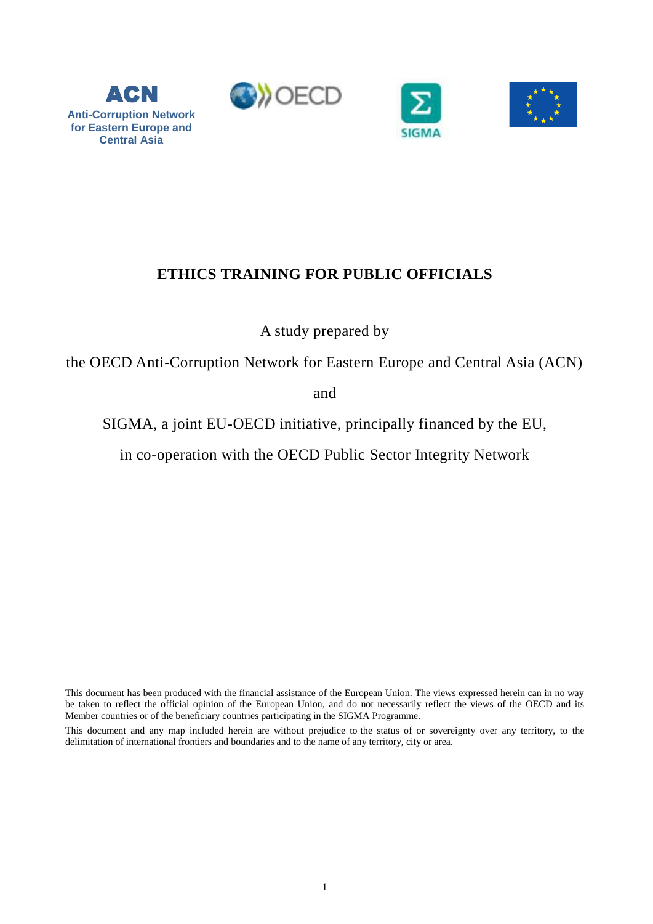

ACN

**for Eastern Europe and Central Asia**





# **ETHICS TRAINING FOR PUBLIC OFFICIALS**

A study prepared by

the OECD Anti-Corruption Network for Eastern Europe and Central Asia (ACN)

and

SIGMA, a joint EU-OECD initiative, principally financed by the EU,

in co-operation with the OECD Public Sector Integrity Network

This document has been produced with the financial assistance of the European Union. The views expressed herein can in no way be taken to reflect the official opinion of the European Union, and do not necessarily reflect the views of the OECD and its Member countries or of the beneficiary countries participating in the SIGMA Programme.

This document and any map included herein are without prejudice to the status of or sovereignty over any territory, to the delimitation of international frontiers and boundaries and to the name of any territory, city or area.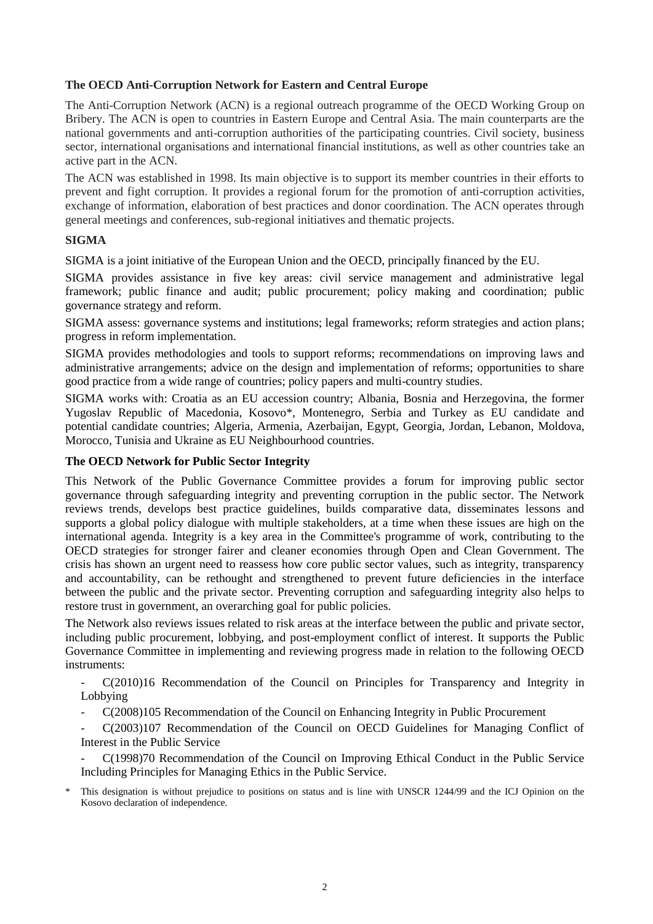## **The OECD Anti-Corruption Network for Eastern and Central Europe**

The Anti-Corruption Network (ACN) is a regional outreach programme of the OECD Working Group on Bribery. The ACN is open to countries in Eastern Europe and Central Asia. The main counterparts are the national governments and anti-corruption authorities of the participating countries. Civil society, business sector, international organisations and international financial institutions, as well as other countries take an active part in the ACN.

The ACN was established in 1998. Its main objective is to support its member countries in their efforts to prevent and fight corruption. It provides a regional forum for the promotion of anti-corruption activities, exchange of information, elaboration of best practices and donor coordination. The ACN operates through general meetings and conferences, sub-regional initiatives and thematic projects.

## **SIGMA**

SIGMA is a joint initiative of the European Union and the OECD, principally financed by the EU.

SIGMA provides assistance in five key areas: civil service management and administrative legal framework; public finance and audit; public procurement; policy making and coordination; public governance strategy and reform.

SIGMA assess: governance systems and institutions; legal frameworks; reform strategies and action plans; progress in reform implementation.

SIGMA provides methodologies and tools to support reforms; recommendations on improving laws and administrative arrangements; advice on the design and implementation of reforms; opportunities to share good practice from a wide range of countries; policy papers and multi-country studies.

SIGMA works with: Croatia as an EU accession country; Albania, Bosnia and Herzegovina, the former Yugoslav Republic of Macedonia, Kosovo\*, Montenegro, Serbia and Turkey as EU candidate and potential candidate countries; Algeria, Armenia, Azerbaijan, Egypt, Georgia, Jordan, Lebanon, Moldova, Morocco, Tunisia and Ukraine as EU Neighbourhood countries.

#### **The OECD Network for Public Sector Integrity**

This Network of the Public Governance Committee provides a forum for improving public sector governance through safeguarding integrity and preventing corruption in the public sector. The Network reviews trends, develops best practice guidelines, builds comparative data, disseminates lessons and supports a global policy dialogue with multiple stakeholders, at a time when these issues are high on the international agenda. Integrity is a key area in the Committee's programme of work, contributing to the OECD strategies for stronger fairer and cleaner economies through Open and Clean Government. The crisis has shown an urgent need to reassess how core public sector values, such as integrity, transparency and accountability, can be rethought and strengthened to prevent future deficiencies in the interface between the public and the private sector. Preventing corruption and safeguarding integrity also helps to restore trust in government, an overarching goal for public policies.

The Network also reviews issues related to risk areas at the interface between the public and private sector, including public procurement, lobbying, and post-employment conflict of interest. It supports the Public Governance Committee in implementing and reviewing progress made in relation to the following OECD instruments:

- C(2010)16 Recommendation of the Council on Principles for Transparency and Integrity in Lobbying

- C(2008)105 Recommendation of the Council on Enhancing Integrity in Public Procurement
- C(2003)107 Recommendation of the Council on OECD Guidelines for Managing Conflict of Interest in the Public Service

- C(1998)70 Recommendation of the Council on Improving Ethical Conduct in the Public Service Including Principles for Managing Ethics in the Public Service.

\* This designation is without prejudice to positions on status and is line with UNSCR 1244/99 and the ICJ Opinion on the Kosovo declaration of independence.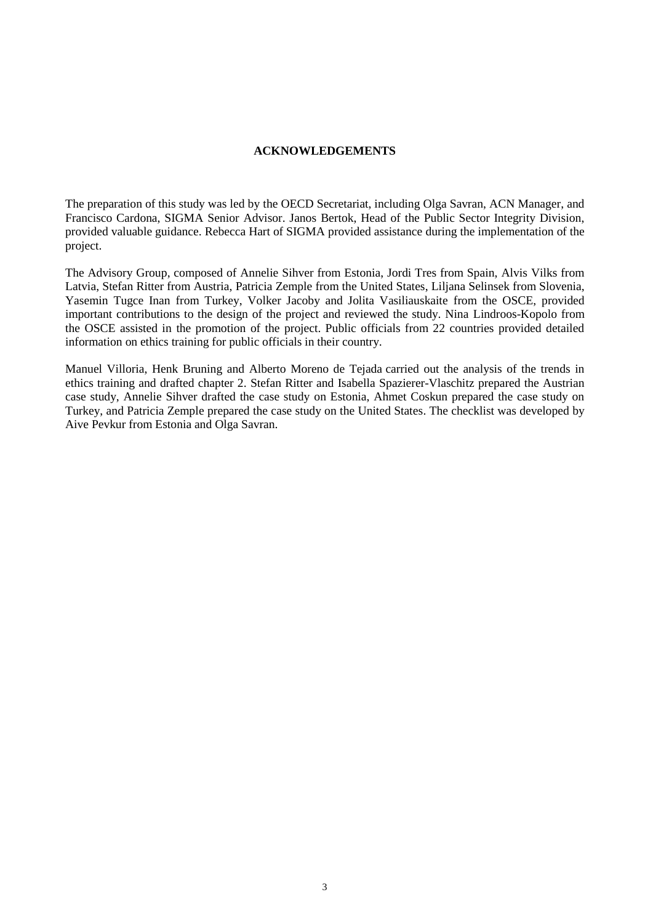#### **ACKNOWLEDGEMENTS**

The preparation of this study was led by the OECD Secretariat, including Olga Savran, ACN Manager, and Francisco Cardona, SIGMA Senior Advisor. Janos Bertok, Head of the Public Sector Integrity Division, provided valuable guidance. Rebecca Hart of SIGMA provided assistance during the implementation of the project.

The Advisory Group, composed of Annelie Sihver from Estonia, Jordi Tres from Spain, Alvis Vilks from Latvia, Stefan Ritter from Austria, Patricia Zemple from the United States, Liljana Selinsek from Slovenia, Yasemin Tugce Inan from Turkey, Volker Jacoby and Jolita Vasiliauskaite from the OSCE, provided important contributions to the design of the project and reviewed the study. Nina Lindroos-Kopolo from the OSCE assisted in the promotion of the project. Public officials from 22 countries provided detailed information on ethics training for public officials in their country.

Manuel Villoria, Henk Bruning and Alberto Moreno de Tejada carried out the analysis of the trends in ethics training and drafted chapter 2. Stefan Ritter and Isabella Spazierer-Vlaschitz prepared the Austrian case study, Annelie Sihver drafted the case study on Estonia, Ahmet Coskun prepared the case study on Turkey, and Patricia Zemple prepared the case study on the United States. The checklist was developed by Aive Pevkur from Estonia and Olga Savran.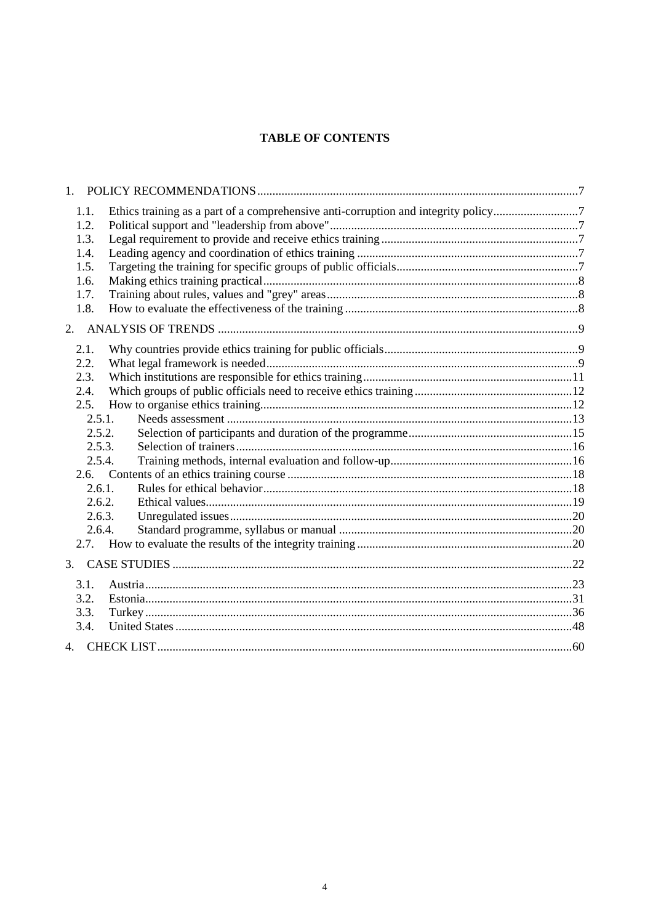## **TABLE OF CONTENTS**

| $1_{-}$ |                                                                                    |  |
|---------|------------------------------------------------------------------------------------|--|
| 1.1.    | Ethics training as a part of a comprehensive anti-corruption and integrity policy7 |  |
| 1.2.    |                                                                                    |  |
| 1.3.    |                                                                                    |  |
| 1.4.    |                                                                                    |  |
| 1.5.    |                                                                                    |  |
| 1.6.    |                                                                                    |  |
| 1.7.    |                                                                                    |  |
| 1.8.    |                                                                                    |  |
| 2.      |                                                                                    |  |
| 2.1.    |                                                                                    |  |
| 2.2.    |                                                                                    |  |
| 2.3.    |                                                                                    |  |
| 2.4.    |                                                                                    |  |
| 2.5.    |                                                                                    |  |
| 2.5.1.  |                                                                                    |  |
| 2.5.2.  |                                                                                    |  |
| 2.5.3.  |                                                                                    |  |
| 2.5.4.  |                                                                                    |  |
|         |                                                                                    |  |
| 2.6.1.  |                                                                                    |  |
| 2.6.2.  |                                                                                    |  |
| 2.6.3.  |                                                                                    |  |
| 2.6.4.  |                                                                                    |  |
|         |                                                                                    |  |
| 3.      |                                                                                    |  |
| 3.1.    |                                                                                    |  |
| 3.2.    |                                                                                    |  |
| 3.3.    |                                                                                    |  |
| 3.4.    |                                                                                    |  |
|         |                                                                                    |  |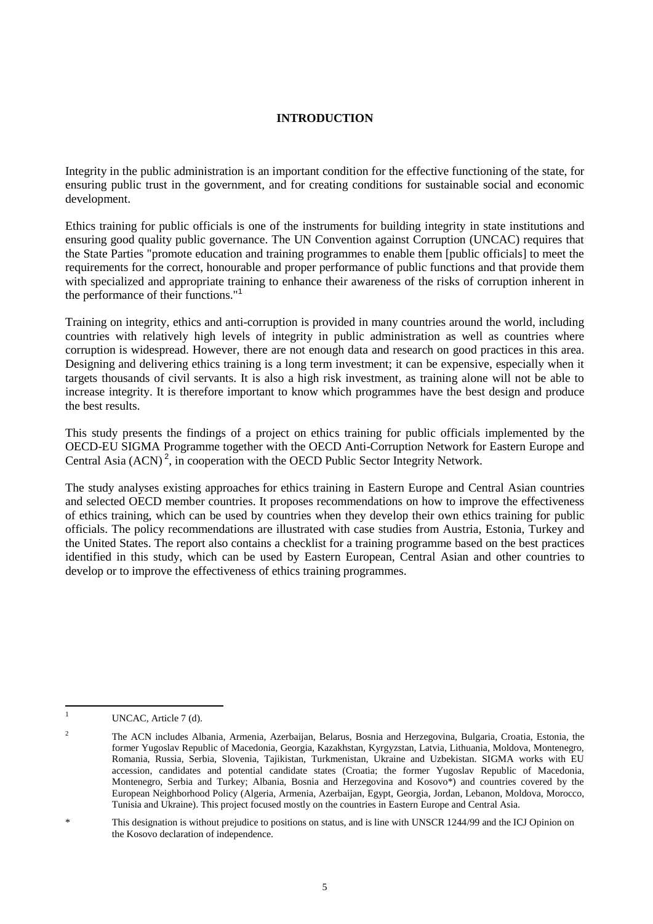#### **INTRODUCTION**

Integrity in the public administration is an important condition for the effective functioning of the state, for ensuring public trust in the government, and for creating conditions for sustainable social and economic development.

Ethics training for public officials is one of the instruments for building integrity in state institutions and ensuring good quality public governance. The UN Convention against Corruption (UNCAC) requires that the State Parties "promote education and training programmes to enable them [public officials] to meet the requirements for the correct, honourable and proper performance of public functions and that provide them with specialized and appropriate training to enhance their awareness of the risks of corruption inherent in the performance of their functions."<sup>1</sup>

Training on integrity, ethics and anti-corruption is provided in many countries around the world, including countries with relatively high levels of integrity in public administration as well as countries where corruption is widespread. However, there are not enough data and research on good practices in this area. Designing and delivering ethics training is a long term investment; it can be expensive, especially when it targets thousands of civil servants. It is also a high risk investment, as training alone will not be able to increase integrity. It is therefore important to know which programmes have the best design and produce the best results.

This study presents the findings of a project on ethics training for public officials implemented by the OECD-EU SIGMA Programme together with the OECD Anti-Corruption Network for Eastern Europe and Central Asia  $(ACN)^2$ , in cooperation with the OECD Public Sector Integrity Network.

The study analyses existing approaches for ethics training in Eastern Europe and Central Asian countries and selected OECD member countries. It proposes recommendations on how to improve the effectiveness of ethics training, which can be used by countries when they develop their own ethics training for public officials. The policy recommendations are illustrated with case studies from Austria, Estonia, Turkey and the United States. The report also contains a checklist for a training programme based on the best practices identified in this study, which can be used by Eastern European, Central Asian and other countries to develop or to improve the effectiveness of ethics training programmes.

 $\overline{1}$ UNCAC, Article 7 (d).

<sup>&</sup>lt;sup>2</sup> The ACN includes Albania, Armenia, Azerbaijan, Belarus, Bosnia and Herzegovina, Bulgaria, Croatia, Estonia, the former Yugoslav Republic of Macedonia, Georgia, Kazakhstan, Kyrgyzstan, Latvia, Lithuania, Moldova, Montenegro, Romania, Russia, Serbia, Slovenia, Tajikistan, Turkmenistan, Ukraine and Uzbekistan. SIGMA works with EU accession, candidates and potential candidate states (Croatia; the former Yugoslav Republic of Macedonia, Montenegro, Serbia and Turkey; Albania, Bosnia and Herzegovina and Kosovo\*) and countries covered by the European Neighborhood Policy (Algeria, Armenia, Azerbaijan, Egypt, Georgia, Jordan, Lebanon, Moldova, Morocco, Tunisia and Ukraine). This project focused mostly on the countries in Eastern Europe and Central Asia.

This designation is without prejudice to positions on status, and is line with UNSCR 1244/99 and the ICJ Opinion on the Kosovo declaration of independence.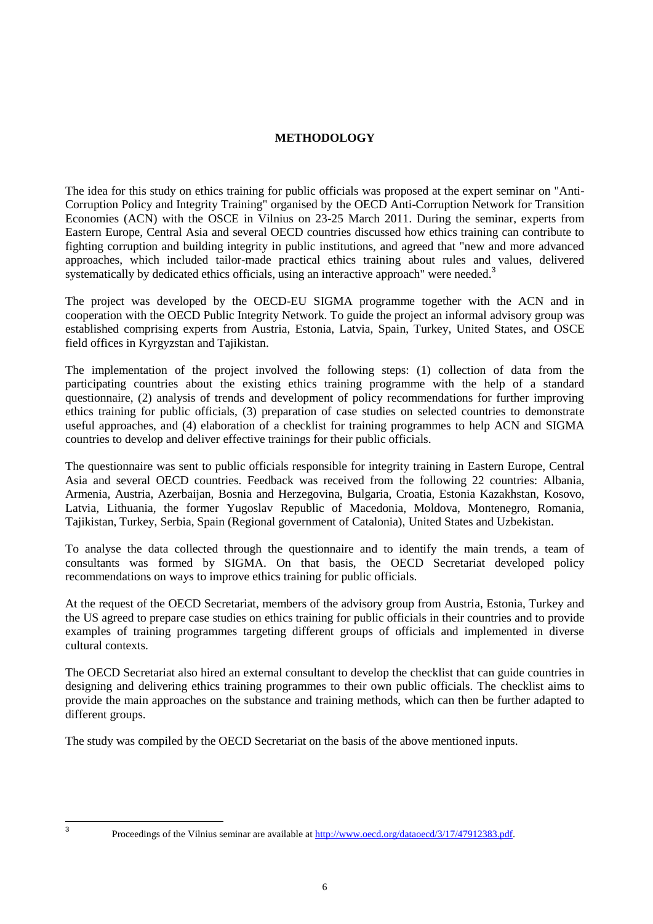#### **METHODOLOGY**

The idea for this study on ethics training for public officials was proposed at the expert seminar on "Anti-Corruption Policy and Integrity Training" organised by the OECD Anti-Corruption Network for Transition Economies (ACN) with the OSCE in Vilnius on 23-25 March 2011. During the seminar, experts from Eastern Europe, Central Asia and several OECD countries discussed how ethics training can contribute to fighting corruption and building integrity in public institutions, and agreed that "new and more advanced approaches, which included tailor-made practical ethics training about rules and values, delivered systematically by dedicated ethics officials, using an interactive approach" were needed.<sup>3</sup>

The project was developed by the OECD-EU SIGMA programme together with the ACN and in cooperation with the OECD Public Integrity Network. To guide the project an informal advisory group was established comprising experts from Austria, Estonia, Latvia, Spain, Turkey, United States, and OSCE field offices in Kyrgyzstan and Tajikistan.

The implementation of the project involved the following steps: (1) collection of data from the participating countries about the existing ethics training programme with the help of a standard questionnaire, (2) analysis of trends and development of policy recommendations for further improving ethics training for public officials, (3) preparation of case studies on selected countries to demonstrate useful approaches, and (4) elaboration of a checklist for training programmes to help ACN and SIGMA countries to develop and deliver effective trainings for their public officials.

The questionnaire was sent to public officials responsible for integrity training in Eastern Europe, Central Asia and several OECD countries. Feedback was received from the following 22 countries: Albania, Armenia, Austria, Azerbaijan, Bosnia and Herzegovina, Bulgaria, Croatia, Estonia Kazakhstan, Kosovo, Latvia, Lithuania, the former Yugoslav Republic of Macedonia, Moldova, Montenegro, Romania, Tajikistan, Turkey, Serbia, Spain (Regional government of Catalonia), United States and Uzbekistan.

To analyse the data collected through the questionnaire and to identify the main trends, a team of consultants was formed by SIGMA. On that basis, the OECD Secretariat developed policy recommendations on ways to improve ethics training for public officials.

At the request of the OECD Secretariat, members of the advisory group from Austria, Estonia, Turkey and the US agreed to prepare case studies on ethics training for public officials in their countries and to provide examples of training programmes targeting different groups of officials and implemented in diverse cultural contexts.

The OECD Secretariat also hired an external consultant to develop the checklist that can guide countries in designing and delivering ethics training programmes to their own public officials. The checklist aims to provide the main approaches on the substance and training methods, which can then be further adapted to different groups.

The study was compiled by the OECD Secretariat on the basis of the above mentioned inputs.

—<br>3

Proceedings of the Vilnius seminar are available a[t http://www.oecd.org/dataoecd/3/17/47912383.pdf.](http://www.oecd.org/dataoecd/3/17/47912383.pdf)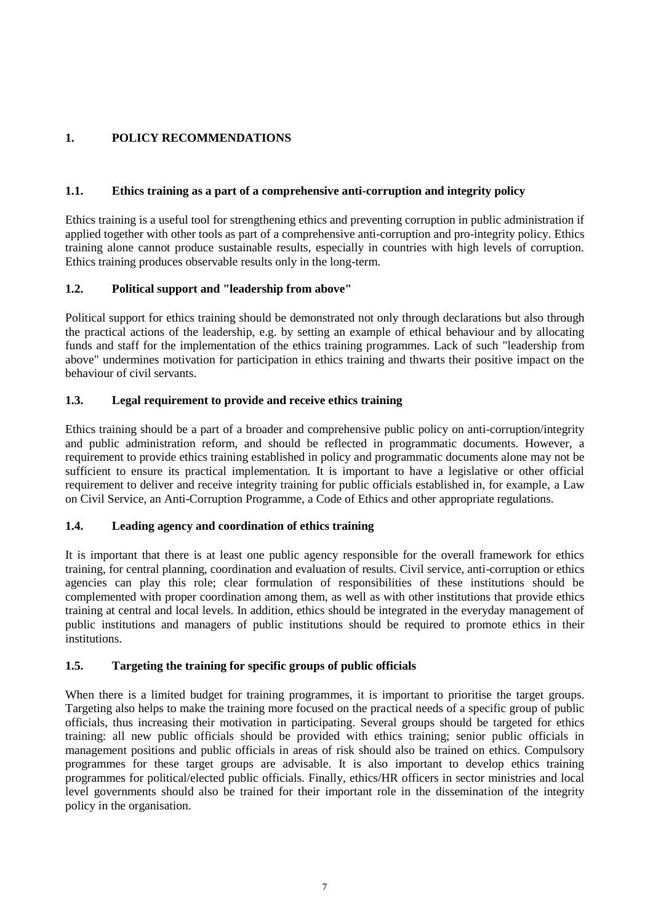# <span id="page-6-0"></span>**1. POLICY RECOMMENDATIONS**

## <span id="page-6-1"></span>**1.1. Ethics training as a part of a comprehensive anti-corruption and integrity policy**

Ethics training is a useful tool for strengthening ethics and preventing corruption in public administration if applied together with other tools as part of a comprehensive anti-corruption and pro-integrity policy. Ethics training alone cannot produce sustainable results, especially in countries with high levels of corruption. Ethics training produces observable results only in the long-term.

## <span id="page-6-2"></span>**1.2. Political support and "leadership from above"**

Political support for ethics training should be demonstrated not only through declarations but also through the practical actions of the leadership, e.g. by setting an example of ethical behaviour and by allocating funds and staff for the implementation of the ethics training programmes. Lack of such "leadership from above" undermines motivation for participation in ethics training and thwarts their positive impact on the behaviour of civil servants.

## <span id="page-6-3"></span>**1.3. Legal requirement to provide and receive ethics training**

Ethics training should be a part of a broader and comprehensive public policy on anti-corruption/integrity and public administration reform, and should be reflected in programmatic documents. However, a requirement to provide ethics training established in policy and programmatic documents alone may not be sufficient to ensure its practical implementation. It is important to have a legislative or other official requirement to deliver and receive integrity training for public officials established in, for example, a Law on Civil Service, an Anti-Corruption Programme, a Code of Ethics and other appropriate regulations.

## <span id="page-6-4"></span>**1.4. Leading agency and coordination of ethics training**

It is important that there is at least one public agency responsible for the overall framework for ethics training, for central planning, coordination and evaluation of results. Civil service, anti-corruption or ethics agencies can play this role; clear formulation of responsibilities of these institutions should be complemented with proper coordination among them, as well as with other institutions that provide ethics training at central and local levels. In addition, ethics should be integrated in the everyday management of public institutions and managers of public institutions should be required to promote ethics in their institutions.

## <span id="page-6-5"></span>**1.5. Targeting the training for specific groups of public officials**

When there is a limited budget for training programmes, it is important to prioritise the target groups. Targeting also helps to make the training more focused on the practical needs of a specific group of public officials, thus increasing their motivation in participating. Several groups should be targeted for ethics training: all new public officials should be provided with ethics training; senior public officials in management positions and public officials in areas of risk should also be trained on ethics. Compulsory programmes for these target groups are advisable. It is also important to develop ethics training programmes for political/elected public officials. Finally, ethics/HR officers in sector ministries and local level governments should also be trained for their important role in the dissemination of the integrity policy in the organisation.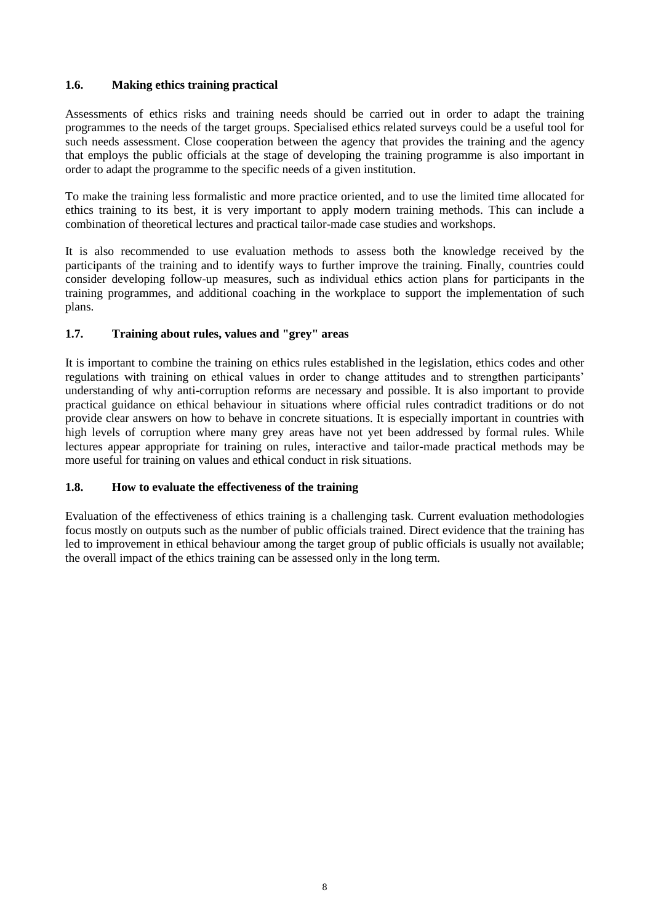## <span id="page-7-0"></span>**1.6. Making ethics training practical**

Assessments of ethics risks and training needs should be carried out in order to adapt the training programmes to the needs of the target groups. Specialised ethics related surveys could be a useful tool for such needs assessment. Close cooperation between the agency that provides the training and the agency that employs the public officials at the stage of developing the training programme is also important in order to adapt the programme to the specific needs of a given institution.

To make the training less formalistic and more practice oriented, and to use the limited time allocated for ethics training to its best, it is very important to apply modern training methods. This can include a combination of theoretical lectures and practical tailor-made case studies and workshops.

It is also recommended to use evaluation methods to assess both the knowledge received by the participants of the training and to identify ways to further improve the training. Finally, countries could consider developing follow-up measures, such as individual ethics action plans for participants in the training programmes, and additional coaching in the workplace to support the implementation of such plans.

## <span id="page-7-1"></span>**1.7. Training about rules, values and "grey" areas**

It is important to combine the training on ethics rules established in the legislation, ethics codes and other regulations with training on ethical values in order to change attitudes and to strengthen participants' understanding of why anti-corruption reforms are necessary and possible. It is also important to provide practical guidance on ethical behaviour in situations where official rules contradict traditions or do not provide clear answers on how to behave in concrete situations. It is especially important in countries with high levels of corruption where many grey areas have not yet been addressed by formal rules. While lectures appear appropriate for training on rules, interactive and tailor-made practical methods may be more useful for training on values and ethical conduct in risk situations.

#### <span id="page-7-2"></span>**1.8. How to evaluate the effectiveness of the training**

Evaluation of the effectiveness of ethics training is a challenging task. Current evaluation methodologies focus mostly on outputs such as the number of public officials trained. Direct evidence that the training has led to improvement in ethical behaviour among the target group of public officials is usually not available; the overall impact of the ethics training can be assessed only in the long term.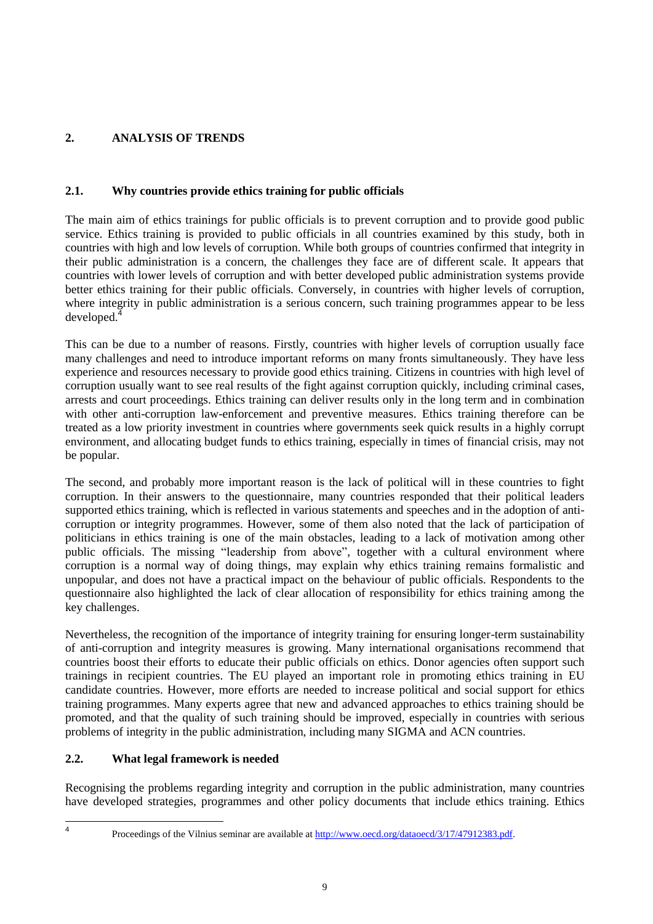# <span id="page-8-0"></span>**2. ANALYSIS OF TRENDS**

# <span id="page-8-1"></span>**2.1. Why countries provide ethics training for public officials**

The main aim of ethics trainings for public officials is to prevent corruption and to provide good public service. Ethics training is provided to public officials in all countries examined by this study, both in countries with high and low levels of corruption. While both groups of countries confirmed that integrity in their public administration is a concern, the challenges they face are of different scale. It appears that countries with lower levels of corruption and with better developed public administration systems provide better ethics training for their public officials. Conversely, in countries with higher levels of corruption, where integrity in public administration is a serious concern, such training programmes appear to be less developed.<sup>4</sup>

This can be due to a number of reasons. Firstly, countries with higher levels of corruption usually face many challenges and need to introduce important reforms on many fronts simultaneously. They have less experience and resources necessary to provide good ethics training. Citizens in countries with high level of corruption usually want to see real results of the fight against corruption quickly, including criminal cases, arrests and court proceedings. Ethics training can deliver results only in the long term and in combination with other anti-corruption law-enforcement and preventive measures. Ethics training therefore can be treated as a low priority investment in countries where governments seek quick results in a highly corrupt environment, and allocating budget funds to ethics training, especially in times of financial crisis, may not be popular.

The second, and probably more important reason is the lack of political will in these countries to fight corruption. In their answers to the questionnaire, many countries responded that their political leaders supported ethics training, which is reflected in various statements and speeches and in the adoption of anticorruption or integrity programmes. However, some of them also noted that the lack of participation of politicians in ethics training is one of the main obstacles, leading to a lack of motivation among other public officials. The missing "leadership from above", together with a cultural environment where corruption is a normal way of doing things, may explain why ethics training remains formalistic and unpopular, and does not have a practical impact on the behaviour of public officials. Respondents to the questionnaire also highlighted the lack of clear allocation of responsibility for ethics training among the key challenges.

Nevertheless, the recognition of the importance of integrity training for ensuring longer-term sustainability of anti-corruption and integrity measures is growing. Many international organisations recommend that countries boost their efforts to educate their public officials on ethics. Donor agencies often support such trainings in recipient countries. The EU played an important role in promoting ethics training in EU candidate countries. However, more efforts are needed to increase political and social support for ethics training programmes. Many experts agree that new and advanced approaches to ethics training should be promoted, and that the quality of such training should be improved, especially in countries with serious problems of integrity in the public administration, including many SIGMA and ACN countries.

# <span id="page-8-2"></span>**2.2. What legal framework is needed**

Recognising the problems regarding integrity and corruption in the public administration, many countries have developed strategies, programmes and other policy documents that include ethics training. Ethics

 $\frac{1}{4}$ 

Proceedings of the Vilnius seminar are available a[t http://www.oecd.org/dataoecd/3/17/47912383.pdf.](http://www.oecd.org/dataoecd/3/17/47912383.pdf)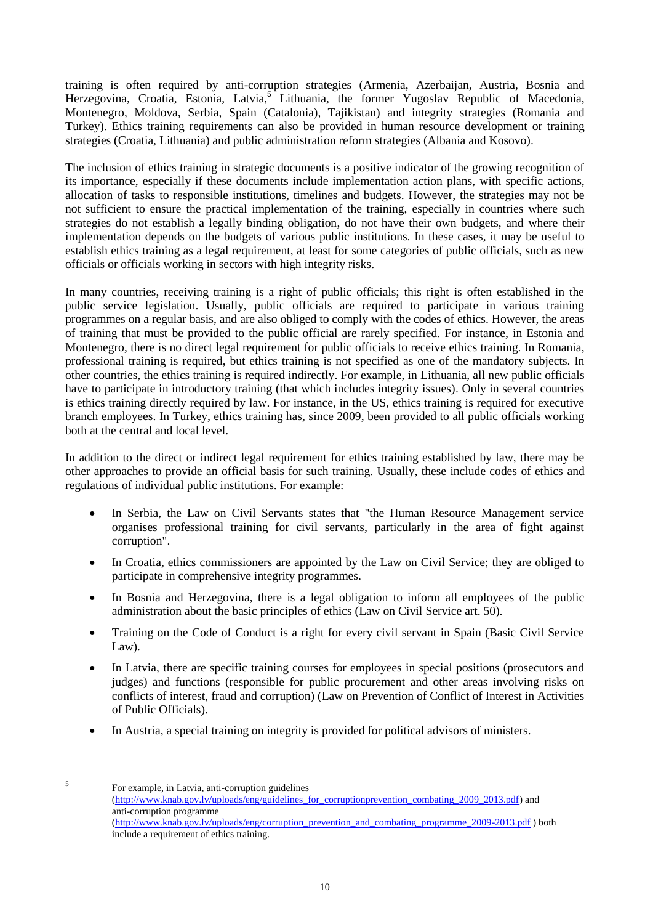training is often required by anti-corruption strategies (Armenia, Azerbaijan, Austria, Bosnia and Herzegovina, Croatia, Estonia, Latvia,<sup>5</sup> Lithuania, the former Yugoslav Republic of Macedonia, Montenegro, Moldova, Serbia, Spain (Catalonia), Tajikistan) and integrity strategies (Romania and Turkey). Ethics training requirements can also be provided in human resource development or training strategies (Croatia, Lithuania) and public administration reform strategies (Albania and Kosovo).

The inclusion of ethics training in strategic documents is a positive indicator of the growing recognition of its importance, especially if these documents include implementation action plans, with specific actions, allocation of tasks to responsible institutions, timelines and budgets. However, the strategies may not be not sufficient to ensure the practical implementation of the training, especially in countries where such strategies do not establish a legally binding obligation, do not have their own budgets, and where their implementation depends on the budgets of various public institutions. In these cases, it may be useful to establish ethics training as a legal requirement, at least for some categories of public officials, such as new officials or officials working in sectors with high integrity risks.

In many countries, receiving training is a right of public officials; this right is often established in the public service legislation. Usually, public officials are required to participate in various training programmes on a regular basis, and are also obliged to comply with the codes of ethics. However, the areas of training that must be provided to the public official are rarely specified. For instance, in Estonia and Montenegro, there is no direct legal requirement for public officials to receive ethics training. In Romania, professional training is required, but ethics training is not specified as one of the mandatory subjects. In other countries, the ethics training is required indirectly. For example, in Lithuania, all new public officials have to participate in introductory training (that which includes integrity issues). Only in several countries is ethics training directly required by law. For instance, in the US, ethics training is required for executive branch employees. In Turkey, ethics training has, since 2009, been provided to all public officials working both at the central and local level.

In addition to the direct or indirect legal requirement for ethics training established by law, there may be other approaches to provide an official basis for such training. Usually, these include codes of ethics and regulations of individual public institutions. For example:

- In Serbia, the Law on Civil Servants states that "the Human Resource Management service organises professional training for civil servants, particularly in the area of fight against corruption".
- In Croatia, ethics commissioners are appointed by the Law on Civil Service; they are obliged to participate in comprehensive integrity programmes.
- In Bosnia and Herzegovina, there is a legal obligation to inform all employees of the public administration about the basic principles of ethics (Law on Civil Service art. 50).
- Training on the Code of Conduct is a right for every civil servant in Spain (Basic Civil Service Law).
- In Latvia, there are specific training courses for employees in special positions (prosecutors and judges) and functions (responsible for public procurement and other areas involving risks on conflicts of interest, fraud and corruption) (Law on Prevention of Conflict of Interest in Activities of Public Officials).
- In Austria, a special training on integrity is provided for political advisors of ministers.
- 5

For example, in Latvia, anti-corruption guidelines

[<sup>\(</sup>http://www.knab.gov.lv/uploads/eng/guidelines\\_for\\_corruptionprevention\\_combating\\_2009\\_2013.pdf\)](http://www.knab.gov.lv/uploads/eng/guidelines_for_corruptionprevention_combating_2009_2013.pdf) and anti-corruption programme

[<sup>\(</sup>http://www.knab.gov.lv/uploads/eng/corruption\\_prevention\\_and\\_combating\\_programme\\_2009-2013.pdf](http://www.knab.gov.lv/uploads/eng/corruption_prevention_and_combating_programme_2009-2013.pdf) ) both include a requirement of ethics training.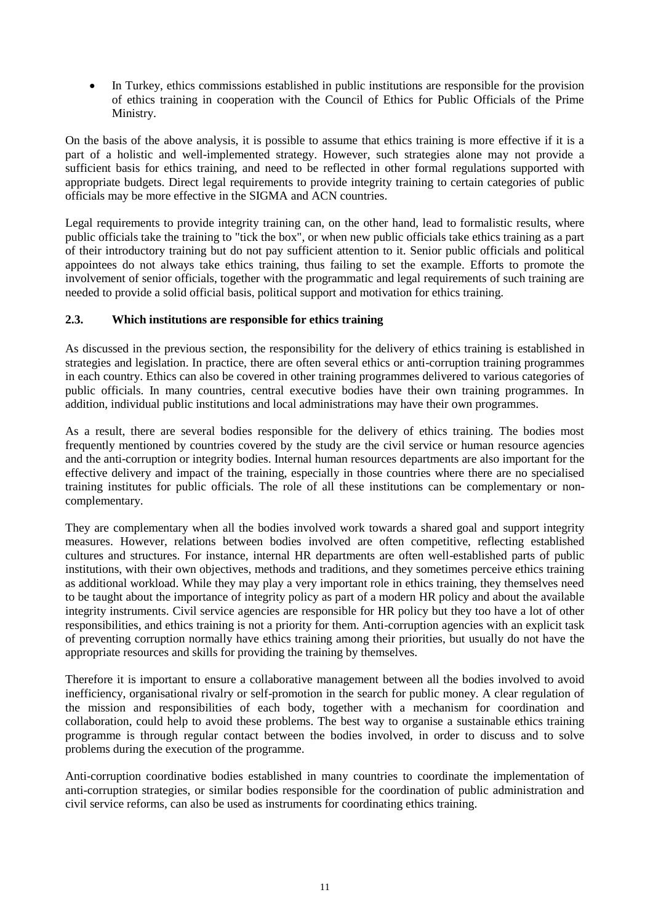In Turkey, ethics commissions established in public institutions are responsible for the provision of ethics training in cooperation with the Council of Ethics for Public Officials of the Prime Ministry.

On the basis of the above analysis, it is possible to assume that ethics training is more effective if it is a part of a holistic and well-implemented strategy. However, such strategies alone may not provide a sufficient basis for ethics training, and need to be reflected in other formal regulations supported with appropriate budgets. Direct legal requirements to provide integrity training to certain categories of public officials may be more effective in the SIGMA and ACN countries.

Legal requirements to provide integrity training can, on the other hand, lead to formalistic results, where public officials take the training to "tick the box", or when new public officials take ethics training as a part of their introductory training but do not pay sufficient attention to it. Senior public officials and political appointees do not always take ethics training, thus failing to set the example. Efforts to promote the involvement of senior officials, together with the programmatic and legal requirements of such training are needed to provide a solid official basis, political support and motivation for ethics training.

## <span id="page-10-0"></span>**2.3. Which institutions are responsible for ethics training**

As discussed in the previous section, the responsibility for the delivery of ethics training is established in strategies and legislation. In practice, there are often several ethics or anti-corruption training programmes in each country. Ethics can also be covered in other training programmes delivered to various categories of public officials. In many countries, central executive bodies have their own training programmes. In addition, individual public institutions and local administrations may have their own programmes.

As a result, there are several bodies responsible for the delivery of ethics training. The bodies most frequently mentioned by countries covered by the study are the civil service or human resource agencies and the anti-corruption or integrity bodies. Internal human resources departments are also important for the effective delivery and impact of the training, especially in those countries where there are no specialised training institutes for public officials. The role of all these institutions can be complementary or noncomplementary.

They are complementary when all the bodies involved work towards a shared goal and support integrity measures. However, relations between bodies involved are often competitive, reflecting established cultures and structures. For instance, internal HR departments are often well-established parts of public institutions, with their own objectives, methods and traditions, and they sometimes perceive ethics training as additional workload. While they may play a very important role in ethics training, they themselves need to be taught about the importance of integrity policy as part of a modern HR policy and about the available integrity instruments. Civil service agencies are responsible for HR policy but they too have a lot of other responsibilities, and ethics training is not a priority for them. Anti-corruption agencies with an explicit task of preventing corruption normally have ethics training among their priorities, but usually do not have the appropriate resources and skills for providing the training by themselves.

Therefore it is important to ensure a collaborative management between all the bodies involved to avoid inefficiency, organisational rivalry or self-promotion in the search for public money. A clear regulation of the mission and responsibilities of each body, together with a mechanism for coordination and collaboration, could help to avoid these problems. The best way to organise a sustainable ethics training programme is through regular contact between the bodies involved, in order to discuss and to solve problems during the execution of the programme.

Anti-corruption coordinative bodies established in many countries to coordinate the implementation of anti-corruption strategies, or similar bodies responsible for the coordination of public administration and civil service reforms, can also be used as instruments for coordinating ethics training.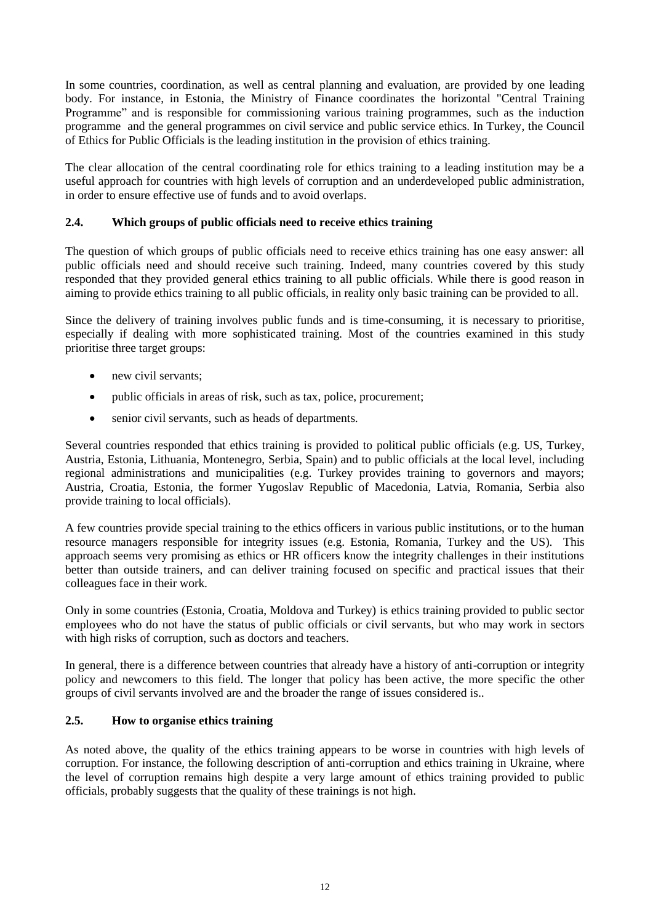In some countries, coordination, as well as central planning and evaluation, are provided by one leading body. For instance, in Estonia, the Ministry of Finance coordinates the horizontal "Central Training Programme" and is responsible for commissioning various training programmes, such as the induction programme and the general programmes on civil service and public service ethics. In Turkey, the Council of Ethics for Public Officials is the leading institution in the provision of ethics training.

The clear allocation of the central coordinating role for ethics training to a leading institution may be a useful approach for countries with high levels of corruption and an underdeveloped public administration, in order to ensure effective use of funds and to avoid overlaps.

## <span id="page-11-0"></span>**2.4. Which groups of public officials need to receive ethics training**

The question of which groups of public officials need to receive ethics training has one easy answer: all public officials need and should receive such training. Indeed, many countries covered by this study responded that they provided general ethics training to all public officials. While there is good reason in aiming to provide ethics training to all public officials, in reality only basic training can be provided to all.

Since the delivery of training involves public funds and is time-consuming, it is necessary to prioritise, especially if dealing with more sophisticated training. Most of the countries examined in this study prioritise three target groups:

- new civil servants:
- public officials in areas of risk, such as tax, police, procurement;
- senior civil servants, such as heads of departments.

Several countries responded that ethics training is provided to political public officials (e.g. US, Turkey, Austria, Estonia, Lithuania, Montenegro, Serbia, Spain) and to public officials at the local level, including regional administrations and municipalities (e.g. Turkey provides training to governors and mayors; Austria, Croatia, Estonia, the former Yugoslav Republic of Macedonia, Latvia, Romania, Serbia also provide training to local officials).

A few countries provide special training to the ethics officers in various public institutions, or to the human resource managers responsible for integrity issues (e.g. Estonia, Romania, Turkey and the US). This approach seems very promising as ethics or HR officers know the integrity challenges in their institutions better than outside trainers, and can deliver training focused on specific and practical issues that their colleagues face in their work.

Only in some countries (Estonia, Croatia, Moldova and Turkey) is ethics training provided to public sector employees who do not have the status of public officials or civil servants, but who may work in sectors with high risks of corruption, such as doctors and teachers.

In general, there is a difference between countries that already have a history of anti-corruption or integrity policy and newcomers to this field. The longer that policy has been active, the more specific the other groups of civil servants involved are and the broader the range of issues considered is..

#### <span id="page-11-1"></span>**2.5. How to organise ethics training**

As noted above, the quality of the ethics training appears to be worse in countries with high levels of corruption. For instance, the following description of anti-corruption and ethics training in Ukraine, where the level of corruption remains high despite a very large amount of ethics training provided to public officials, probably suggests that the quality of these trainings is not high.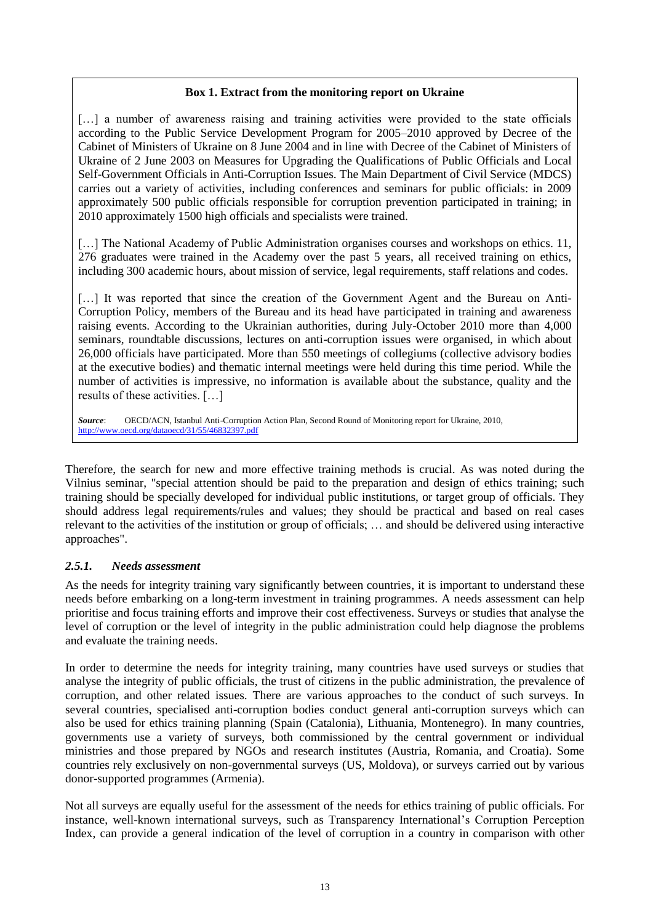#### **Box 1. Extract from the monitoring report on Ukraine**

[...] a number of awareness raising and training activities were provided to the state officials according to the Public Service Development Program for 2005–2010 approved by Decree of the Cabinet of Ministers of Ukraine on 8 June 2004 and in line with Decree of the Cabinet of Ministers of Ukraine of 2 June 2003 on Measures for Upgrading the Qualifications of Public Officials and Local Self-Government Officials in Anti-Corruption Issues. The Main Department of Civil Service (MDCS) carries out a variety of activities, including conferences and seminars for public officials: in 2009 approximately 500 public officials responsible for corruption prevention participated in training; in 2010 approximately 1500 high officials and specialists were trained.

[...] The National Academy of Public Administration organises courses and workshops on ethics. 11, 276 graduates were trained in the Academy over the past 5 years, all received training on ethics, including 300 academic hours, about mission of service, legal requirements, staff relations and codes.

[...] It was reported that since the creation of the Government Agent and the Bureau on Anti-Corruption Policy, members of the Bureau and its head have participated in training and awareness raising events. According to the Ukrainian authorities, during July-October 2010 more than 4,000 seminars, roundtable discussions, lectures on anti-corruption issues were organised, in which about 26,000 officials have participated. More than 550 meetings of collegiums (collective advisory bodies at the executive bodies) and thematic internal meetings were held during this time period. While the number of activities is impressive, no information is available about the substance, quality and the results of these activities. […]

*Source*: OECD/ACN, Istanbul Anti-Corruption Action Plan, Second Round of Monitoring report for Ukraine, 2010, <http://www.oecd.org/dataoecd/31/55/46832397.pdf>

Therefore, the search for new and more effective training methods is crucial. As was noted during the Vilnius seminar, "special attention should be paid to the preparation and design of ethics training; such training should be specially developed for individual public institutions, or target group of officials. They should address legal requirements/rules and values; they should be practical and based on real cases relevant to the activities of the institution or group of officials; … and should be delivered using interactive approaches".

## <span id="page-12-0"></span>*2.5.1. Needs assessment*

As the needs for integrity training vary significantly between countries, it is important to understand these needs before embarking on a long-term investment in training programmes. A needs assessment can help prioritise and focus training efforts and improve their cost effectiveness. Surveys or studies that analyse the level of corruption or the level of integrity in the public administration could help diagnose the problems and evaluate the training needs.

In order to determine the needs for integrity training, many countries have used surveys or studies that analyse the integrity of public officials, the trust of citizens in the public administration, the prevalence of corruption, and other related issues. There are various approaches to the conduct of such surveys. In several countries, specialised anti-corruption bodies conduct general anti-corruption surveys which can also be used for ethics training planning (Spain (Catalonia), Lithuania, Montenegro). In many countries, governments use a variety of surveys, both commissioned by the central government or individual ministries and those prepared by NGOs and research institutes (Austria, Romania, and Croatia). Some countries rely exclusively on non-governmental surveys (US, Moldova), or surveys carried out by various donor-supported programmes (Armenia).

Not all surveys are equally useful for the assessment of the needs for ethics training of public officials. For instance, well-known international surveys, such as Transparency International's Corruption Perception Index, can provide a general indication of the level of corruption in a country in comparison with other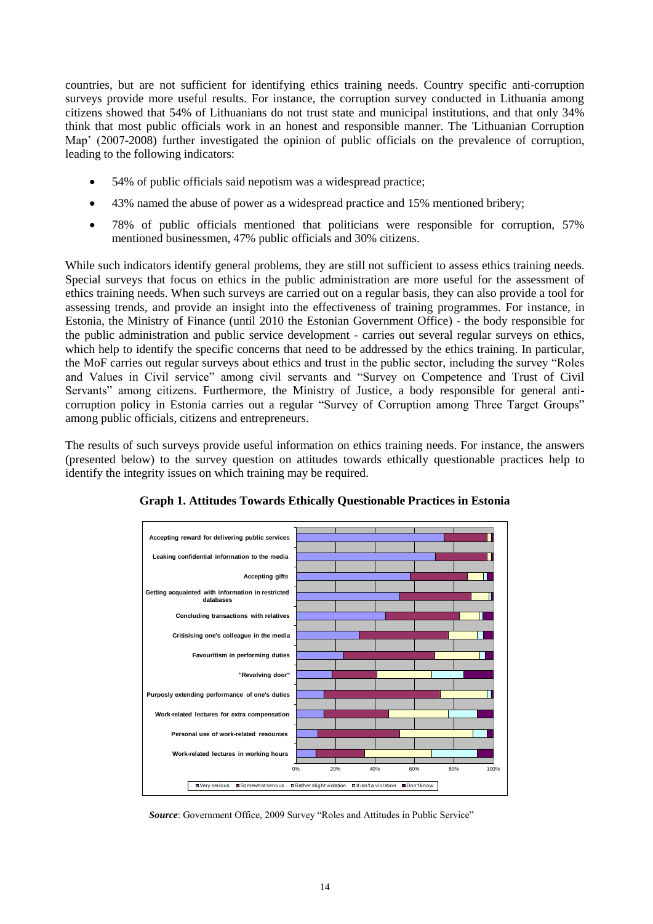countries, but are not sufficient for identifying ethics training needs. Country specific anti-corruption surveys provide more useful results. For instance, the corruption survey conducted in Lithuania among citizens showed that 54% of Lithuanians do not trust state and municipal institutions, and that only 34% think that most public officials work in an honest and responsible manner. The 'Lithuanian Corruption Map' (2007-2008) further investigated the opinion of public officials on the prevalence of corruption, leading to the following indicators:

- 54% of public officials said nepotism was a widespread practice;
- 43% named the abuse of power as a widespread practice and 15% mentioned bribery;
- 78% of public officials mentioned that politicians were responsible for corruption, 57% mentioned businessmen, 47% public officials and 30% citizens.

While such indicators identify general problems, they are still not sufficient to assess ethics training needs. Special surveys that focus on ethics in the public administration are more useful for the assessment of ethics training needs. When such surveys are carried out on a regular basis, they can also provide a tool for assessing trends, and provide an insight into the effectiveness of training programmes. For instance, in Estonia, the Ministry of Finance (until 2010 the Estonian Government Office) - the body responsible for the public administration and public service development - carries out several regular surveys on ethics, which help to identify the specific concerns that need to be addressed by the ethics training. In particular, the MoF carries out regular surveys about ethics and trust in the public sector, including the survey "Roles" and Values in Civil service" among civil servants and "Survey on Competence and Trust of Civil Servants" among citizens. Furthermore, the Ministry of Justice, a body responsible for general anticorruption policy in Estonia carries out a regular "Survey of Corruption among Three Target Groups" among public officials, citizens and entrepreneurs.

The results of such surveys provide useful information on ethics training needs. For instance, the answers (presented below) to the survey question on attitudes towards ethically questionable practices help to identify the integrity issues on which training may be required.



**Graph 1. Attitudes Towards Ethically Questionable Practices in Estonia**

**Source:** Government Office, 2009 Survey "Roles and Attitudes in Public Service"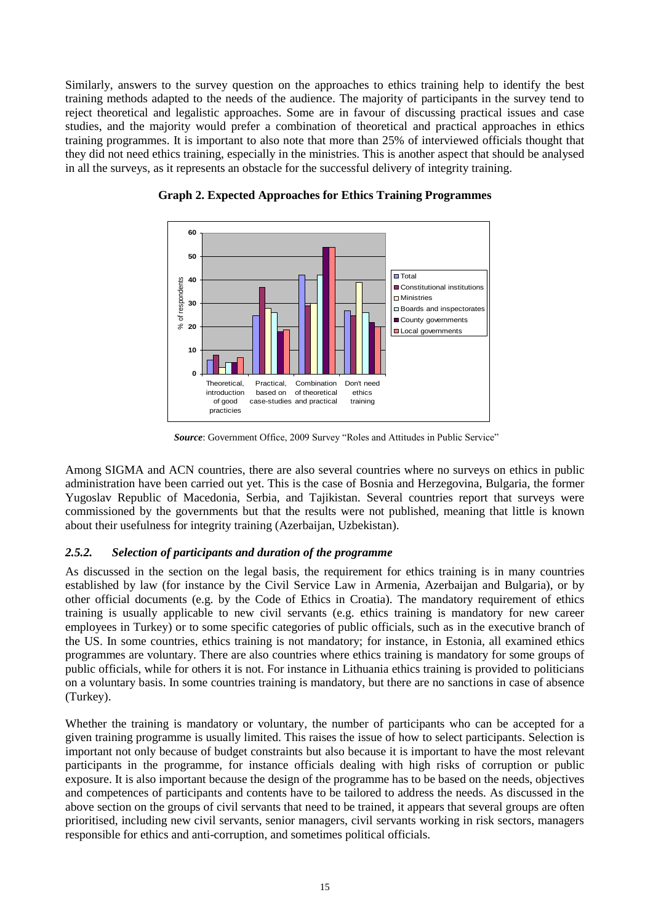Similarly, answers to the survey question on the approaches to ethics training help to identify the best training methods adapted to the needs of the audience. The majority of participants in the survey tend to reject theoretical and legalistic approaches. Some are in favour of discussing practical issues and case studies, and the majority would prefer a combination of theoretical and practical approaches in ethics training programmes. It is important to also note that more than 25% of interviewed officials thought that they did not need ethics training, especially in the ministries. This is another aspect that should be analysed in all the surveys, as it represents an obstacle for the successful delivery of integrity training.



**Graph 2. Expected Approaches for Ethics Training Programmes**

**Source:** Government Office, 2009 Survey "Roles and Attitudes in Public Service"

Among SIGMA and ACN countries, there are also several countries where no surveys on ethics in public administration have been carried out yet. This is the case of Bosnia and Herzegovina, Bulgaria, the former Yugoslav Republic of Macedonia, Serbia, and Tajikistan. Several countries report that surveys were commissioned by the governments but that the results were not published, meaning that little is known about their usefulness for integrity training (Azerbaijan, Uzbekistan).

## <span id="page-14-0"></span>*2.5.2. Selection of participants and duration of the programme*

As discussed in the section on the legal basis, the requirement for ethics training is in many countries established by law (for instance by the Civil Service Law in Armenia, Azerbaijan and Bulgaria), or by other official documents (e.g. by the Code of Ethics in Croatia). The mandatory requirement of ethics training is usually applicable to new civil servants (e.g. ethics training is mandatory for new career employees in Turkey) or to some specific categories of public officials, such as in the executive branch of the US. In some countries, ethics training is not mandatory; for instance, in Estonia, all examined ethics programmes are voluntary. There are also countries where ethics training is mandatory for some groups of public officials, while for others it is not. For instance in Lithuania ethics training is provided to politicians on a voluntary basis. In some countries training is mandatory, but there are no sanctions in case of absence (Turkey).

Whether the training is mandatory or voluntary, the number of participants who can be accepted for a given training programme is usually limited. This raises the issue of how to select participants. Selection is important not only because of budget constraints but also because it is important to have the most relevant participants in the programme, for instance officials dealing with high risks of corruption or public exposure. It is also important because the design of the programme has to be based on the needs, objectives and competences of participants and contents have to be tailored to address the needs. As discussed in the above section on the groups of civil servants that need to be trained, it appears that several groups are often prioritised, including new civil servants, senior managers, civil servants working in risk sectors, managers responsible for ethics and anti-corruption, and sometimes political officials.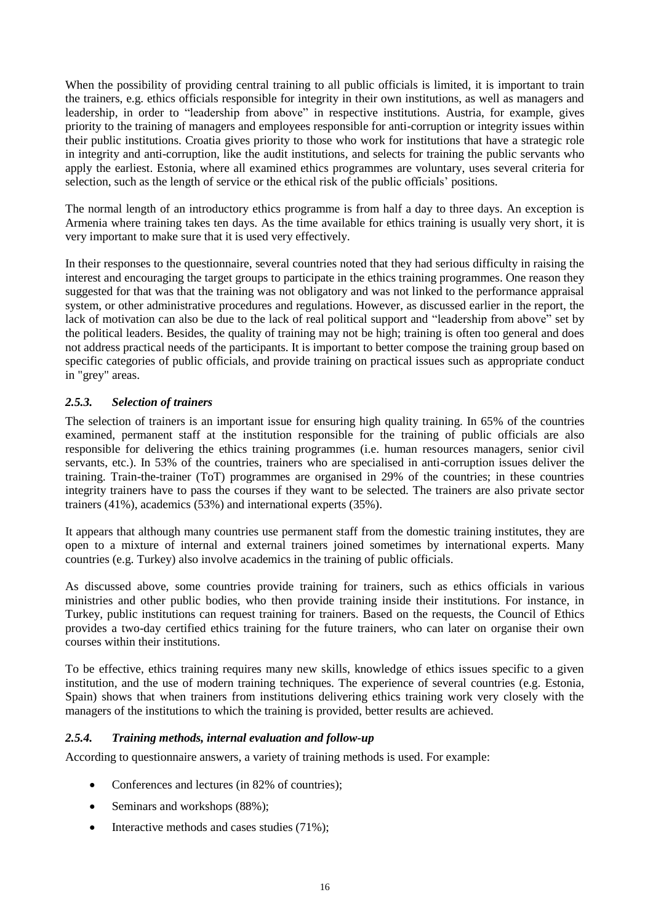When the possibility of providing central training to all public officials is limited, it is important to train the trainers, e.g. ethics officials responsible for integrity in their own institutions, as well as managers and leadership, in order to "leadership from above" in respective institutions. Austria, for example, gives priority to the training of managers and employees responsible for anti-corruption or integrity issues within their public institutions. Croatia gives priority to those who work for institutions that have a strategic role in integrity and anti-corruption, like the audit institutions, and selects for training the public servants who apply the earliest. Estonia, where all examined ethics programmes are voluntary, uses several criteria for selection, such as the length of service or the ethical risk of the public officials' positions.

The normal length of an introductory ethics programme is from half a day to three days. An exception is Armenia where training takes ten days. As the time available for ethics training is usually very short, it is very important to make sure that it is used very effectively.

In their responses to the questionnaire, several countries noted that they had serious difficulty in raising the interest and encouraging the target groups to participate in the ethics training programmes. One reason they suggested for that was that the training was not obligatory and was not linked to the performance appraisal system, or other administrative procedures and regulations. However, as discussed earlier in the report, the lack of motivation can also be due to the lack of real political support and "leadership from above" set by the political leaders. Besides, the quality of training may not be high; training is often too general and does not address practical needs of the participants. It is important to better compose the training group based on specific categories of public officials, and provide training on practical issues such as appropriate conduct in "grey" areas.

## <span id="page-15-0"></span>*2.5.3. Selection of trainers*

The selection of trainers is an important issue for ensuring high quality training. In 65% of the countries examined, permanent staff at the institution responsible for the training of public officials are also responsible for delivering the ethics training programmes (i.e. human resources managers, senior civil servants, etc.). In 53% of the countries, trainers who are specialised in anti-corruption issues deliver the training. Train-the-trainer (ToT) programmes are organised in 29% of the countries; in these countries integrity trainers have to pass the courses if they want to be selected. The trainers are also private sector trainers (41%), academics (53%) and international experts (35%).

It appears that although many countries use permanent staff from the domestic training institutes, they are open to a mixture of internal and external trainers joined sometimes by international experts. Many countries (e.g. Turkey) also involve academics in the training of public officials.

As discussed above, some countries provide training for trainers, such as ethics officials in various ministries and other public bodies, who then provide training inside their institutions. For instance, in Turkey, public institutions can request training for trainers. Based on the requests, the Council of Ethics provides a two-day certified ethics training for the future trainers, who can later on organise their own courses within their institutions.

To be effective, ethics training requires many new skills, knowledge of ethics issues specific to a given institution, and the use of modern training techniques. The experience of several countries (e.g. Estonia, Spain) shows that when trainers from institutions delivering ethics training work very closely with the managers of the institutions to which the training is provided, better results are achieved.

#### <span id="page-15-1"></span>*2.5.4. Training methods, internal evaluation and follow-up*

According to questionnaire answers, a variety of training methods is used. For example:

- Conferences and lectures (in 82% of countries);
- Seminars and workshops (88%);
- Interactive methods and cases studies (71%);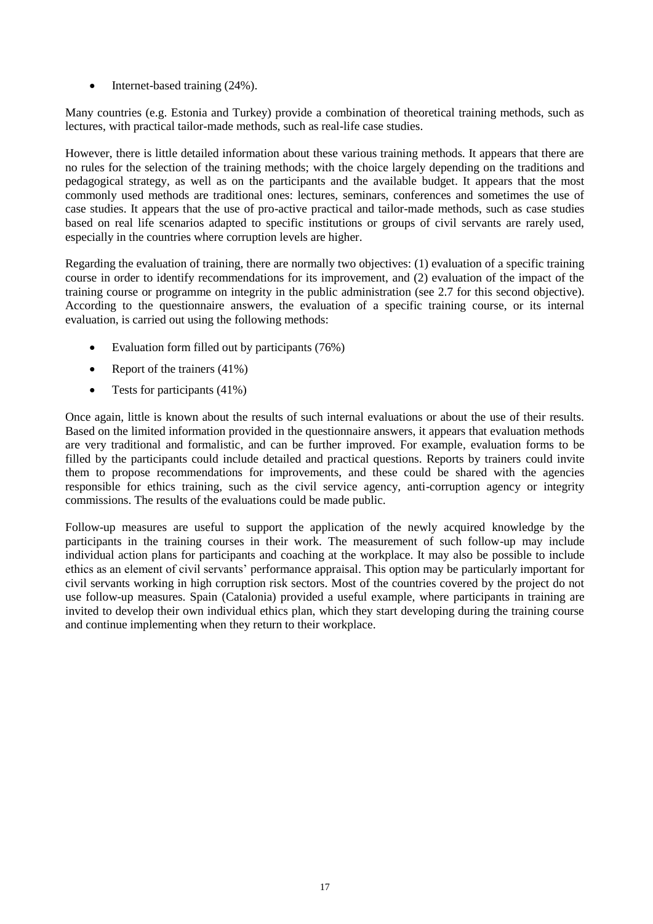$\bullet$  Internet-based training (24%).

Many countries (e.g. Estonia and Turkey) provide a combination of theoretical training methods, such as lectures, with practical tailor-made methods, such as real-life case studies.

However, there is little detailed information about these various training methods. It appears that there are no rules for the selection of the training methods; with the choice largely depending on the traditions and pedagogical strategy, as well as on the participants and the available budget. It appears that the most commonly used methods are traditional ones: lectures, seminars, conferences and sometimes the use of case studies. It appears that the use of pro-active practical and tailor-made methods, such as case studies based on real life scenarios adapted to specific institutions or groups of civil servants are rarely used, especially in the countries where corruption levels are higher.

Regarding the evaluation of training, there are normally two objectives: (1) evaluation of a specific training course in order to identify recommendations for its improvement, and (2) evaluation of the impact of the training course or programme on integrity in the public administration (see 2.7 for this second objective). According to the questionnaire answers, the evaluation of a specific training course, or its internal evaluation, is carried out using the following methods:

- Evaluation form filled out by participants  $(76%)$
- Report of the trainers  $(41\%)$
- Tests for participants  $(41\%)$

Once again, little is known about the results of such internal evaluations or about the use of their results. Based on the limited information provided in the questionnaire answers, it appears that evaluation methods are very traditional and formalistic, and can be further improved. For example, evaluation forms to be filled by the participants could include detailed and practical questions. Reports by trainers could invite them to propose recommendations for improvements, and these could be shared with the agencies responsible for ethics training, such as the civil service agency, anti-corruption agency or integrity commissions. The results of the evaluations could be made public.

Follow-up measures are useful to support the application of the newly acquired knowledge by the participants in the training courses in their work. The measurement of such follow-up may include individual action plans for participants and coaching at the workplace. It may also be possible to include ethics as an element of civil servants' performance appraisal. This option may be particularly important for civil servants working in high corruption risk sectors. Most of the countries covered by the project do not use follow-up measures. Spain (Catalonia) provided a useful example, where participants in training are invited to develop their own individual ethics plan, which they start developing during the training course and continue implementing when they return to their workplace.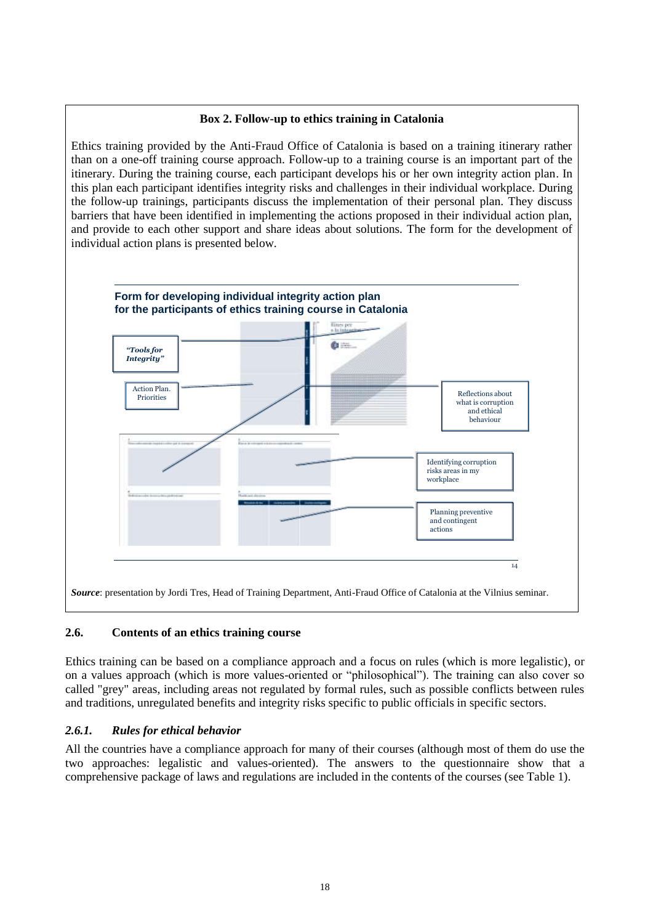# **Box 2. Follow-up to ethics training in Catalonia**

Ethics training provided by the Anti-Fraud Office of Catalonia is based on a training itinerary rather than on a one-off training course approach. Follow-up to a training course is an important part of the itinerary. During the training course, each participant develops his or her own integrity action plan. In this plan each participant identifies integrity risks and challenges in their individual workplace. During the follow-up trainings, participants discuss the implementation of their personal plan. They discuss barriers that have been identified in implementing the actions proposed in their individual action plan, and provide to each other support and share ideas about solutions. The form for the development of individual action plans is presented below.



# <span id="page-17-0"></span>**2.6. Contents of an ethics training course**

Ethics training can be based on a compliance approach and a focus on rules (which is more legalistic), or on a values approach (which is more values-oriented or "philosophical"). The training can also cover so called "grey" areas, including areas not regulated by formal rules, such as possible conflicts between rules and traditions, unregulated benefits and integrity risks specific to public officials in specific sectors.

# <span id="page-17-1"></span>*2.6.1. Rules for ethical behavior*

All the countries have a compliance approach for many of their courses (although most of them do use the two approaches: legalistic and values-oriented). The answers to the questionnaire show that a comprehensive package of laws and regulations are included in the contents of the courses (see Table 1).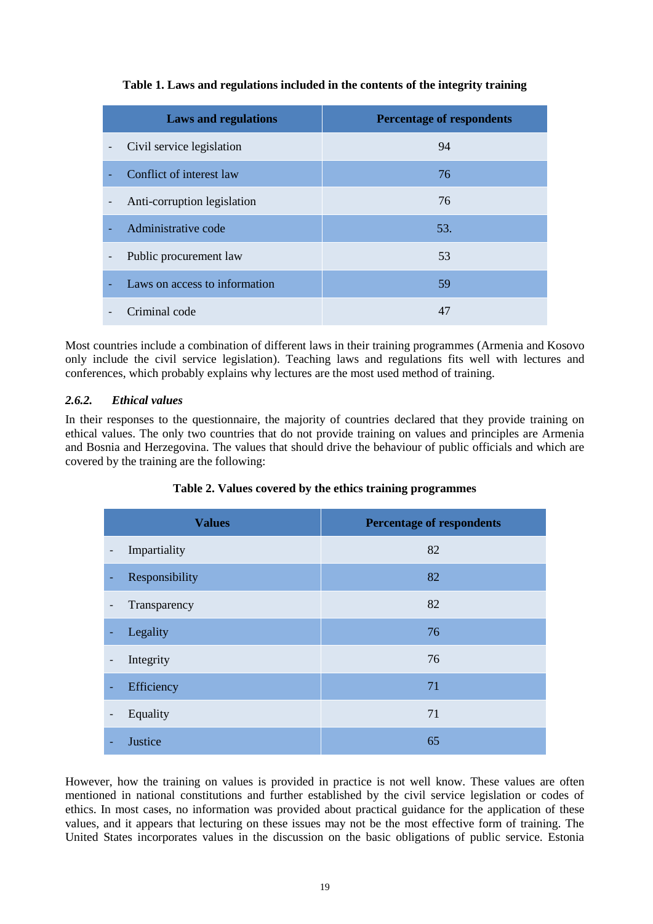| <b>Laws and regulations</b>                             | <b>Percentage of respondents</b> |
|---------------------------------------------------------|----------------------------------|
| Civil service legislation                               | 94                               |
| Conflict of interest law                                | 76                               |
| Anti-corruption legislation<br>$\overline{\phantom{a}}$ | 76                               |
| Administrative code                                     | 53.                              |
| Public procurement law<br>$\overline{\phantom{a}}$      | 53                               |
| Laws on access to information                           | 59                               |
| Criminal code                                           | 47                               |

# **Table 1. Laws and regulations included in the contents of the integrity training**

Most countries include a combination of different laws in their training programmes (Armenia and Kosovo only include the civil service legislation). Teaching laws and regulations fits well with lectures and conferences, which probably explains why lectures are the most used method of training.

# <span id="page-18-0"></span>*2.6.2. Ethical values*

In their responses to the questionnaire, the majority of countries declared that they provide training on ethical values. The only two countries that do not provide training on values and principles are Armenia and Bosnia and Herzegovina. The values that should drive the behaviour of public officials and which are covered by the training are the following:

|                              | <b>Values</b>  | <b>Percentage of respondents</b> |
|------------------------------|----------------|----------------------------------|
| -                            | Impartiality   | 82                               |
| ٠                            | Responsibility | 82                               |
| $\qquad \qquad \blacksquare$ | Transparency   | 82                               |
| ٠                            | Legality       | 76                               |
| $\qquad \qquad \blacksquare$ | Integrity      | 76                               |
| $\overline{\phantom{0}}$     | Efficiency     | 71                               |
| $\overline{\phantom{a}}$     | Equality       | 71                               |
|                              | Justice        | 65                               |

# **Table 2. Values covered by the ethics training programmes**

However, how the training on values is provided in practice is not well know. These values are often mentioned in national constitutions and further established by the civil service legislation or codes of ethics. In most cases, no information was provided about practical guidance for the application of these values, and it appears that lecturing on these issues may not be the most effective form of training. The United States incorporates values in the discussion on the basic obligations of public service. Estonia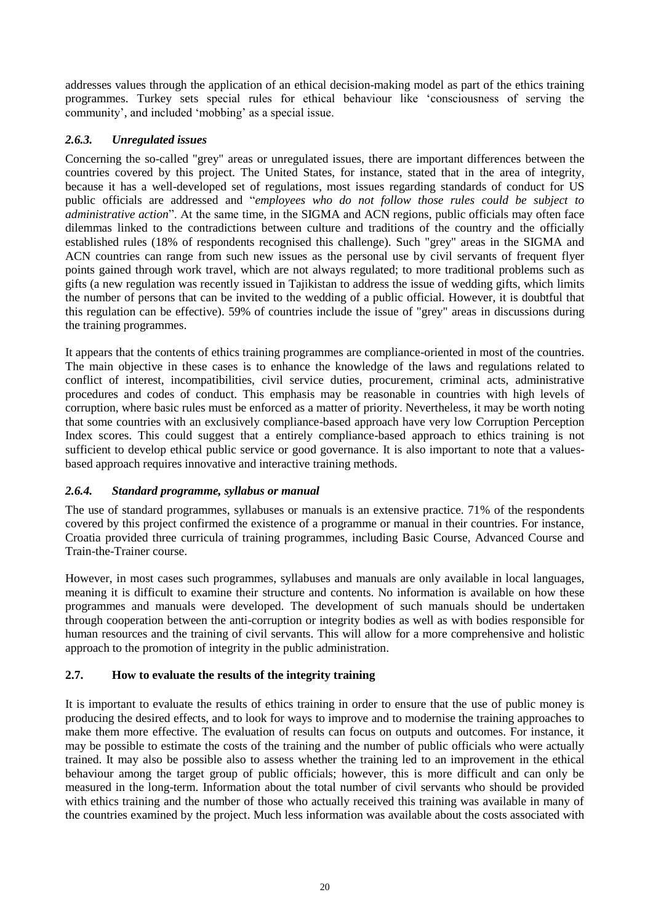addresses values through the application of an ethical decision-making model as part of the ethics training programmes. Turkey sets special rules for ethical behaviour like ‗consciousness of serving the community', and included 'mobbing' as a special issue.

# <span id="page-19-0"></span>*2.6.3. Unregulated issues*

Concerning the so-called "grey" areas or unregulated issues, there are important differences between the countries covered by this project. The United States, for instance, stated that in the area of integrity, because it has a well-developed set of regulations, most issues regarding standards of conduct for US public officials are addressed and "*employees who do not follow those rules could be subject to administrative action*". At the same time, in the SIGMA and ACN regions, public officials may often face dilemmas linked to the contradictions between culture and traditions of the country and the officially established rules (18% of respondents recognised this challenge). Such "grey" areas in the SIGMA and ACN countries can range from such new issues as the personal use by civil servants of frequent flyer points gained through work travel, which are not always regulated; to more traditional problems such as gifts (a new regulation was recently issued in Tajikistan to address the issue of wedding gifts, which limits the number of persons that can be invited to the wedding of a public official. However, it is doubtful that this regulation can be effective). 59% of countries include the issue of "grey" areas in discussions during the training programmes.

It appears that the contents of ethics training programmes are compliance-oriented in most of the countries. The main objective in these cases is to enhance the knowledge of the laws and regulations related to conflict of interest, incompatibilities, civil service duties, procurement, criminal acts, administrative procedures and codes of conduct. This emphasis may be reasonable in countries with high levels of corruption, where basic rules must be enforced as a matter of priority. Nevertheless, it may be worth noting that some countries with an exclusively compliance-based approach have very low Corruption Perception Index scores. This could suggest that a entirely compliance-based approach to ethics training is not sufficient to develop ethical public service or good governance. It is also important to note that a valuesbased approach requires innovative and interactive training methods.

## <span id="page-19-1"></span>*2.6.4. Standard programme, syllabus or manual*

The use of standard programmes, syllabuses or manuals is an extensive practice. 71% of the respondents covered by this project confirmed the existence of a programme or manual in their countries. For instance, Croatia provided three curricula of training programmes, including Basic Course, Advanced Course and Train-the-Trainer course.

However, in most cases such programmes, syllabuses and manuals are only available in local languages, meaning it is difficult to examine their structure and contents. No information is available on how these programmes and manuals were developed. The development of such manuals should be undertaken through cooperation between the anti-corruption or integrity bodies as well as with bodies responsible for human resources and the training of civil servants. This will allow for a more comprehensive and holistic approach to the promotion of integrity in the public administration.

# <span id="page-19-2"></span>**2.7. How to evaluate the results of the integrity training**

It is important to evaluate the results of ethics training in order to ensure that the use of public money is producing the desired effects, and to look for ways to improve and to modernise the training approaches to make them more effective. The evaluation of results can focus on outputs and outcomes. For instance, it may be possible to estimate the costs of the training and the number of public officials who were actually trained. It may also be possible also to assess whether the training led to an improvement in the ethical behaviour among the target group of public officials; however, this is more difficult and can only be measured in the long-term. Information about the total number of civil servants who should be provided with ethics training and the number of those who actually received this training was available in many of the countries examined by the project. Much less information was available about the costs associated with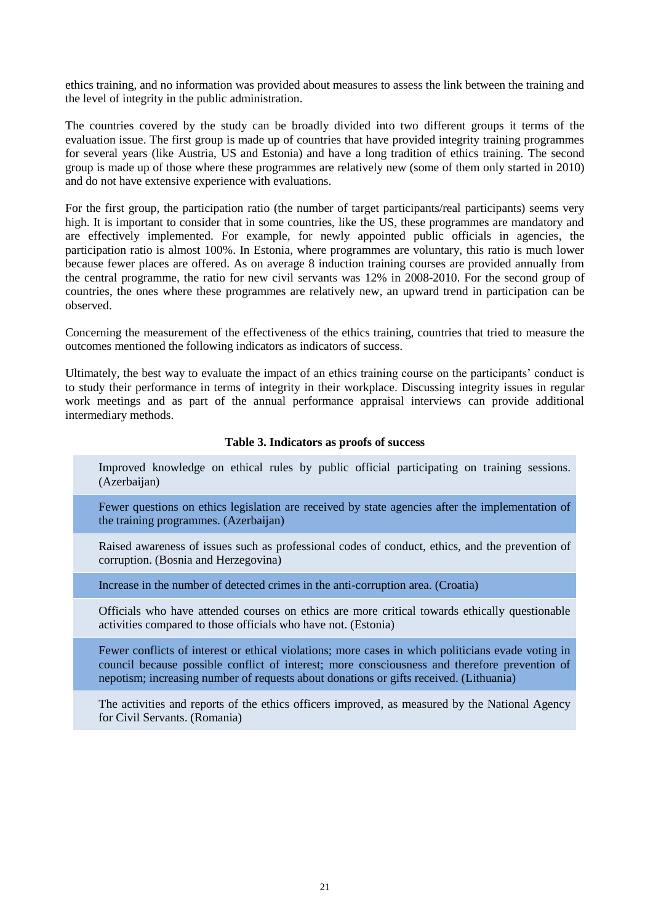ethics training, and no information was provided about measures to assess the link between the training and the level of integrity in the public administration.

The countries covered by the study can be broadly divided into two different groups it terms of the evaluation issue. The first group is made up of countries that have provided integrity training programmes for several years (like Austria, US and Estonia) and have a long tradition of ethics training. The second group is made up of those where these programmes are relatively new (some of them only started in 2010) and do not have extensive experience with evaluations.

For the first group, the participation ratio (the number of target participants/real participants) seems very high. It is important to consider that in some countries, like the US, these programmes are mandatory and are effectively implemented. For example, for newly appointed public officials in agencies, the participation ratio is almost 100%. In Estonia, where programmes are voluntary, this ratio is much lower because fewer places are offered. As on average 8 induction training courses are provided annually from the central programme, the ratio for new civil servants was 12% in 2008-2010. For the second group of countries, the ones where these programmes are relatively new, an upward trend in participation can be observed.

Concerning the measurement of the effectiveness of the ethics training, countries that tried to measure the outcomes mentioned the following indicators as indicators of success.

Ultimately, the best way to evaluate the impact of an ethics training course on the participants' conduct is to study their performance in terms of integrity in their workplace. Discussing integrity issues in regular work meetings and as part of the annual performance appraisal interviews can provide additional intermediary methods.

#### **Table 3. Indicators as proofs of success**

Improved knowledge on ethical rules by public official participating on training sessions. (Azerbaijan)

Fewer questions on ethics legislation are received by state agencies after the implementation of the training programmes. (Azerbaijan)

Raised awareness of issues such as professional codes of conduct, ethics, and the prevention of corruption. (Bosnia and Herzegovina)

Increase in the number of detected crimes in the anti-corruption area. (Croatia)

Officials who have attended courses on ethics are more critical towards ethically questionable activities compared to those officials who have not. (Estonia)

Fewer conflicts of interest or ethical violations; more cases in which politicians evade voting in council because possible conflict of interest; more consciousness and therefore prevention of nepotism; increasing number of requests about donations or gifts received. (Lithuania)

The activities and reports of the ethics officers improved, as measured by the National Agency for Civil Servants. (Romania)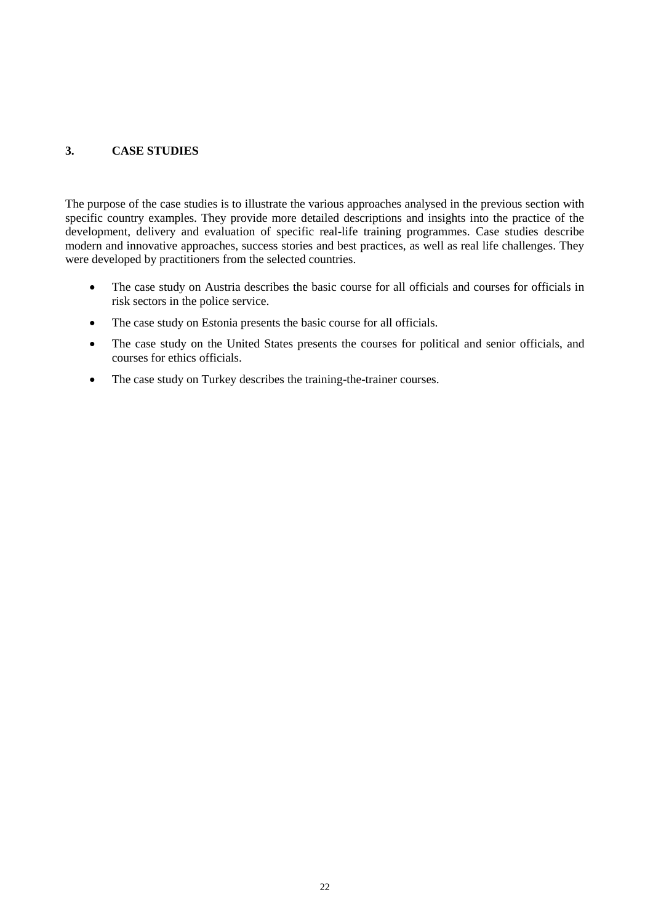# <span id="page-21-0"></span>**3. CASE STUDIES**

The purpose of the case studies is to illustrate the various approaches analysed in the previous section with specific country examples. They provide more detailed descriptions and insights into the practice of the development, delivery and evaluation of specific real-life training programmes. Case studies describe modern and innovative approaches, success stories and best practices, as well as real life challenges. They were developed by practitioners from the selected countries.

- The case study on Austria describes the basic course for all officials and courses for officials in risk sectors in the police service.
- The case study on Estonia presents the basic course for all officials.
- The case study on the United States presents the courses for political and senior officials, and courses for ethics officials.
- The case study on Turkey describes the training-the-trainer courses.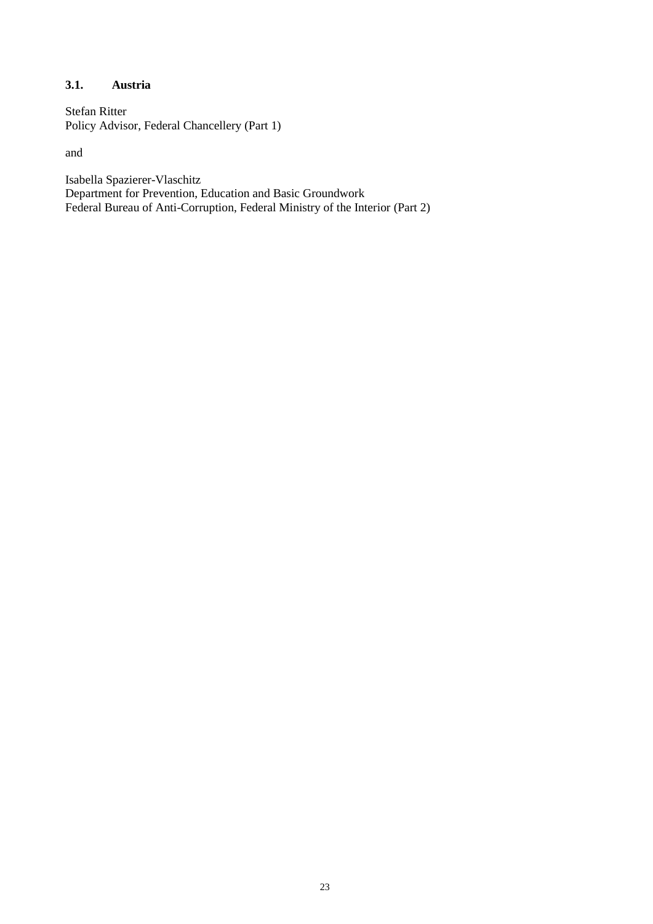## <span id="page-22-0"></span>**3.1. Austria**

Stefan Ritter Policy Advisor, Federal Chancellery (Part 1)

and

Isabella Spazierer-Vlaschitz Department for Prevention, Education and Basic Groundwork Federal Bureau of Anti-Corruption, Federal Ministry of the Interior (Part 2)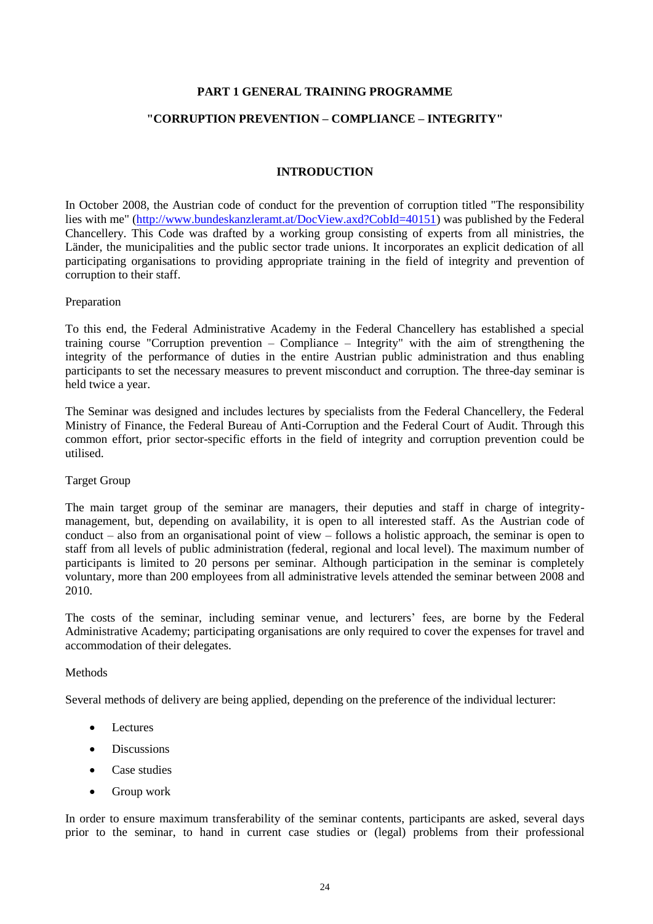#### **PART 1 GENERAL TRAINING PROGRAMME**

#### **"CORRUPTION PREVENTION – COMPLIANCE – INTEGRITY"**

#### **INTRODUCTION**

In October 2008, the Austrian code of conduct for the prevention of corruption titled "The responsibility lies with me" [\(http://www.bundeskanzleramt.at/DocView.axd?CobId=40151\)](http://www.bundeskanzleramt.at/DocView.axd?CobId=40151) was published by the Federal Chancellery. This Code was drafted by a working group consisting of experts from all ministries, the Länder, the municipalities and the public sector trade unions. It incorporates an explicit dedication of all participating organisations to providing appropriate training in the field of integrity and prevention of corruption to their staff.

#### Preparation

To this end, the Federal Administrative Academy in the Federal Chancellery has established a special training course "Corruption prevention – Compliance – Integrity" with the aim of strengthening the integrity of the performance of duties in the entire Austrian public administration and thus enabling participants to set the necessary measures to prevent misconduct and corruption. The three-day seminar is held twice a year.

The Seminar was designed and includes lectures by specialists from the Federal Chancellery, the Federal Ministry of Finance, the Federal Bureau of Anti-Corruption and the Federal Court of Audit. Through this common effort, prior sector-specific efforts in the field of integrity and corruption prevention could be utilised.

#### Target Group

The main target group of the seminar are managers, their deputies and staff in charge of integritymanagement, but, depending on availability, it is open to all interested staff. As the Austrian code of conduct – also from an organisational point of view – follows a holistic approach, the seminar is open to staff from all levels of public administration (federal, regional and local level). The maximum number of participants is limited to 20 persons per seminar. Although participation in the seminar is completely voluntary, more than 200 employees from all administrative levels attended the seminar between 2008 and 2010.

The costs of the seminar, including seminar venue, and lecturers' fees, are borne by the Federal Administrative Academy; participating organisations are only required to cover the expenses for travel and accommodation of their delegates.

#### **Methods**

Several methods of delivery are being applied, depending on the preference of the individual lecturer:

- Lectures
- Discussions
- Case studies
- Group work

In order to ensure maximum transferability of the seminar contents, participants are asked, several days prior to the seminar, to hand in current case studies or (legal) problems from their professional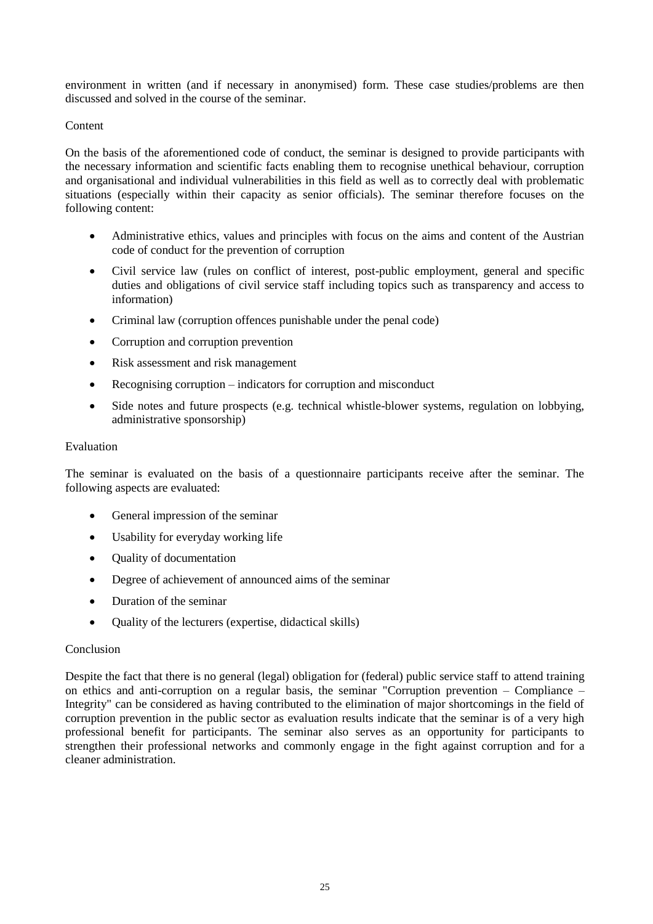environment in written (and if necessary in anonymised) form. These case studies/problems are then discussed and solved in the course of the seminar.

#### Content

On the basis of the aforementioned code of conduct, the seminar is designed to provide participants with the necessary information and scientific facts enabling them to recognise unethical behaviour, corruption and organisational and individual vulnerabilities in this field as well as to correctly deal with problematic situations (especially within their capacity as senior officials). The seminar therefore focuses on the following content:

- Administrative ethics, values and principles with focus on the aims and content of the Austrian code of conduct for the prevention of corruption
- Civil service law (rules on conflict of interest, post-public employment, general and specific duties and obligations of civil service staff including topics such as transparency and access to information)
- Criminal law (corruption offences punishable under the penal code)
- Corruption and corruption prevention
- Risk assessment and risk management
- Recognising corruption indicators for corruption and misconduct
- Side notes and future prospects (e.g. technical whistle-blower systems, regulation on lobbying, administrative sponsorship)

#### Evaluation

The seminar is evaluated on the basis of a questionnaire participants receive after the seminar. The following aspects are evaluated:

- General impression of the seminar
- Usability for everyday working life
- Quality of documentation
- Degree of achievement of announced aims of the seminar
- Duration of the seminar
- Ouality of the lecturers (expertise, didactical skills)

#### Conclusion

Despite the fact that there is no general (legal) obligation for (federal) public service staff to attend training on ethics and anti-corruption on a regular basis, the seminar "Corruption prevention – Compliance – Integrity" can be considered as having contributed to the elimination of major shortcomings in the field of corruption prevention in the public sector as evaluation results indicate that the seminar is of a very high professional benefit for participants. The seminar also serves as an opportunity for participants to strengthen their professional networks and commonly engage in the fight against corruption and for a cleaner administration.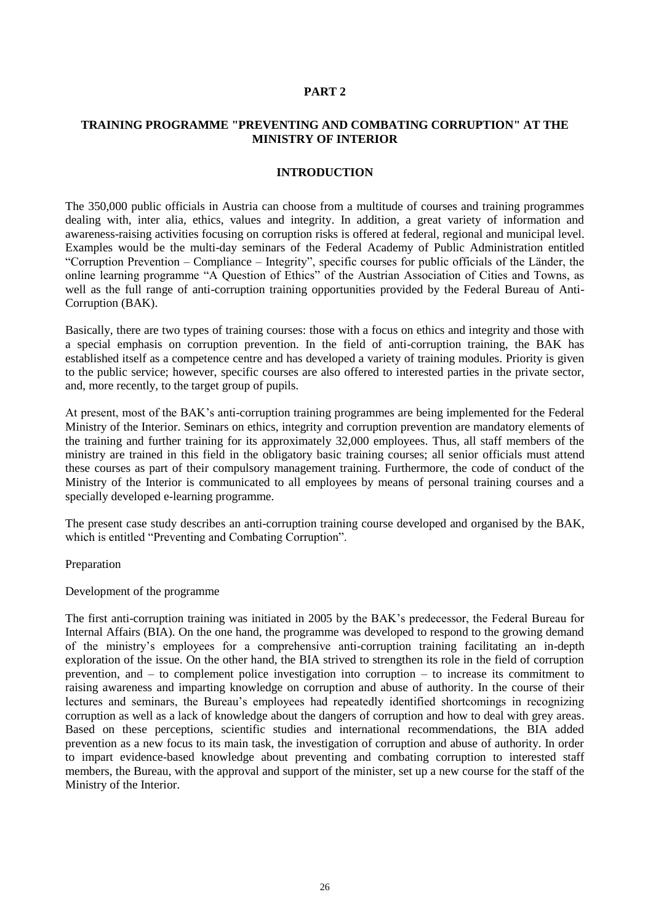#### **PART 2**

#### **TRAINING PROGRAMME "PREVENTING AND COMBATING CORRUPTION" AT THE MINISTRY OF INTERIOR**

#### **INTRODUCTION**

The 350,000 public officials in Austria can choose from a multitude of courses and training programmes dealing with, inter alia, ethics, values and integrity. In addition, a great variety of information and awareness-raising activities focusing on corruption risks is offered at federal, regional and municipal level. Examples would be the multi-day seminars of the Federal Academy of Public Administration entitled ―Corruption Prevention – Compliance – Integrity‖, specific courses for public officials of the Länder, the online learning programme "A Question of Ethics" of the Austrian Association of Cities and Towns, as well as the full range of anti-corruption training opportunities provided by the Federal Bureau of Anti-Corruption (BAK).

Basically, there are two types of training courses: those with a focus on ethics and integrity and those with a special emphasis on corruption prevention. In the field of anti-corruption training, the BAK has established itself as a competence centre and has developed a variety of training modules. Priority is given to the public service; however, specific courses are also offered to interested parties in the private sector, and, more recently, to the target group of pupils.

At present, most of the BAK's anti-corruption training programmes are being implemented for the Federal Ministry of the Interior. Seminars on ethics, integrity and corruption prevention are mandatory elements of the training and further training for its approximately 32,000 employees. Thus, all staff members of the ministry are trained in this field in the obligatory basic training courses; all senior officials must attend these courses as part of their compulsory management training. Furthermore, the code of conduct of the Ministry of the Interior is communicated to all employees by means of personal training courses and a specially developed e-learning programme.

The present case study describes an anti-corruption training course developed and organised by the BAK, which is entitled "Preventing and Combating Corruption".

Preparation

Development of the programme

The first anti-corruption training was initiated in 2005 by the BAK's predecessor, the Federal Bureau for Internal Affairs (BIA). On the one hand, the programme was developed to respond to the growing demand of the ministry's employees for a comprehensive anti-corruption training facilitating an in-depth exploration of the issue. On the other hand, the BIA strived to strengthen its role in the field of corruption prevention, and – to complement police investigation into corruption – to increase its commitment to raising awareness and imparting knowledge on corruption and abuse of authority. In the course of their lectures and seminars, the Bureau's employees had repeatedly identified shortcomings in recognizing corruption as well as a lack of knowledge about the dangers of corruption and how to deal with grey areas. Based on these perceptions, scientific studies and international recommendations, the BIA added prevention as a new focus to its main task, the investigation of corruption and abuse of authority. In order to impart evidence-based knowledge about preventing and combating corruption to interested staff members, the Bureau, with the approval and support of the minister, set up a new course for the staff of the Ministry of the Interior.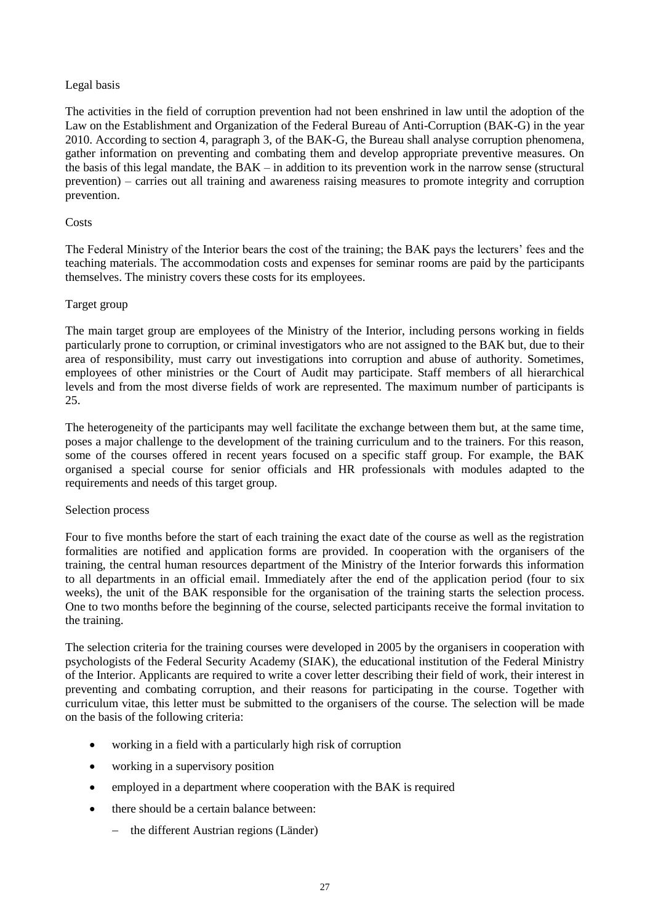## Legal basis

The activities in the field of corruption prevention had not been enshrined in law until the adoption of the Law on the Establishment and Organization of the Federal Bureau of Anti-Corruption (BAK-G) in the year 2010. According to section 4, paragraph 3, of the BAK-G, the Bureau shall analyse corruption phenomena, gather information on preventing and combating them and develop appropriate preventive measures. On the basis of this legal mandate, the BAK – in addition to its prevention work in the narrow sense (structural prevention) – carries out all training and awareness raising measures to promote integrity and corruption prevention.

#### **Costs**

The Federal Ministry of the Interior bears the cost of the training; the BAK pays the lecturers' fees and the teaching materials. The accommodation costs and expenses for seminar rooms are paid by the participants themselves. The ministry covers these costs for its employees.

## Target group

The main target group are employees of the Ministry of the Interior, including persons working in fields particularly prone to corruption, or criminal investigators who are not assigned to the BAK but, due to their area of responsibility, must carry out investigations into corruption and abuse of authority. Sometimes, employees of other ministries or the Court of Audit may participate. Staff members of all hierarchical levels and from the most diverse fields of work are represented. The maximum number of participants is 25.

The heterogeneity of the participants may well facilitate the exchange between them but, at the same time, poses a major challenge to the development of the training curriculum and to the trainers. For this reason, some of the courses offered in recent years focused on a specific staff group. For example, the BAK organised a special course for senior officials and HR professionals with modules adapted to the requirements and needs of this target group.

#### Selection process

Four to five months before the start of each training the exact date of the course as well as the registration formalities are notified and application forms are provided. In cooperation with the organisers of the training, the central human resources department of the Ministry of the Interior forwards this information to all departments in an official email. Immediately after the end of the application period (four to six weeks), the unit of the BAK responsible for the organisation of the training starts the selection process. One to two months before the beginning of the course, selected participants receive the formal invitation to the training.

The selection criteria for the training courses were developed in 2005 by the organisers in cooperation with psychologists of the Federal Security Academy (SIAK), the educational institution of the Federal Ministry of the Interior. Applicants are required to write a cover letter describing their field of work, their interest in preventing and combating corruption, and their reasons for participating in the course. Together with curriculum vitae, this letter must be submitted to the organisers of the course. The selection will be made on the basis of the following criteria:

- working in a field with a particularly high risk of corruption
- working in a supervisory position
- employed in a department where cooperation with the BAK is required
- there should be a certain balance between:
	- the different Austrian regions (Länder)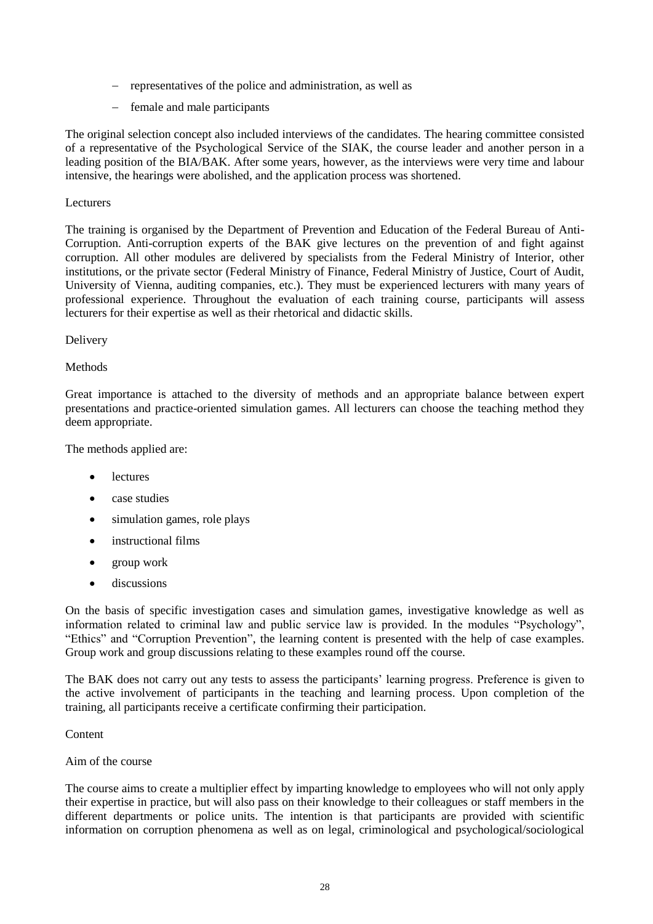- representatives of the police and administration, as well as
- female and male participants

The original selection concept also included interviews of the candidates. The hearing committee consisted of a representative of the Psychological Service of the SIAK, the course leader and another person in a leading position of the BIA/BAK. After some years, however, as the interviews were very time and labour intensive, the hearings were abolished, and the application process was shortened.

#### Lecturers

The training is organised by the Department of Prevention and Education of the Federal Bureau of Anti-Corruption. Anti-corruption experts of the BAK give lectures on the prevention of and fight against corruption. All other modules are delivered by specialists from the Federal Ministry of Interior, other institutions, or the private sector (Federal Ministry of Finance, Federal Ministry of Justice, Court of Audit, University of Vienna, auditing companies, etc.). They must be experienced lecturers with many years of professional experience. Throughout the evaluation of each training course, participants will assess lecturers for their expertise as well as their rhetorical and didactic skills.

## Delivery

## Methods

Great importance is attached to the diversity of methods and an appropriate balance between expert presentations and practice-oriented simulation games. All lecturers can choose the teaching method they deem appropriate.

The methods applied are:

- **e** lectures
- case studies
- simulation games, role plays
- instructional films
- group work
- discussions

On the basis of specific investigation cases and simulation games, investigative knowledge as well as information related to criminal law and public service law is provided. In the modules "Psychology", "Ethics" and "Corruption Prevention", the learning content is presented with the help of case examples. Group work and group discussions relating to these examples round off the course.

The BAK does not carry out any tests to assess the participants' learning progress. Preference is given to the active involvement of participants in the teaching and learning process. Upon completion of the training, all participants receive a certificate confirming their participation.

Content

#### Aim of the course

The course aims to create a multiplier effect by imparting knowledge to employees who will not only apply their expertise in practice, but will also pass on their knowledge to their colleagues or staff members in the different departments or police units. The intention is that participants are provided with scientific information on corruption phenomena as well as on legal, criminological and psychological/sociological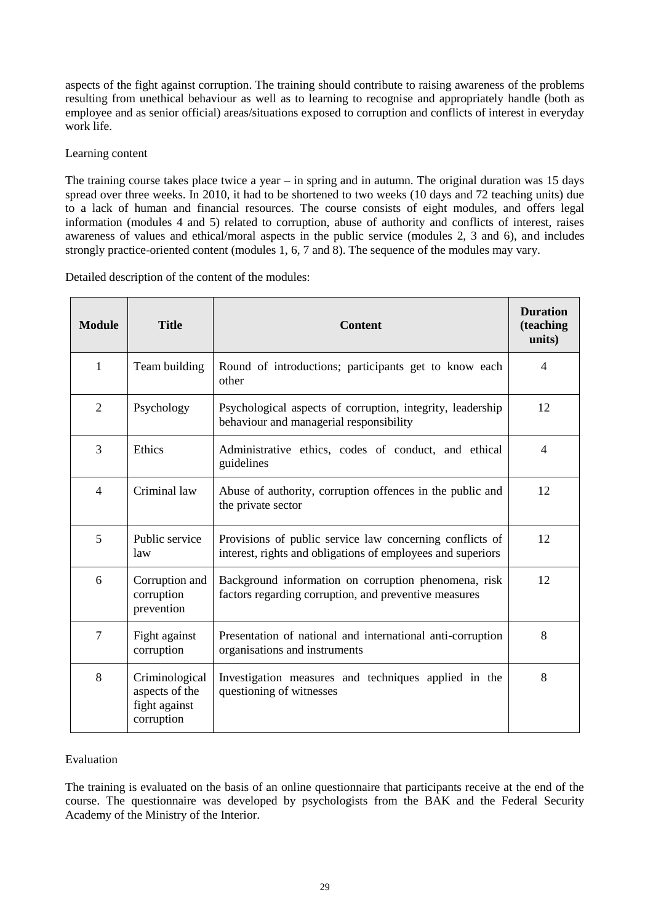aspects of the fight against corruption. The training should contribute to raising awareness of the problems resulting from unethical behaviour as well as to learning to recognise and appropriately handle (both as employee and as senior official) areas/situations exposed to corruption and conflicts of interest in everyday work life.

#### Learning content

The training course takes place twice a year – in spring and in autumn. The original duration was 15 days spread over three weeks. In 2010, it had to be shortened to two weeks (10 days and 72 teaching units) due to a lack of human and financial resources. The course consists of eight modules, and offers legal information (modules 4 and 5) related to corruption, abuse of authority and conflicts of interest, raises awareness of values and ethical/moral aspects in the public service (modules 2, 3 and 6), and includes strongly practice-oriented content (modules 1, 6, 7 and 8). The sequence of the modules may vary.

Detailed description of the content of the modules:

| <b>Module</b>  | <b>Title</b>                                                    | <b>Content</b>                                                                                                          | <b>Duration</b><br>(teaching<br>units) |
|----------------|-----------------------------------------------------------------|-------------------------------------------------------------------------------------------------------------------------|----------------------------------------|
| 1              | Team building                                                   | Round of introductions; participants get to know each<br>other                                                          | $\overline{4}$                         |
| $\overline{2}$ | Psychology                                                      | Psychological aspects of corruption, integrity, leadership<br>behaviour and managerial responsibility                   | 12                                     |
| 3              | Ethics                                                          | Administrative ethics, codes of conduct, and ethical<br>guidelines                                                      | $\overline{4}$                         |
| $\overline{4}$ | Criminal law                                                    | Abuse of authority, corruption offences in the public and<br>the private sector                                         | 12                                     |
| 5              | Public service<br>law                                           | Provisions of public service law concerning conflicts of<br>interest, rights and obligations of employees and superiors | 12                                     |
| 6              | Corruption and<br>corruption<br>prevention                      | Background information on corruption phenomena, risk<br>factors regarding corruption, and preventive measures           | 12                                     |
| $\overline{7}$ | Fight against<br>corruption                                     | Presentation of national and international anti-corruption<br>organisations and instruments                             | 8                                      |
| 8              | Criminological<br>aspects of the<br>fight against<br>corruption | Investigation measures and techniques applied in the<br>questioning of witnesses                                        | 8                                      |

## Evaluation

The training is evaluated on the basis of an online questionnaire that participants receive at the end of the course. The questionnaire was developed by psychologists from the BAK and the Federal Security Academy of the Ministry of the Interior.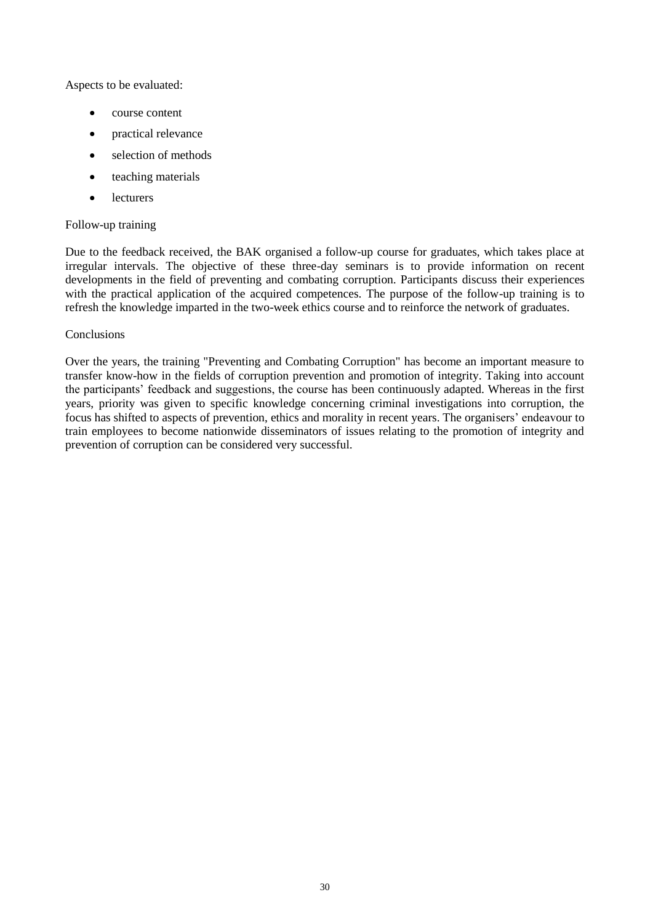Aspects to be evaluated:

- course content
- practical relevance
- selection of methods
- teaching materials
- lecturers

#### Follow-up training

Due to the feedback received, the BAK organised a follow-up course for graduates, which takes place at irregular intervals. The objective of these three-day seminars is to provide information on recent developments in the field of preventing and combating corruption. Participants discuss their experiences with the practical application of the acquired competences. The purpose of the follow-up training is to refresh the knowledge imparted in the two-week ethics course and to reinforce the network of graduates.

#### Conclusions

Over the years, the training "Preventing and Combating Corruption" has become an important measure to transfer know-how in the fields of corruption prevention and promotion of integrity. Taking into account the participants' feedback and suggestions, the course has been continuously adapted. Whereas in the first years, priority was given to specific knowledge concerning criminal investigations into corruption, the focus has shifted to aspects of prevention, ethics and morality in recent years. The organisers' endeavour to train employees to become nationwide disseminators of issues relating to the promotion of integrity and prevention of corruption can be considered very successful.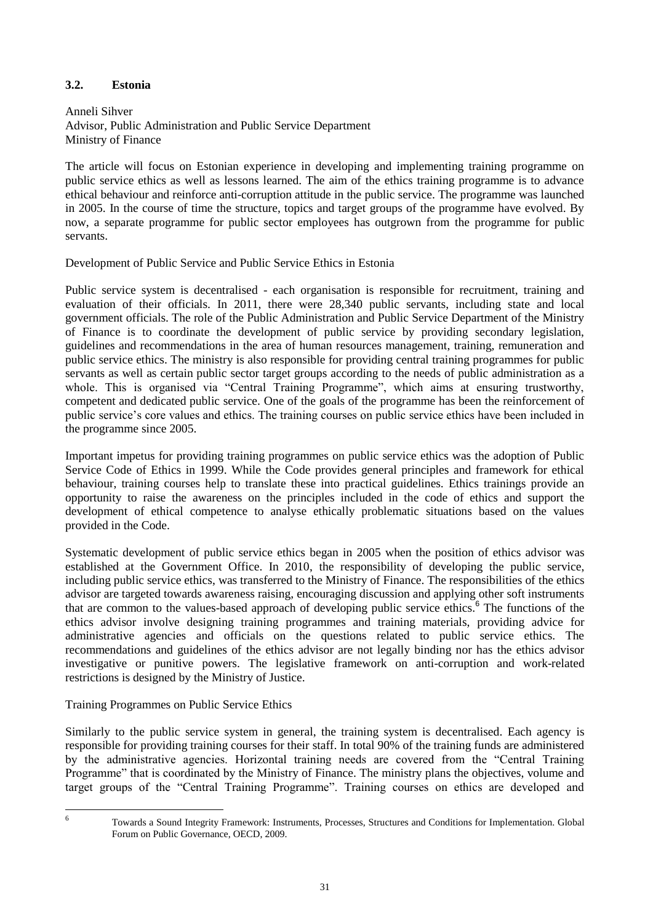## <span id="page-30-0"></span>**3.2. Estonia**

Anneli Sihver Advisor, Public Administration and Public Service Department Ministry of Finance

The article will focus on Estonian experience in developing and implementing training programme on public service ethics as well as lessons learned. The aim of the ethics training programme is to advance ethical behaviour and reinforce anti-corruption attitude in the public service. The programme was launched in 2005. In the course of time the structure, topics and target groups of the programme have evolved. By now, a separate programme for public sector employees has outgrown from the programme for public servants.

Development of Public Service and Public Service Ethics in Estonia

Public service system is decentralised - each organisation is responsible for recruitment, training and evaluation of their officials. In 2011, there were 28,340 public servants, including state and local government officials. The role of the Public Administration and Public Service Department of the Ministry of Finance is to coordinate the development of public service by providing secondary legislation, guidelines and recommendations in the area of human resources management, training, remuneration and public service ethics. The ministry is also responsible for providing central training programmes for public servants as well as certain public sector target groups according to the needs of public administration as a whole. This is organised via "Central Training Programme", which aims at ensuring trustworthy, competent and dedicated public service. One of the goals of the programme has been the reinforcement of public service's core values and ethics. The training courses on public service ethics have been included in the programme since 2005.

Important impetus for providing training programmes on public service ethics was the adoption of Public Service Code of Ethics in 1999. While the Code provides general principles and framework for ethical behaviour, training courses help to translate these into practical guidelines. Ethics trainings provide an opportunity to raise the awareness on the principles included in the code of ethics and support the development of ethical competence to analyse ethically problematic situations based on the values provided in the Code.

Systematic development of public service ethics began in 2005 when the position of ethics advisor was established at the Government Office. In 2010, the responsibility of developing the public service, including public service ethics, was transferred to the Ministry of Finance. The responsibilities of the ethics advisor are targeted towards awareness raising, encouraging discussion and applying other soft instruments that are common to the values-based approach of developing public service ethics.<sup>6</sup> The functions of the ethics advisor involve designing training programmes and training materials, providing advice for administrative agencies and officials on the questions related to public service ethics. The recommendations and guidelines of the ethics advisor are not legally binding nor has the ethics advisor investigative or punitive powers. The legislative framework on anti-corruption and work-related restrictions is designed by the Ministry of Justice.

## Training Programmes on Public Service Ethics

Similarly to the public service system in general, the training system is decentralised. Each agency is responsible for providing training courses for their staff. In total 90% of the training funds are administered by the administrative agencies. Horizontal training needs are covered from the "Central Training Programme" that is coordinated by the Ministry of Finance. The ministry plans the objectives, volume and target groups of the "Central Training Programme". Training courses on ethics are developed and

6

Towards a Sound Integrity Framework: Instruments, Processes, Structures and Conditions for Implementation. Global Forum on Public Governance, OECD, 2009.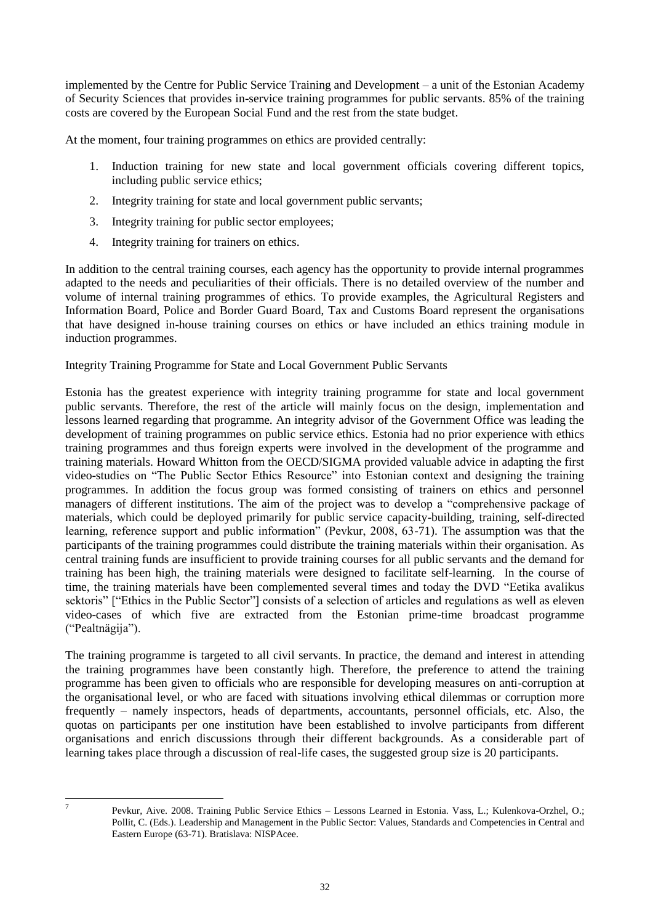implemented by the Centre for Public Service Training and Development – a unit of the Estonian Academy of Security Sciences that provides in-service training programmes for public servants. 85% of the training costs are covered by the European Social Fund and the rest from the state budget.

At the moment, four training programmes on ethics are provided centrally:

- 1. Induction training for new state and local government officials covering different topics, including public service ethics;
- 2. Integrity training for state and local government public servants;
- 3. Integrity training for public sector employees;
- 4. Integrity training for trainers on ethics.

In addition to the central training courses, each agency has the opportunity to provide internal programmes adapted to the needs and peculiarities of their officials. There is no detailed overview of the number and volume of internal training programmes of ethics. To provide examples, the Agricultural Registers and Information Board, Police and Border Guard Board, Tax and Customs Board represent the organisations that have designed in-house training courses on ethics or have included an ethics training module in induction programmes.

## Integrity Training Programme for State and Local Government Public Servants

Estonia has the greatest experience with integrity training programme for state and local government public servants. Therefore, the rest of the article will mainly focus on the design, implementation and lessons learned regarding that programme. An integrity advisor of the Government Office was leading the development of training programmes on public service ethics. Estonia had no prior experience with ethics training programmes and thus foreign experts were involved in the development of the programme and training materials. Howard Whitton from the OECD/SIGMA provided valuable advice in adapting the first video-studies on "The Public Sector Ethics Resource" into Estonian context and designing the training programmes. In addition the focus group was formed consisting of trainers on ethics and personnel managers of different institutions. The aim of the project was to develop a "comprehensive package of materials, which could be deployed primarily for public service capacity-building, training, self-directed learning, reference support and public information" (Pevkur, 2008, 63-71). The assumption was that the participants of the training programmes could distribute the training materials within their organisation. As central training funds are insufficient to provide training courses for all public servants and the demand for training has been high, the training materials were designed to facilitate self-learning. In the course of time, the training materials have been complemented several times and today the DVD "Eetika avalikus sektoris" ["Ethics in the Public Sector"] consists of a selection of articles and regulations as well as eleven video-cases of which five are extracted from the Estonian prime-time broadcast programme ("Pealtnägija").

The training programme is targeted to all civil servants. In practice, the demand and interest in attending the training programmes have been constantly high. Therefore, the preference to attend the training programme has been given to officials who are responsible for developing measures on anti-corruption at the organisational level, or who are faced with situations involving ethical dilemmas or corruption more frequently – namely inspectors, heads of departments, accountants, personnel officials, etc. Also, the quotas on participants per one institution have been established to involve participants from different organisations and enrich discussions through their different backgrounds. As a considerable part of learning takes place through a discussion of real-life cases, the suggested group size is 20 participants.

-<br>7

Pevkur, Aive. 2008. Training Public Service Ethics – Lessons Learned in Estonia. Vass, L.; Kulenkova-Orzhel, O.; Pollit, C. (Eds.). Leadership and Management in the Public Sector: Values, Standards and Competencies in Central and Eastern Europe (63-71). Bratislava: NISPAcee.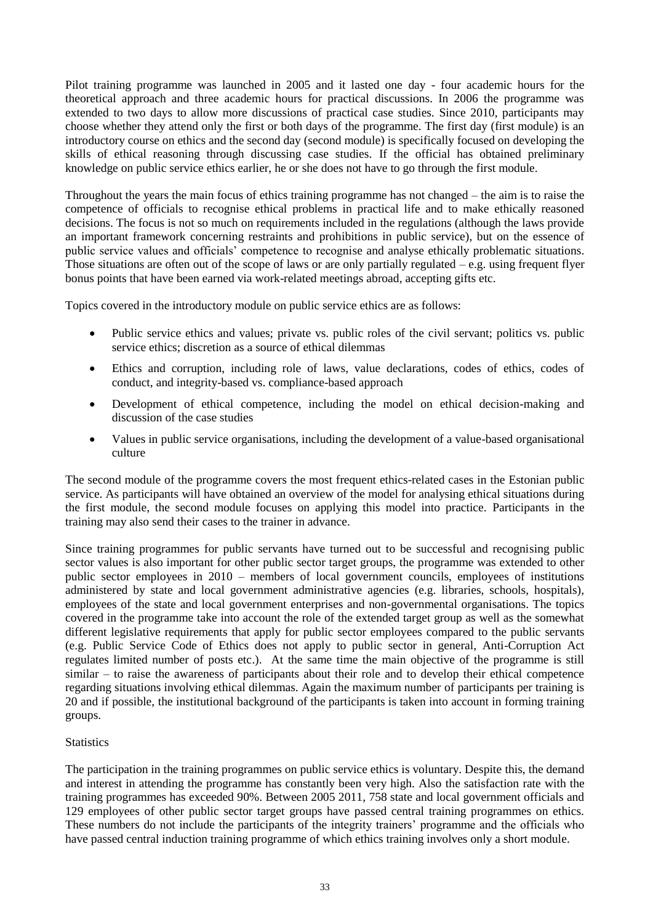Pilot training programme was launched in 2005 and it lasted one day - four academic hours for the theoretical approach and three academic hours for practical discussions. In 2006 the programme was extended to two days to allow more discussions of practical case studies. Since 2010, participants may choose whether they attend only the first or both days of the programme. The first day (first module) is an introductory course on ethics and the second day (second module) is specifically focused on developing the skills of ethical reasoning through discussing case studies. If the official has obtained preliminary knowledge on public service ethics earlier, he or she does not have to go through the first module.

Throughout the years the main focus of ethics training programme has not changed – the aim is to raise the competence of officials to recognise ethical problems in practical life and to make ethically reasoned decisions. The focus is not so much on requirements included in the regulations (although the laws provide an important framework concerning restraints and prohibitions in public service), but on the essence of public service values and officials' competence to recognise and analyse ethically problematic situations. Those situations are often out of the scope of laws or are only partially regulated  $-e.g.$  using frequent flyer bonus points that have been earned via work-related meetings abroad, accepting gifts etc.

Topics covered in the introductory module on public service ethics are as follows:

- Public service ethics and values; private vs. public roles of the civil servant; politics vs. public service ethics; discretion as a source of ethical dilemmas
- Ethics and corruption, including role of laws, value declarations, codes of ethics, codes of conduct, and integrity-based vs. compliance-based approach
- Development of ethical competence, including the model on ethical decision-making and discussion of the case studies
- Values in public service organisations, including the development of a value-based organisational culture

The second module of the programme covers the most frequent ethics-related cases in the Estonian public service. As participants will have obtained an overview of the model for analysing ethical situations during the first module, the second module focuses on applying this model into practice. Participants in the training may also send their cases to the trainer in advance.

Since training programmes for public servants have turned out to be successful and recognising public sector values is also important for other public sector target groups, the programme was extended to other public sector employees in 2010 – members of local government councils, employees of institutions administered by state and local government administrative agencies (e.g. libraries, schools, hospitals), employees of the state and local government enterprises and non-governmental organisations. The topics covered in the programme take into account the role of the extended target group as well as the somewhat different legislative requirements that apply for public sector employees compared to the public servants (e.g. Public Service Code of Ethics does not apply to public sector in general, Anti-Corruption Act regulates limited number of posts etc.). At the same time the main objective of the programme is still similar – to raise the awareness of participants about their role and to develop their ethical competence regarding situations involving ethical dilemmas. Again the maximum number of participants per training is 20 and if possible, the institutional background of the participants is taken into account in forming training groups.

#### **Statistics**

The participation in the training programmes on public service ethics is voluntary. Despite this, the demand and interest in attending the programme has constantly been very high. Also the satisfaction rate with the training programmes has exceeded 90%. Between 2005 2011, 758 state and local government officials and 129 employees of other public sector target groups have passed central training programmes on ethics. These numbers do not include the participants of the integrity trainers' programme and the officials who have passed central induction training programme of which ethics training involves only a short module.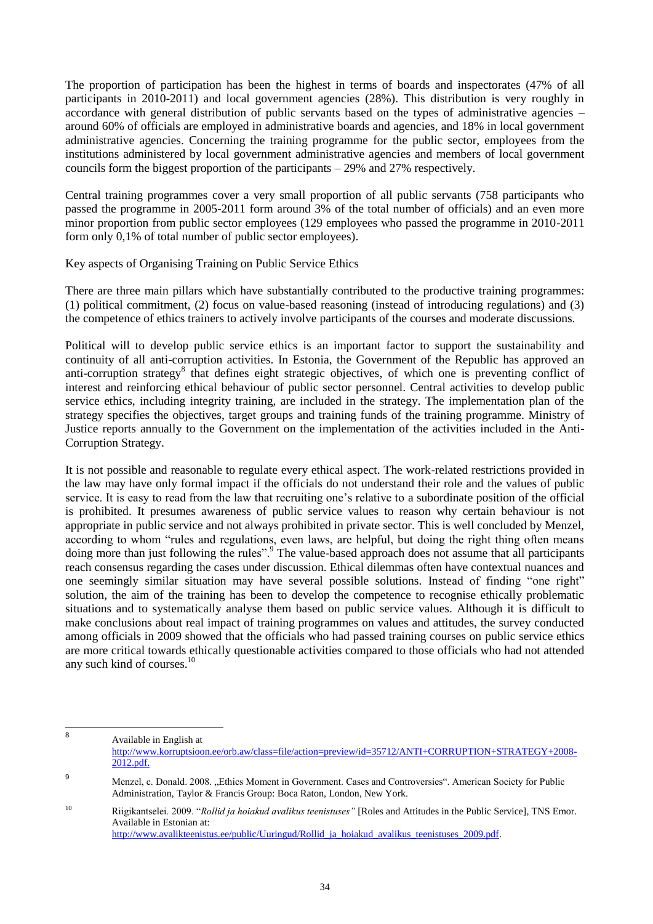The proportion of participation has been the highest in terms of boards and inspectorates (47% of all participants in 2010-2011) and local government agencies (28%). This distribution is very roughly in accordance with general distribution of public servants based on the types of administrative agencies – around 60% of officials are employed in administrative boards and agencies, and 18% in local government administrative agencies. Concerning the training programme for the public sector, employees from the institutions administered by local government administrative agencies and members of local government councils form the biggest proportion of the participants – 29% and 27% respectively.

Central training programmes cover a very small proportion of all public servants (758 participants who passed the programme in 2005-2011 form around 3% of the total number of officials) and an even more minor proportion from public sector employees (129 employees who passed the programme in 2010-2011 form only 0,1% of total number of public sector employees).

Key aspects of Organising Training on Public Service Ethics

There are three main pillars which have substantially contributed to the productive training programmes: (1) political commitment, (2) focus on value-based reasoning (instead of introducing regulations) and (3) the competence of ethics trainers to actively involve participants of the courses and moderate discussions.

Political will to develop public service ethics is an important factor to support the sustainability and continuity of all anti-corruption activities. In Estonia, the Government of the Republic has approved an anti-corruption strategy<sup>8</sup> that defines eight strategic objectives, of which one is preventing conflict of interest and reinforcing ethical behaviour of public sector personnel. Central activities to develop public service ethics, including integrity training, are included in the strategy. The implementation plan of the strategy specifies the objectives, target groups and training funds of the training programme. Ministry of Justice reports annually to the Government on the implementation of the activities included in the Anti-Corruption Strategy.

It is not possible and reasonable to regulate every ethical aspect. The work-related restrictions provided in the law may have only formal impact if the officials do not understand their role and the values of public service. It is easy to read from the law that recruiting one's relative to a subordinate position of the official is prohibited. It presumes awareness of public service values to reason why certain behaviour is not appropriate in public service and not always prohibited in private sector. This is well concluded by Menzel, according to whom "rules and regulations, even laws, are helpful, but doing the right thing often means doing more than just following the rules".<sup>9</sup> The value-based approach does not assume that all participants reach consensus regarding the cases under discussion. Ethical dilemmas often have contextual nuances and one seemingly similar situation may have several possible solutions. Instead of finding "one right" solution, the aim of the training has been to develop the competence to recognise ethically problematic situations and to systematically analyse them based on public service values. Although it is difficult to make conclusions about real impact of training programmes on values and attitudes, the survey conducted among officials in 2009 showed that the officials who had passed training courses on public service ethics are more critical towards ethically questionable activities compared to those officials who had not attended any such kind of courses.<sup>10</sup>

 8 Available in English at [http://www.korruptsioon.ee/orb.aw/class=file/action=preview/id=35712/ANTI+CORRUPTION+STRATEGY+2008-](http://www.korruptsioon.ee/orb.aw/class=file/action=preview/id=35712/ANTI+CORRUPTION+STRATEGY+2008-2012.pdf) [2012.pdf.](http://www.korruptsioon.ee/orb.aw/class=file/action=preview/id=35712/ANTI+CORRUPTION+STRATEGY+2008-2012.pdf)

<sup>9</sup> Menzel, c. Donald. 2008. "Ethics Moment in Government. Cases and Controversies". American Society for Public Administration, Taylor & Francis Group: Boca Raton, London, New York.

<sup>&</sup>lt;sup>10</sup> Riigikantselei. 2009. "*Rollid ja hoiakud avalikus teenistuses*" [Roles and Attitudes in the Public Service], TNS Emor. Available in Estonian at: [http://www.avalikteenistus.ee/public/Uuringud/Rollid\\_ja\\_hoiakud\\_avalikus\\_teenistuses\\_2009.pdf.](http://www.avalikteenistus.ee/public/Uuringud/Rollid_ja_hoiakud_avalikus_teenistuses_2009.pdf)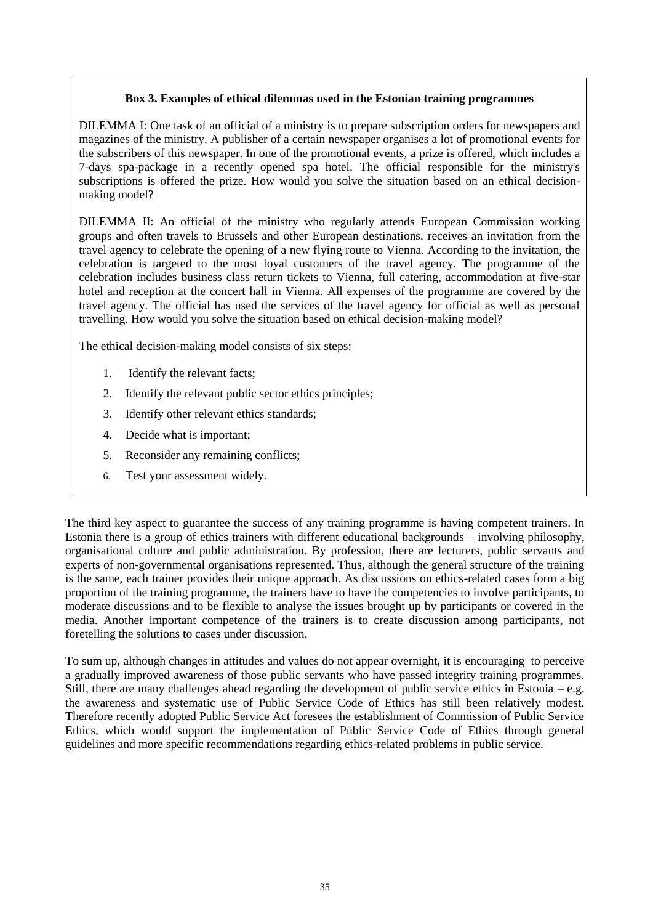## **Box 3. Examples of ethical dilemmas used in the Estonian training programmes**

DILEMMA I: One task of an official of a ministry is to prepare subscription orders for newspapers and magazines of the ministry. A publisher of a certain newspaper organises a lot of promotional events for the subscribers of this newspaper. In one of the promotional events, a prize is offered, which includes a 7-days spa-package in a recently opened spa hotel. The official responsible for the ministry's subscriptions is offered the prize. How would you solve the situation based on an ethical decisionmaking model?

DILEMMA II: An official of the ministry who regularly attends European Commission working groups and often travels to Brussels and other European destinations, receives an invitation from the travel agency to celebrate the opening of a new flying route to Vienna. According to the invitation, the celebration is targeted to the most loyal customers of the travel agency. The programme of the celebration includes business class return tickets to Vienna, full catering, accommodation at five-star hotel and reception at the concert hall in Vienna. All expenses of the programme are covered by the travel agency. The official has used the services of the travel agency for official as well as personal travelling. How would you solve the situation based on ethical decision-making model?

The ethical decision-making model consists of six steps:

- 1. Identify the relevant facts;
- 2. Identify the relevant public sector ethics principles;
- 3. Identify other relevant ethics standards;
- 4. Decide what is important;
- 5. Reconsider any remaining conflicts;
- 6. Test your assessment widely.

The third key aspect to guarantee the success of any training programme is having competent trainers. In Estonia there is a group of ethics trainers with different educational backgrounds – involving philosophy, organisational culture and public administration. By profession, there are lecturers, public servants and experts of non-governmental organisations represented. Thus, although the general structure of the training is the same, each trainer provides their unique approach. As discussions on ethics-related cases form a big proportion of the training programme, the trainers have to have the competencies to involve participants, to moderate discussions and to be flexible to analyse the issues brought up by participants or covered in the media. Another important competence of the trainers is to create discussion among participants, not foretelling the solutions to cases under discussion.

To sum up, although changes in attitudes and values do not appear overnight, it is encouraging to perceive a gradually improved awareness of those public servants who have passed integrity training programmes. Still, there are many challenges ahead regarding the development of public service ethics in Estonia – e.g. the awareness and systematic use of Public Service Code of Ethics has still been relatively modest. Therefore recently adopted Public Service Act foresees the establishment of Commission of Public Service Ethics, which would support the implementation of Public Service Code of Ethics through general guidelines and more specific recommendations regarding ethics-related problems in public service.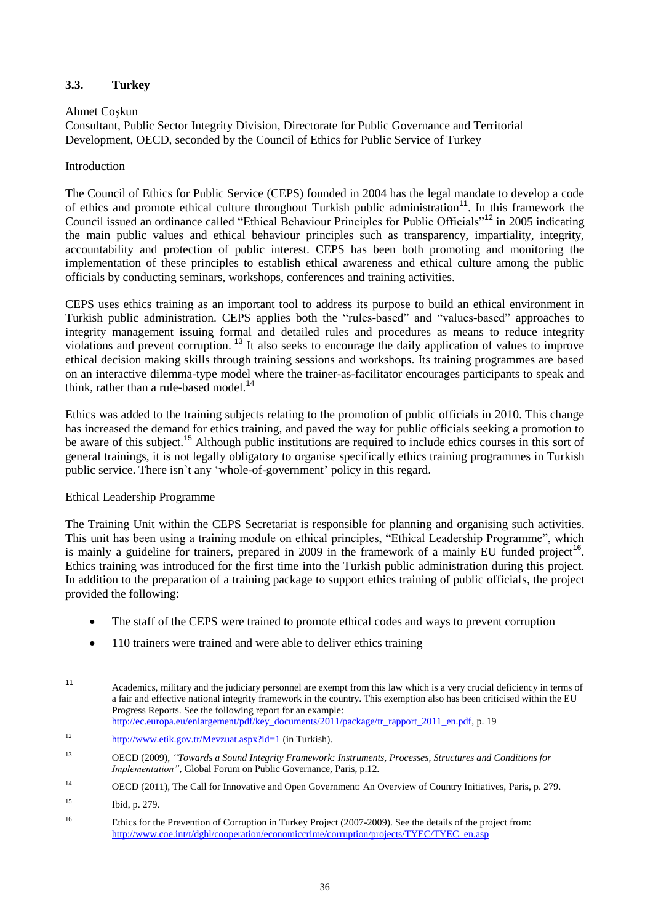## <span id="page-35-0"></span>**3.3. Turkey**

## Ahmet Coşkun

Consultant, Public Sector Integrity Division, Directorate for Public Governance and Territorial Development, OECD, seconded by the Council of Ethics for Public Service of Turkey

## Introduction

The Council of Ethics for Public Service (CEPS) founded in 2004 has the legal mandate to develop a code of ethics and promote ethical culture throughout Turkish public administration<sup>11</sup>. In this framework the Council issued an ordinance called "Ethical Behaviour Principles for Public Officials"<sup>12</sup> in 2005 indicating the main public values and ethical behaviour principles such as transparency, impartiality, integrity, accountability and protection of public interest. CEPS has been both promoting and monitoring the implementation of these principles to establish ethical awareness and ethical culture among the public officials by conducting seminars, workshops, conferences and training activities.

CEPS uses ethics training as an important tool to address its purpose to build an ethical environment in Turkish public administration. CEPS applies both the "rules-based" and "values-based" approaches to integrity management issuing formal and detailed rules and procedures as means to reduce integrity violations and prevent corruption. <sup>13</sup> It also seeks to encourage the daily application of values to improve ethical decision making skills through training sessions and workshops. Its training programmes are based on an interactive dilemma-type model where the trainer-as-facilitator encourages participants to speak and think, rather than a rule-based model.<sup>14</sup>

Ethics was added to the training subjects relating to the promotion of public officials in 2010. This change has increased the demand for ethics training, and paved the way for public officials seeking a promotion to be aware of this subject.<sup>15</sup> Although public institutions are required to include ethics courses in this sort of general trainings, it is not legally obligatory to organise specifically ethics training programmes in Turkish public service. There isn`t any 'whole-of-government' policy in this regard.

## Ethical Leadership Programme

The Training Unit within the CEPS Secretariat is responsible for planning and organising such activities. This unit has been using a training module on ethical principles, "Ethical Leadership Programme", which is mainly a guideline for trainers, prepared in 2009 in the framework of a mainly EU funded project<sup>16</sup>. Ethics training was introduced for the first time into the Turkish public administration during this project. In addition to the preparation of a training package to support ethics training of public officials, the project provided the following:

- The staff of the CEPS were trained to promote ethical codes and ways to prevent corruption
- 110 trainers were trained and were able to deliver ethics training

 $11$ Academics, military and the judiciary personnel are exempt from this law which is a very crucial deficiency in terms of a fair and effective national integrity framework in the country. This exemption also has been criticised within the EU Progress Reports. See the following report for an example: [http://ec.europa.eu/enlargement/pdf/key\\_documents/2011/package/tr\\_rapport\\_2011\\_en.pdf,](http://ec.europa.eu/enlargement/pdf/key_documents/2011/package/tr_rapport_2011_en.pdf) p. 19

<sup>12</sup> <http://www.etik.gov.tr/Mevzuat.aspx?id=1> (in Turkish).

<sup>13</sup> OECD (2009), *"Towards a Sound Integrity Framework: Instruments, Processes, Structures and Conditions for Implementation"*, Global Forum on Public Governance, Paris, p.12.

<sup>&</sup>lt;sup>14</sup> OECD (2011), The Call for Innovative and Open Government: An Overview of Country Initiatives, Paris, p. 279.

<sup>15</sup> Ibid, p. 279.

<sup>&</sup>lt;sup>16</sup> Ethics for the Prevention of Corruption in Turkey Project (2007-2009). See the details of the project from: [http://www.coe.int/t/dghl/cooperation/economiccrime/corruption/projects/TYEC/TYEC\\_en.asp](http://www.coe.int/t/dghl/cooperation/economiccrime/corruption/projects/TYEC/TYEC_en.asp)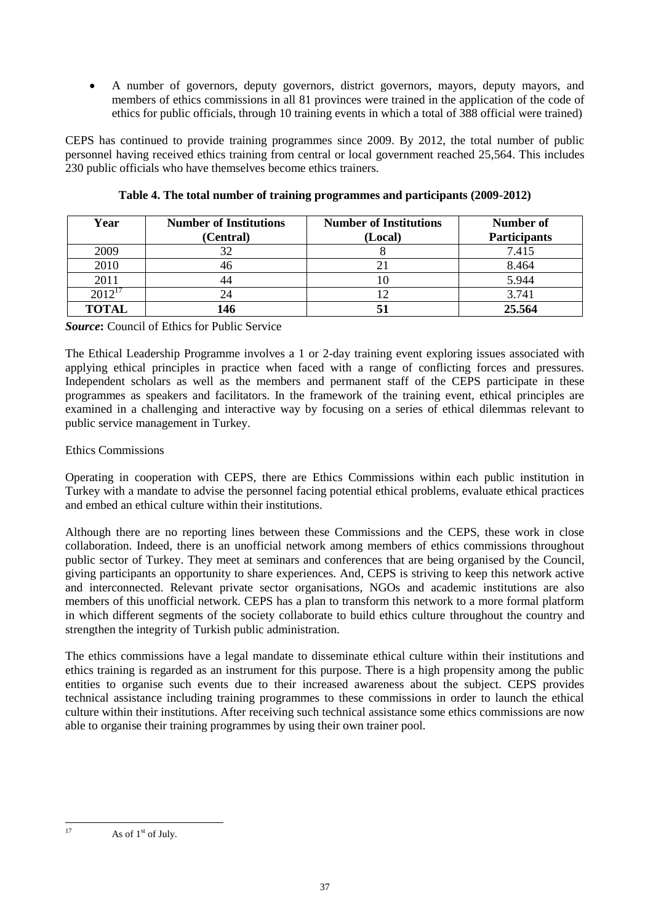A number of governors, deputy governors, district governors, mayors, deputy mayors, and members of ethics commissions in all 81 provinces were trained in the application of the code of ethics for public officials, through 10 training events in which a total of 388 official were trained)

CEPS has continued to provide training programmes since 2009. By 2012, the total number of public personnel having received ethics training from central or local government reached 25,564. This includes 230 public officials who have themselves become ethics trainers.

| Year        | <b>Number of Institutions</b> | <b>Number of Institutions</b> | Number of           |
|-------------|-------------------------------|-------------------------------|---------------------|
|             | (Central)                     | (Local)                       | <b>Participants</b> |
| 2009        | 20                            |                               | 7.415               |
| 2010        | 46                            |                               | 8.464               |
| 2011        |                               |                               | 5.944               |
| $2012^{17}$ |                               |                               | 3.741               |
| TOTAL       | 146                           |                               | 25.564              |

| Table 4. The total number of training programmes and participants (2009-2012) |  |
|-------------------------------------------------------------------------------|--|
|-------------------------------------------------------------------------------|--|

## *Source***:** Council of Ethics for Public Service

The Ethical Leadership Programme involves a 1 or 2-day training event exploring issues associated with applying ethical principles in practice when faced with a range of conflicting forces and pressures. Independent scholars as well as the members and permanent staff of the CEPS participate in these programmes as speakers and facilitators. In the framework of the training event, ethical principles are examined in a challenging and interactive way by focusing on a series of ethical dilemmas relevant to public service management in Turkey.

# Ethics Commissions

Operating in cooperation with CEPS, there are Ethics Commissions within each public institution in Turkey with a mandate to advise the personnel facing potential ethical problems, evaluate ethical practices and embed an ethical culture within their institutions.

Although there are no reporting lines between these Commissions and the CEPS, these work in close collaboration. Indeed, there is an unofficial network among members of ethics commissions throughout public sector of Turkey. They meet at seminars and conferences that are being organised by the Council, giving participants an opportunity to share experiences. And, CEPS is striving to keep this network active and interconnected. Relevant private sector organisations, NGOs and academic institutions are also members of this unofficial network. CEPS has a plan to transform this network to a more formal platform in which different segments of the society collaborate to build ethics culture throughout the country and strengthen the integrity of Turkish public administration.

The ethics commissions have a legal mandate to disseminate ethical culture within their institutions and ethics training is regarded as an instrument for this purpose. There is a high propensity among the public entities to organise such events due to their increased awareness about the subject. CEPS provides technical assistance including training programmes to these commissions in order to launch the ethical culture within their institutions. After receiving such technical assistance some ethics commissions are now able to organise their training programmes by using their own trainer pool.

 $17$ As of 1<sup>st</sup> of July.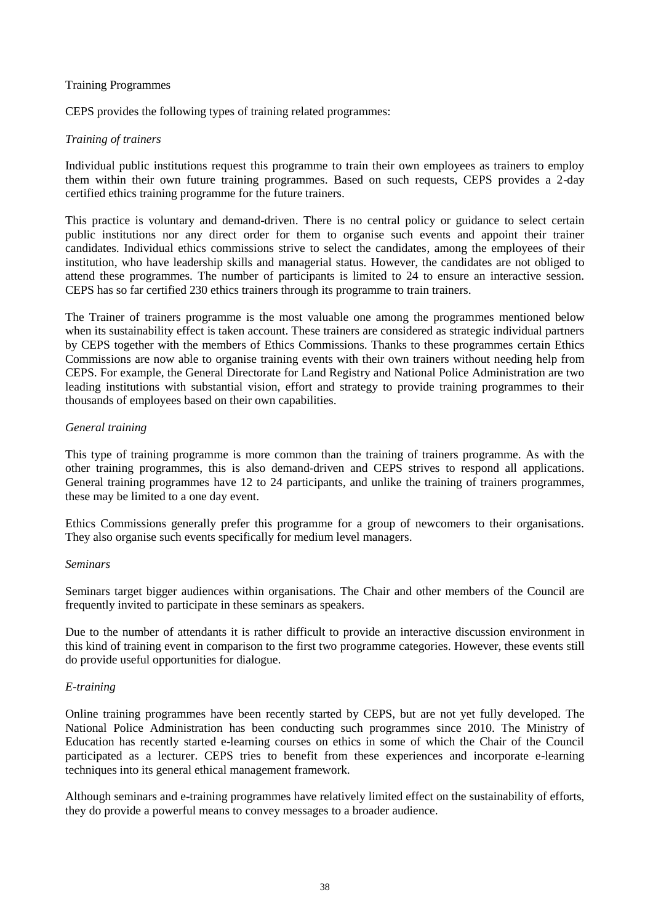#### Training Programmes

CEPS provides the following types of training related programmes:

#### *Training of trainers*

Individual public institutions request this programme to train their own employees as trainers to employ them within their own future training programmes. Based on such requests, CEPS provides a 2-day certified ethics training programme for the future trainers.

This practice is voluntary and demand-driven. There is no central policy or guidance to select certain public institutions nor any direct order for them to organise such events and appoint their trainer candidates. Individual ethics commissions strive to select the candidates, among the employees of their institution, who have leadership skills and managerial status. However, the candidates are not obliged to attend these programmes. The number of participants is limited to 24 to ensure an interactive session. CEPS has so far certified 230 ethics trainers through its programme to train trainers.

The Trainer of trainers programme is the most valuable one among the programmes mentioned below when its sustainability effect is taken account. These trainers are considered as strategic individual partners by CEPS together with the members of Ethics Commissions. Thanks to these programmes certain Ethics Commissions are now able to organise training events with their own trainers without needing help from CEPS. For example, the General Directorate for Land Registry and National Police Administration are two leading institutions with substantial vision, effort and strategy to provide training programmes to their thousands of employees based on their own capabilities.

#### *General training*

This type of training programme is more common than the training of trainers programme. As with the other training programmes, this is also demand-driven and CEPS strives to respond all applications. General training programmes have 12 to 24 participants, and unlike the training of trainers programmes, these may be limited to a one day event.

Ethics Commissions generally prefer this programme for a group of newcomers to their organisations. They also organise such events specifically for medium level managers.

#### *Seminars*

Seminars target bigger audiences within organisations. The Chair and other members of the Council are frequently invited to participate in these seminars as speakers.

Due to the number of attendants it is rather difficult to provide an interactive discussion environment in this kind of training event in comparison to the first two programme categories. However, these events still do provide useful opportunities for dialogue.

#### *E-training*

Online training programmes have been recently started by CEPS, but are not yet fully developed. The National Police Administration has been conducting such programmes since 2010. The Ministry of Education has recently started e-learning courses on ethics in some of which the Chair of the Council participated as a lecturer. CEPS tries to benefit from these experiences and incorporate e-learning techniques into its general ethical management framework.

Although seminars and e-training programmes have relatively limited effect on the sustainability of efforts, they do provide a powerful means to convey messages to a broader audience.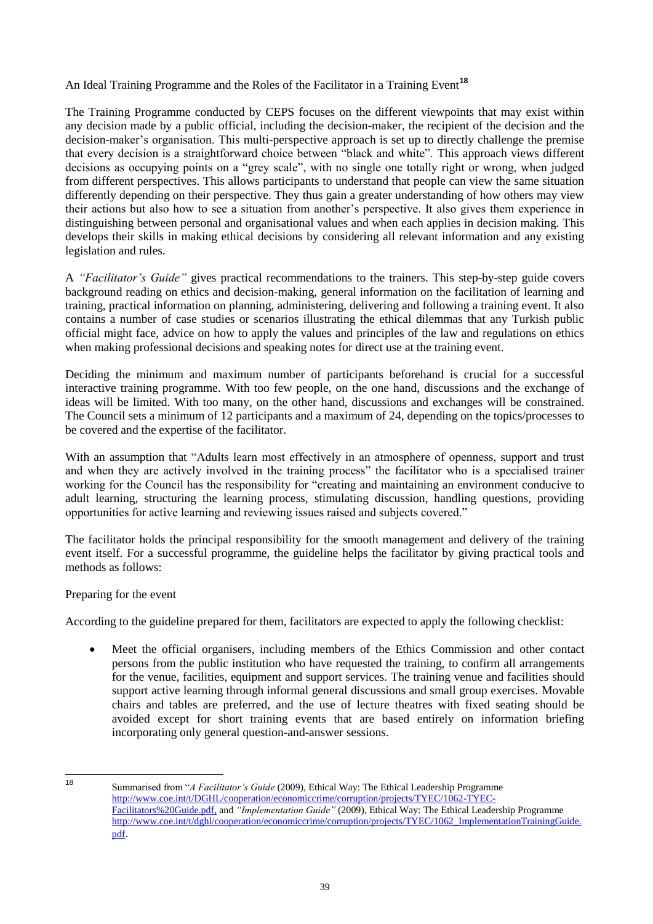# An Ideal Training Programme and the Roles of the Facilitator in a Training Event**<sup>18</sup>**

The Training Programme conducted by CEPS focuses on the different viewpoints that may exist within any decision made by a public official, including the decision-maker, the recipient of the decision and the decision-maker's organisation. This multi-perspective approach is set up to directly challenge the premise that every decision is a straightforward choice between "black and white". This approach views different decisions as occupying points on a "grey scale", with no single one totally right or wrong, when judged from different perspectives. This allows participants to understand that people can view the same situation differently depending on their perspective. They thus gain a greater understanding of how others may view their actions but also how to see a situation from another's perspective. It also gives them experience in distinguishing between personal and organisational values and when each applies in decision making. This develops their skills in making ethical decisions by considering all relevant information and any existing legislation and rules.

A *"Facilitator's Guide"* gives practical recommendations to the trainers. This step-by-step guide covers background reading on ethics and decision-making, general information on the facilitation of learning and training, practical information on planning, administering, delivering and following a training event. It also contains a number of case studies or scenarios illustrating the ethical dilemmas that any Turkish public official might face, advice on how to apply the values and principles of the law and regulations on ethics when making professional decisions and speaking notes for direct use at the training event.

Deciding the minimum and maximum number of participants beforehand is crucial for a successful interactive training programme. With too few people, on the one hand, discussions and the exchange of ideas will be limited. With too many, on the other hand, discussions and exchanges will be constrained. The Council sets a minimum of 12 participants and a maximum of 24, depending on the topics/processes to be covered and the expertise of the facilitator.

With an assumption that "Adults learn most effectively in an atmosphere of openness, support and trust and when they are actively involved in the training process" the facilitator who is a specialised trainer working for the Council has the responsibility for "creating and maintaining an environment conducive to adult learning, structuring the learning process, stimulating discussion, handling questions, providing opportunities for active learning and reviewing issues raised and subjects covered."

The facilitator holds the principal responsibility for the smooth management and delivery of the training event itself. For a successful programme, the guideline helps the facilitator by giving practical tools and methods as follows:

#### Preparing for the event

According to the guideline prepared for them, facilitators are expected to apply the following checklist:

 Meet the official organisers, including members of the Ethics Commission and other contact persons from the public institution who have requested the training, to confirm all arrangements for the venue, facilities, equipment and support services. The training venue and facilities should support active learning through informal general discussions and small group exercises. Movable chairs and tables are preferred, and the use of lecture theatres with fixed seating should be avoided except for short training events that are based entirely on information briefing incorporating only general question-and-answer sessions.

<sup>18</sup> 

<sup>18</sup> Summarised from ―*A Facilitator's Guide* (2009), Ethical Way: The Ethical Leadership Programme [http://www.coe.int/t/DGHL/cooperation/economiccrime/corruption/projects/TYEC/1062-TYEC-](http://www.coe.int/t/DGHL/cooperation/economiccrime/corruption/projects/TYEC/1062-TYEC-Facilitators%20Guide.pdf)[Facilitators%20Guide.pdf,](http://www.coe.int/t/DGHL/cooperation/economiccrime/corruption/projects/TYEC/1062-TYEC-Facilitators%20Guide.pdf) and *"Implementation Guide"* (2009), Ethical Way: The Ethical Leadership Programme [http://www.coe.int/t/dghl/cooperation/economiccrime/corruption/projects/TYEC/1062\\_ImplementationTrainingGuide.](http://www.coe.int/t/dghl/cooperation/economiccrime/corruption/projects/TYEC/1062_ImplementationTrainingGuide.pdf) [pdf](http://www.coe.int/t/dghl/cooperation/economiccrime/corruption/projects/TYEC/1062_ImplementationTrainingGuide.pdf).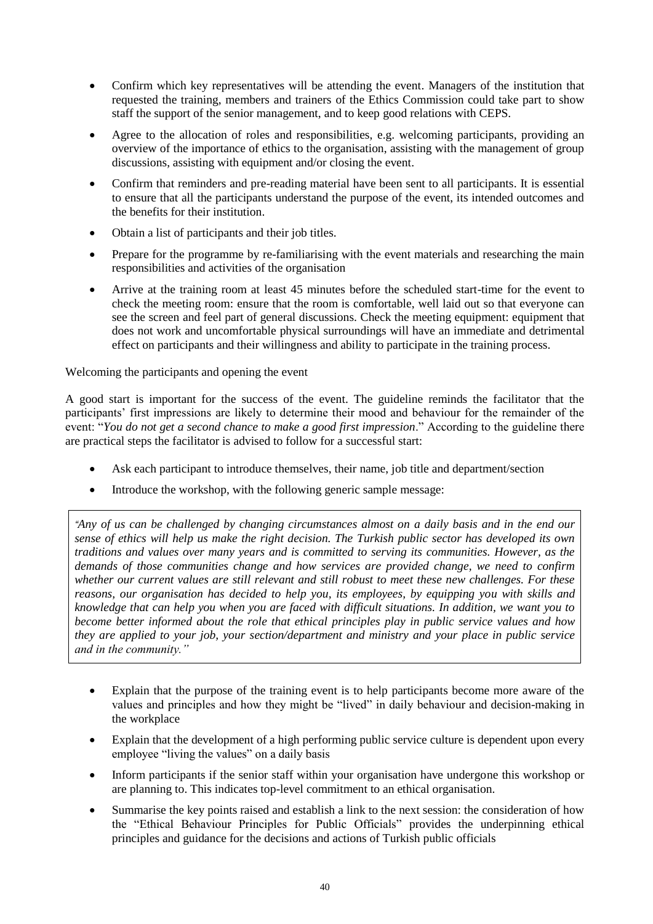- Confirm which key representatives will be attending the event. Managers of the institution that requested the training, members and trainers of the Ethics Commission could take part to show staff the support of the senior management, and to keep good relations with CEPS.
- Agree to the allocation of roles and responsibilities, e.g. welcoming participants, providing an overview of the importance of ethics to the organisation, assisting with the management of group discussions, assisting with equipment and/or closing the event.
- Confirm that reminders and pre-reading material have been sent to all participants. It is essential to ensure that all the participants understand the purpose of the event, its intended outcomes and the benefits for their institution.
- Obtain a list of participants and their job titles.
- Prepare for the programme by re-familiarising with the event materials and researching the main responsibilities and activities of the organisation
- Arrive at the training room at least 45 minutes before the scheduled start-time for the event to check the meeting room: ensure that the room is comfortable, well laid out so that everyone can see the screen and feel part of general discussions. Check the meeting equipment: equipment that does not work and uncomfortable physical surroundings will have an immediate and detrimental effect on participants and their willingness and ability to participate in the training process.

Welcoming the participants and opening the event

A good start is important for the success of the event. The guideline reminds the facilitator that the participants' first impressions are likely to determine their mood and behaviour for the remainder of the event: "You do not get a second chance to make a good first impression." According to the guideline there are practical steps the facilitator is advised to follow for a successful start:

- Ask each participant to introduce themselves, their name, job title and department/section
- Introduce the workshop, with the following generic sample message:

*"Any of us can be challenged by changing circumstances almost on a daily basis and in the end our sense of ethics will help us make the right decision. The Turkish public sector has developed its own traditions and values over many years and is committed to serving its communities. However, as the demands of those communities change and how services are provided change, we need to confirm whether our current values are still relevant and still robust to meet these new challenges. For these reasons, our organisation has decided to help you, its employees, by equipping you with skills and knowledge that can help you when you are faced with difficult situations. In addition, we want you to become better informed about the role that ethical principles play in public service values and how they are applied to your job, your section/department and ministry and your place in public service and in the community."*

- Explain that the purpose of the training event is to help participants become more aware of the values and principles and how they might be "lived" in daily behaviour and decision-making in the workplace
- Explain that the development of a high performing public service culture is dependent upon every employee "living the values" on a daily basis
- Inform participants if the senior staff within your organisation have undergone this workshop or are planning to. This indicates top-level commitment to an ethical organisation.
- Summarise the key points raised and establish a link to the next session: the consideration of how the "Ethical Behaviour Principles for Public Officials" provides the underpinning ethical principles and guidance for the decisions and actions of Turkish public officials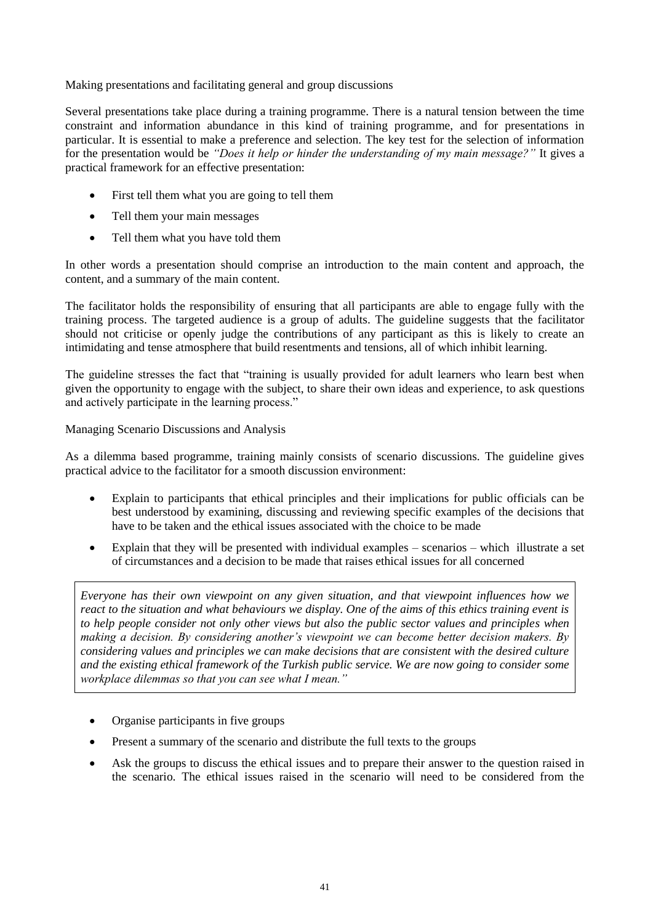Making presentations and facilitating general and group discussions

Several presentations take place during a training programme. There is a natural tension between the time constraint and information abundance in this kind of training programme, and for presentations in particular. It is essential to make a preference and selection. The key test for the selection of information for the presentation would be *"Does it help or hinder the understanding of my main message?"* It gives a practical framework for an effective presentation:

- First tell them what you are going to tell them
- Tell them your main messages
- Tell them what you have told them

In other words a presentation should comprise an introduction to the main content and approach, the content, and a summary of the main content.

The facilitator holds the responsibility of ensuring that all participants are able to engage fully with the training process. The targeted audience is a group of adults. The guideline suggests that the facilitator should not criticise or openly judge the contributions of any participant as this is likely to create an intimidating and tense atmosphere that build resentments and tensions, all of which inhibit learning.

The guideline stresses the fact that "training is usually provided for adult learners who learn best when given the opportunity to engage with the subject, to share their own ideas and experience, to ask questions and actively participate in the learning process."

Managing Scenario Discussions and Analysis

As a dilemma based programme, training mainly consists of scenario discussions. The guideline gives practical advice to the facilitator for a smooth discussion environment:

- Explain to participants that ethical principles and their implications for public officials can be best understood by examining, discussing and reviewing specific examples of the decisions that have to be taken and the ethical issues associated with the choice to be made
- Explain that they will be presented with individual examples scenarios which illustrate a set of circumstances and a decision to be made that raises ethical issues for all concerned

*Everyone has their own viewpoint on any given situation, and that viewpoint influences how we react to the situation and what behaviours we display. One of the aims of this ethics training event is to help people consider not only other views but also the public sector values and principles when making a decision. By considering another's viewpoint we can become better decision makers. By considering values and principles we can make decisions that are consistent with the desired culture and the existing ethical framework of the Turkish public service. We are now going to consider some workplace dilemmas so that you can see what I mean."*

- Organise participants in five groups
- Present a summary of the scenario and distribute the full texts to the groups
- Ask the groups to discuss the ethical issues and to prepare their answer to the question raised in the scenario. The ethical issues raised in the scenario will need to be considered from the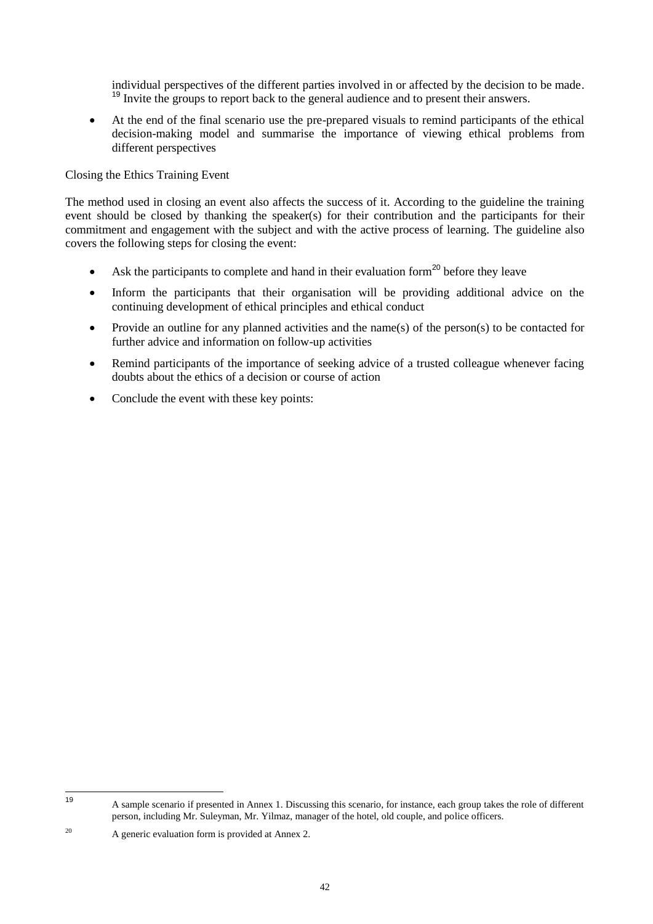individual perspectives of the different parties involved in or affected by the decision to be made. <sup>19</sup> Invite the groups to report back to the general audience and to present their answers.

 At the end of the final scenario use the pre-prepared visuals to remind participants of the ethical decision-making model and summarise the importance of viewing ethical problems from different perspectives

Closing the Ethics Training Event

The method used in closing an event also affects the success of it. According to the guideline the training event should be closed by thanking the speaker(s) for their contribution and the participants for their commitment and engagement with the subject and with the active process of learning. The guideline also covers the following steps for closing the event:

- Ask the participants to complete and hand in their evaluation form<sup>20</sup> before they leave
- Inform the participants that their organisation will be providing additional advice on the continuing development of ethical principles and ethical conduct
- Provide an outline for any planned activities and the name(s) of the person(s) to be contacted for further advice and information on follow-up activities
- Remind participants of the importance of seeking advice of a trusted colleague whenever facing doubts about the ethics of a decision or course of action
- Conclude the event with these key points:

 $19$ <sup>19</sup> A sample scenario if presented in Annex 1. Discussing this scenario, for instance, each group takes the role of different person, including Mr. Suleyman, Mr. Yilmaz, manager of the hotel, old couple, and police officers.

<sup>20</sup> A generic evaluation form is provided at Annex 2.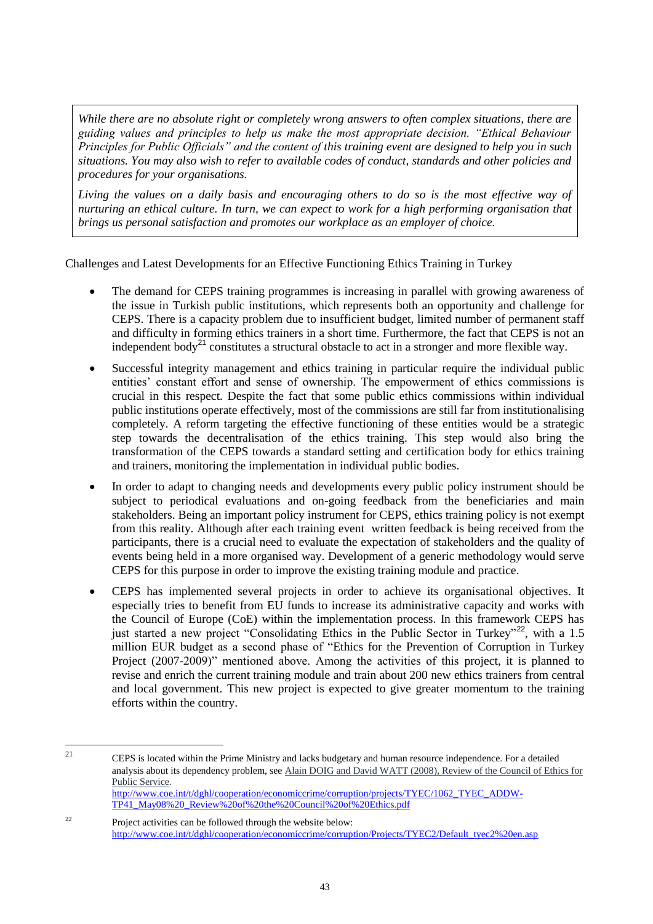*While there are no absolute right or completely wrong answers to often complex situations, there are guiding values and principles to help us make the most appropriate decision. "Ethical Behaviour Principles for Public Officials" and the content of this training event are designed to help you in such situations. You may also wish to refer to available codes of conduct, standards and other policies and procedures for your organisations.*

*Living the values on a daily basis and encouraging others to do so is the most effective way of nurturing an ethical culture. In turn, we can expect to work for a high performing organisation that brings us personal satisfaction and promotes our workplace as an employer of choice.*

Challenges and Latest Developments for an Effective Functioning Ethics Training in Turkey

- The demand for CEPS training programmes is increasing in parallel with growing awareness of the issue in Turkish public institutions, which represents both an opportunity and challenge for CEPS. There is a capacity problem due to insufficient budget, limited number of permanent staff and difficulty in forming ethics trainers in a short time. Furthermore, the fact that CEPS is not an independent body<sup>21</sup> constitutes a structural obstacle to act in a stronger and more flexible way.
- Successful integrity management and ethics training in particular require the individual public entities' constant effort and sense of ownership. The empowerment of ethics commissions is crucial in this respect. Despite the fact that some public ethics commissions within individual public institutions operate effectively, most of the commissions are still far from institutionalising completely. A reform targeting the effective functioning of these entities would be a strategic step towards the decentralisation of the ethics training. This step would also bring the transformation of the CEPS towards a standard setting and certification body for ethics training and trainers, monitoring the implementation in individual public bodies.
- In order to adapt to changing needs and developments every public policy instrument should be subject to periodical evaluations and on-going feedback from the beneficiaries and main stakeholders. Being an important policy instrument for CEPS, ethics training policy is not exempt from this reality. Although after each training event written feedback is being received from the participants, there is a crucial need to evaluate the expectation of stakeholders and the quality of events being held in a more organised way. Development of a generic methodology would serve CEPS for this purpose in order to improve the existing training module and practice.
- CEPS has implemented several projects in order to achieve its organisational objectives. It especially tries to benefit from EU funds to increase its administrative capacity and works with the Council of Europe (CoE) within the implementation process. In this framework CEPS has just started a new project "Consolidating Ethics in the Public Sector in Turkey"<sup>22</sup>, with a 1.5 million EUR budget as a second phase of "Ethics for the Prevention of Corruption in Turkey" Project (2007-2009)" mentioned above. Among the activities of this project, it is planned to revise and enrich the current training module and train about 200 new ethics trainers from central and local government. This new project is expected to give greater momentum to the training efforts within the country.

 $21$ <sup>21</sup> CEPS is located within the Prime Ministry and lacks budgetary and human resource independence. For a detailed analysis about its dependency problem, see [Alain DOIG and David WATT \(2008\), Review of the Council of Ethics for](javascript:__doPostBack()  [Public Service.](javascript:__doPostBack()  [http://www.coe.int/t/dghl/cooperation/economiccrime/corruption/projects/TYEC/1062\\_TYEC\\_ADDW-](http://www.coe.int/t/dghl/cooperation/economiccrime/corruption/projects/TYEC/1062_TYEC_ADDW-TP41_May08%20_Review%20of%20the%20Council%20of%20Ethics.pdf)[TP41\\_May08%20\\_Review%20of%20the%20Council%20of%20Ethics.pdf](http://www.coe.int/t/dghl/cooperation/economiccrime/corruption/projects/TYEC/1062_TYEC_ADDW-TP41_May08%20_Review%20of%20the%20Council%20of%20Ethics.pdf)

<sup>&</sup>lt;sup>22</sup> Project activities can be followed through the website below: [http://www.coe.int/t/dghl/cooperation/economiccrime/corruption/Projects/TYEC2/Default\\_tyec2%20en.asp](http://www.coe.int/t/dghl/cooperation/economiccrime/corruption/Projects/TYEC2/Default_tyec2%20en.asp)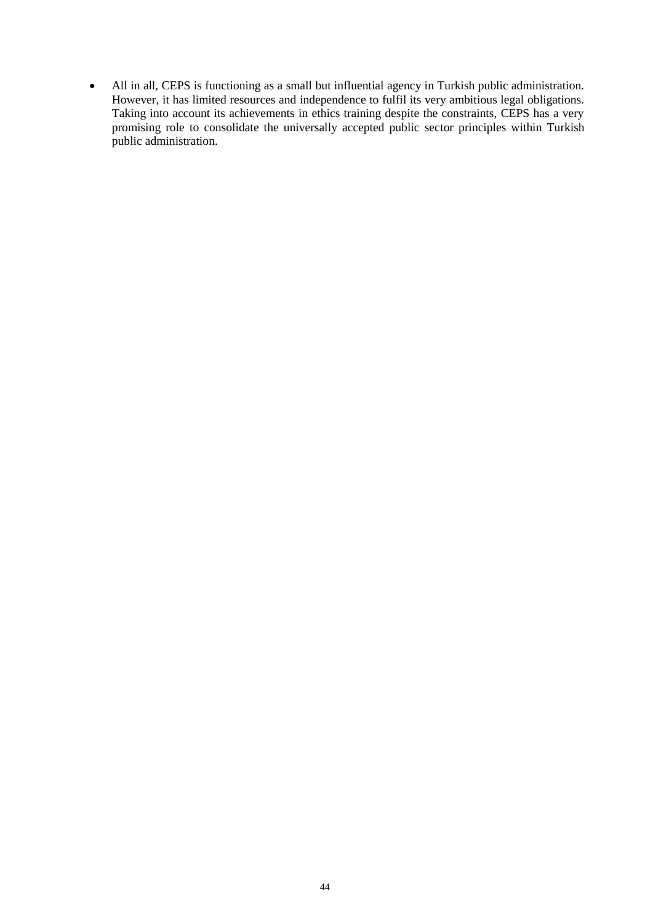All in all, CEPS is functioning as a small but influential agency in Turkish public administration. However, it has limited resources and independence to fulfil its very ambitious legal obligations. Taking into account its achievements in ethics training despite the constraints, CEPS has a very promising role to consolidate the universally accepted public sector principles within Turkish public administration.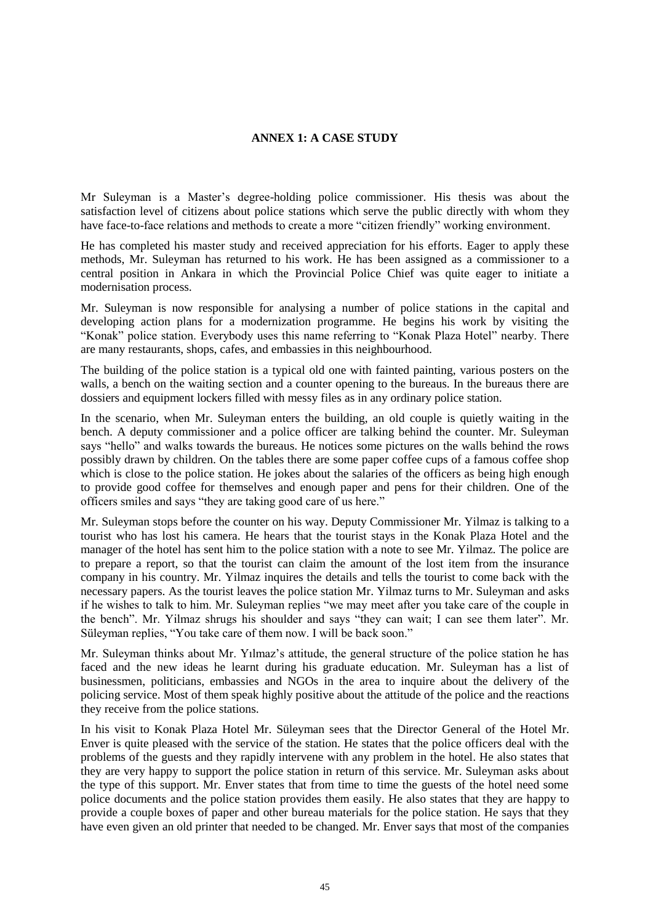#### **ANNEX 1: A CASE STUDY**

Mr Suleyman is a Master's degree-holding police commissioner. His thesis was about the satisfaction level of citizens about police stations which serve the public directly with whom they have face-to-face relations and methods to create a more "citizen friendly" working environment.

He has completed his master study and received appreciation for his efforts. Eager to apply these methods, Mr. Suleyman has returned to his work. He has been assigned as a commissioner to a central position in Ankara in which the Provincial Police Chief was quite eager to initiate a modernisation process.

Mr. Suleyman is now responsible for analysing a number of police stations in the capital and developing action plans for a modernization programme. He begins his work by visiting the "Konak" police station. Everybody uses this name referring to "Konak Plaza Hotel" nearby. There are many restaurants, shops, cafes, and embassies in this neighbourhood.

The building of the police station is a typical old one with fainted painting, various posters on the walls, a bench on the waiting section and a counter opening to the bureaus. In the bureaus there are dossiers and equipment lockers filled with messy files as in any ordinary police station.

In the scenario, when Mr. Suleyman enters the building, an old couple is quietly waiting in the bench. A deputy commissioner and a police officer are talking behind the counter. Mr. Suleyman says "hello" and walks towards the bureaus. He notices some pictures on the walls behind the rows possibly drawn by children. On the tables there are some paper coffee cups of a famous coffee shop which is close to the police station. He jokes about the salaries of the officers as being high enough to provide good coffee for themselves and enough paper and pens for their children. One of the officers smiles and says "they are taking good care of us here."

Mr. Suleyman stops before the counter on his way. Deputy Commissioner Mr. Yilmaz is talking to a tourist who has lost his camera. He hears that the tourist stays in the Konak Plaza Hotel and the manager of the hotel has sent him to the police station with a note to see Mr. Yilmaz. The police are to prepare a report, so that the tourist can claim the amount of the lost item from the insurance company in his country. Mr. Yilmaz inquires the details and tells the tourist to come back with the necessary papers. As the tourist leaves the police station Mr. Yilmaz turns to Mr. Suleyman and asks if he wishes to talk to him. Mr. Suleyman replies "we may meet after you take care of the couple in the bench". Mr. Yilmaz shrugs his shoulder and says "they can wait; I can see them later". Mr. Süleyman replies, "You take care of them now. I will be back soon."

Mr. Suleyman thinks about Mr. Yılmaz's attitude, the general structure of the police station he has faced and the new ideas he learnt during his graduate education. Mr. Suleyman has a list of businessmen, politicians, embassies and NGOs in the area to inquire about the delivery of the policing service. Most of them speak highly positive about the attitude of the police and the reactions they receive from the police stations.

In his visit to Konak Plaza Hotel Mr. Süleyman sees that the Director General of the Hotel Mr. Enver is quite pleased with the service of the station. He states that the police officers deal with the problems of the guests and they rapidly intervene with any problem in the hotel. He also states that they are very happy to support the police station in return of this service. Mr. Suleyman asks about the type of this support. Mr. Enver states that from time to time the guests of the hotel need some police documents and the police station provides them easily. He also states that they are happy to provide a couple boxes of paper and other bureau materials for the police station. He says that they have even given an old printer that needed to be changed. Mr. Enver says that most of the companies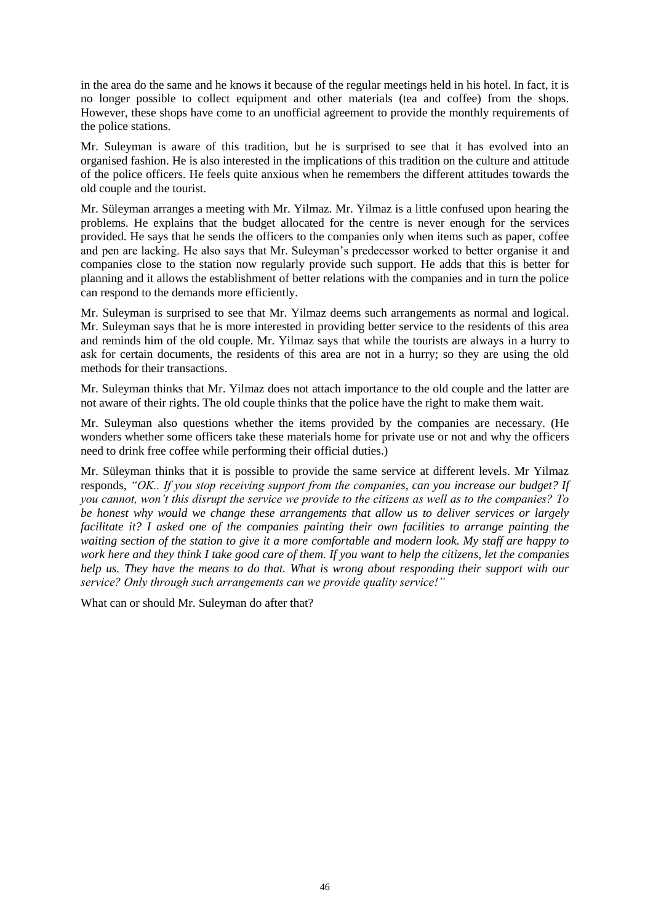in the area do the same and he knows it because of the regular meetings held in his hotel. In fact, it is no longer possible to collect equipment and other materials (tea and coffee) from the shops. However, these shops have come to an unofficial agreement to provide the monthly requirements of the police stations.

Mr. Suleyman is aware of this tradition, but he is surprised to see that it has evolved into an organised fashion. He is also interested in the implications of this tradition on the culture and attitude of the police officers. He feels quite anxious when he remembers the different attitudes towards the old couple and the tourist.

Mr. Süleyman arranges a meeting with Mr. Yilmaz. Mr. Yilmaz is a little confused upon hearing the problems. He explains that the budget allocated for the centre is never enough for the services provided. He says that he sends the officers to the companies only when items such as paper, coffee and pen are lacking. He also says that Mr. Suleyman's predecessor worked to better organise it and companies close to the station now regularly provide such support. He adds that this is better for planning and it allows the establishment of better relations with the companies and in turn the police can respond to the demands more efficiently.

Mr. Suleyman is surprised to see that Mr. Yilmaz deems such arrangements as normal and logical. Mr. Suleyman says that he is more interested in providing better service to the residents of this area and reminds him of the old couple. Mr. Yilmaz says that while the tourists are always in a hurry to ask for certain documents, the residents of this area are not in a hurry; so they are using the old methods for their transactions.

Mr. Suleyman thinks that Mr. Yilmaz does not attach importance to the old couple and the latter are not aware of their rights. The old couple thinks that the police have the right to make them wait.

Mr. Suleyman also questions whether the items provided by the companies are necessary. (He wonders whether some officers take these materials home for private use or not and why the officers need to drink free coffee while performing their official duties.)

Mr. Süleyman thinks that it is possible to provide the same service at different levels. Mr Yilmaz responds, *"OK.. If you stop receiving support from the companies, can you increase our budget? If you cannot, won't this disrupt the service we provide to the citizens as well as to the companies? To be honest why would we change these arrangements that allow us to deliver services or largely facilitate it? I asked one of the companies painting their own facilities to arrange painting the waiting section of the station to give it a more comfortable and modern look. My staff are happy to work here and they think I take good care of them. If you want to help the citizens, let the companies help us. They have the means to do that. What is wrong about responding their support with our service? Only through such arrangements can we provide quality service!"*

What can or should Mr. Suleyman do after that?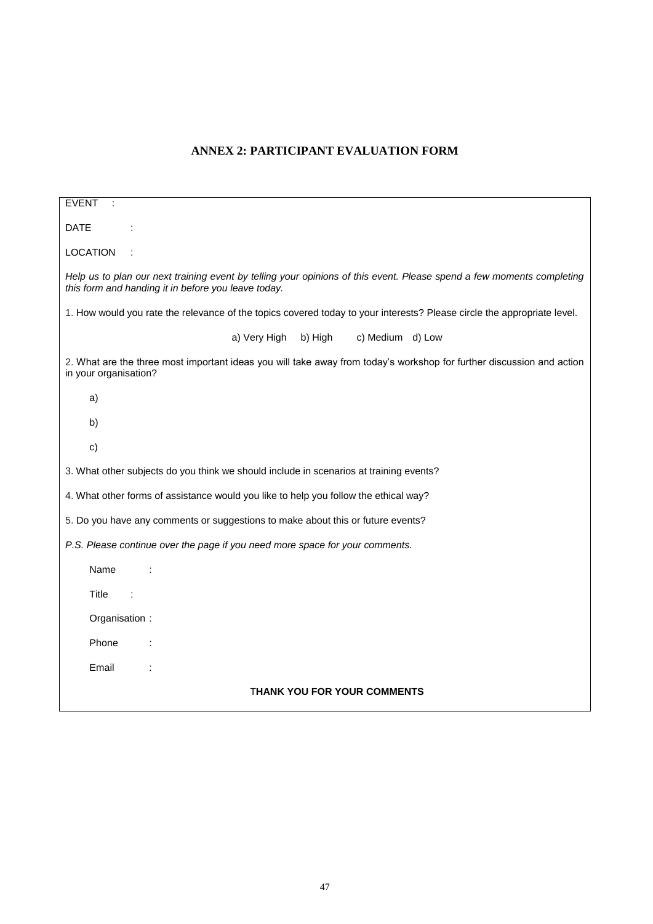# **ANNEX 2: PARTICIPANT EVALUATION FORM**

| <b>EVENT</b>                                                                                                                                                                 |  |
|------------------------------------------------------------------------------------------------------------------------------------------------------------------------------|--|
| <b>DATE</b>                                                                                                                                                                  |  |
| <b>LOCATION</b>                                                                                                                                                              |  |
| Help us to plan our next training event by telling your opinions of this event. Please spend a few moments completing<br>this form and handing it in before you leave today. |  |
| 1. How would you rate the relevance of the topics covered today to your interests? Please circle the appropriate level.                                                      |  |
| a) Very High<br>b) High<br>c) Medium d) Low                                                                                                                                  |  |
| 2. What are the three most important ideas you will take away from today's workshop for further discussion and action<br>in your organisation?                               |  |
| a)                                                                                                                                                                           |  |
| b)                                                                                                                                                                           |  |
| c)                                                                                                                                                                           |  |
| 3. What other subjects do you think we should include in scenarios at training events?                                                                                       |  |
| 4. What other forms of assistance would you like to help you follow the ethical way?                                                                                         |  |
| 5. Do you have any comments or suggestions to make about this or future events?                                                                                              |  |
| P.S. Please continue over the page if you need more space for your comments.                                                                                                 |  |
| Name                                                                                                                                                                         |  |
| <b>Title</b>                                                                                                                                                                 |  |
| Organisation:                                                                                                                                                                |  |
| Phone                                                                                                                                                                        |  |
| Email                                                                                                                                                                        |  |
| <b>THANK YOU FOR YOUR COMMENTS</b>                                                                                                                                           |  |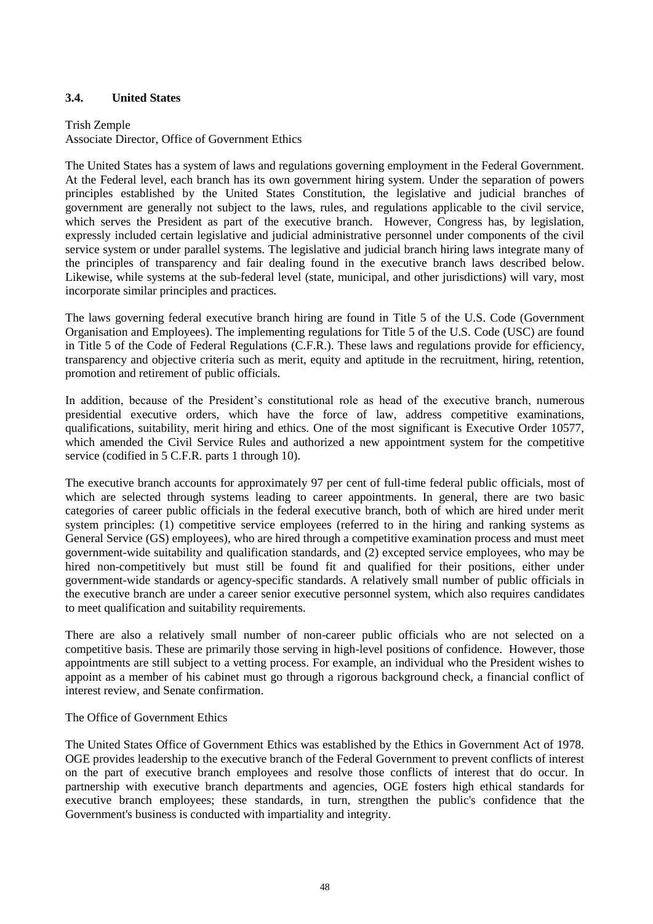## <span id="page-47-0"></span>**3.4. United States**

#### Trish Zemple

Associate Director, Office of Government Ethics

The United States has a system of laws and regulations governing employment in the Federal Government. At the Federal level, each branch has its own government hiring system. Under the separation of powers principles established by the United States Constitution, the legislative and judicial branches of government are generally not subject to the laws, rules, and regulations applicable to the civil service, which serves the President as part of the executive branch. However, Congress has, by legislation, expressly included certain legislative and judicial administrative personnel under components of the civil service system or under parallel systems. The legislative and judicial branch hiring laws integrate many of the principles of transparency and fair dealing found in the executive branch laws described below. Likewise, while systems at the sub-federal level (state, municipal, and other jurisdictions) will vary, most incorporate similar principles and practices.

The laws governing federal executive branch hiring are found in Title 5 of the U.S. Code (Government Organisation and Employees). The implementing regulations for Title 5 of the U.S. Code (USC) are found in Title 5 of the Code of Federal Regulations (C.F.R.). These laws and regulations provide for efficiency, transparency and objective criteria such as merit, equity and aptitude in the recruitment, hiring, retention, promotion and retirement of public officials.

In addition, because of the President's constitutional role as head of the executive branch, numerous presidential executive orders, which have the force of law, address competitive examinations, qualifications, suitability, merit hiring and ethics. One of the most significant is Executive Order 10577, which amended the Civil Service Rules and authorized a new appointment system for the competitive service (codified in 5 C.F.R. parts 1 through 10).

The executive branch accounts for approximately 97 per cent of full-time federal public officials, most of which are selected through systems leading to career appointments. In general, there are two basic categories of career public officials in the federal executive branch, both of which are hired under merit system principles: (1) competitive service employees (referred to in the hiring and ranking systems as General Service (GS) employees), who are hired through a competitive examination process and must meet government-wide suitability and qualification standards, and (2) excepted service employees, who may be hired non-competitively but must still be found fit and qualified for their positions, either under government-wide standards or agency-specific standards. A relatively small number of public officials in the executive branch are under a career senior executive personnel system, which also requires candidates to meet qualification and suitability requirements.

There are also a relatively small number of non-career public officials who are not selected on a competitive basis. These are primarily those serving in high-level positions of confidence. However, those appointments are still subject to a vetting process. For example, an individual who the President wishes to appoint as a member of his cabinet must go through a rigorous background check, a financial conflict of interest review, and Senate confirmation.

#### The Office of Government Ethics

The United States Office of Government Ethics was established by the Ethics in Government Act of 1978. OGE provides leadership to the executive branch of the Federal Government to prevent conflicts of interest on the part of executive branch employees and resolve those conflicts of interest that do occur. In partnership with executive branch departments and agencies, OGE fosters high ethical standards for executive branch employees; these standards, in turn, strengthen the public's confidence that the Government's business is conducted with impartiality and integrity.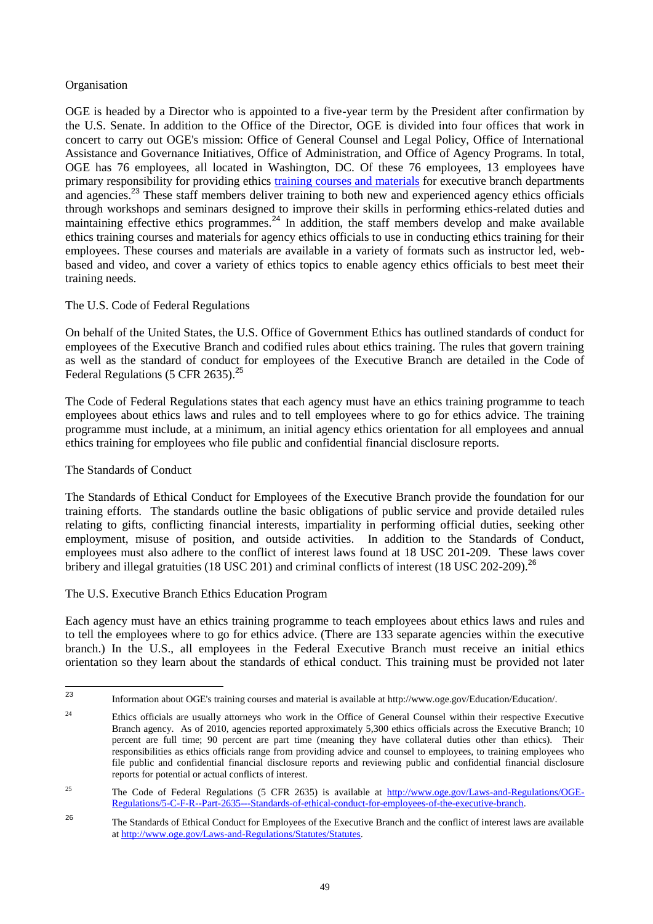## **Organisation**

OGE is headed by a Director who is appointed to a five-year term by the President after confirmation by the U.S. Senate. In addition to the Office of the Director, OGE is divided into four offices that work in concert to carry out OGE's mission: Office of General Counsel and Legal Policy, Office of International Assistance and Governance Initiatives, Office of Administration, and Office of Agency Programs. In total, OGE has 76 employees, all located in Washington, DC. Of these 76 employees, 13 employees have primary responsibility for providing ethics [training courses and materials](http://www.oge.gov/Education/Education/) for executive branch departments and agencies.<sup>23</sup> These staff members deliver training to both new and experienced agency ethics officials through workshops and seminars designed to improve their skills in performing ethics-related duties and maintaining effective ethics programmes.<sup>24</sup> In addition, the staff members develop and make available ethics training courses and materials for agency ethics officials to use in conducting ethics training for their employees. These courses and materials are available in a variety of formats such as instructor led, webbased and video, and cover a variety of ethics topics to enable agency ethics officials to best meet their training needs.

## The U.S. Code of Federal Regulations

On behalf of the United States, the U.S. Office of Government Ethics has outlined standards of conduct for employees of the Executive Branch and codified rules about ethics training. The rules that govern training as well as the standard of conduct for employees of the Executive Branch are detailed in the Code of Federal Regulations (5 CFR 2635).<sup>25</sup>

The Code of Federal Regulations states that each agency must have an ethics training programme to teach employees about ethics laws and rules and to tell employees where to go for ethics advice. The training programme must include, at a minimum, an initial agency ethics orientation for all employees and annual ethics training for employees who file public and confidential financial disclosure reports.

#### The Standards of Conduct

The Standards of Ethical Conduct for Employees of the Executive Branch provide the foundation for our training efforts. The standards outline the basic obligations of public service and provide detailed rules relating to gifts, conflicting financial interests, impartiality in performing official duties, seeking other employment, misuse of position, and outside activities. In addition to the Standards of Conduct, employees must also adhere to the conflict of interest laws found at 18 USC 201-209. These laws cover bribery and illegal gratuities (18 USC 201) and criminal conflicts of interest (18 USC 202-209).<sup>26</sup>

#### The U.S. Executive Branch Ethics Education Program

Each agency must have an ethics training programme to teach employees about ethics laws and rules and to tell the employees where to go for ethics advice. (There are 133 separate agencies within the executive branch.) In the U.S., all employees in the Federal Executive Branch must receive an initial ethics orientation so they learn about the standards of ethical conduct. This training must be provided not later

 $23$ <sup>23</sup> Information about OGE's training courses and material is available at http://www.oge.gov/Education/Education/.

<sup>&</sup>lt;sup>24</sup> Ethics officials are usually attorneys who work in the Office of General Counsel within their respective Executive Branch agency. As of 2010, agencies reported approximately 5,300 ethics officials across the Executive Branch; 10 percent are full time; 90 percent are part time (meaning they have collateral duties other than ethics). Their responsibilities as ethics officials range from providing advice and counsel to employees, to training employees who file public and confidential financial disclosure reports and reviewing public and confidential financial disclosure reports for potential or actual conflicts of interest.

<sup>&</sup>lt;sup>25</sup> The Code of Federal Regulations (5 CFR 2635) is available at [http://www.oge.gov/Laws-and-Regulations/OGE-](http://www.oge.gov/Laws-and-Regulations/OGE-Regulations/5-C-F-R--Part-2635---Standards-of-ethical-conduct-for-employees-of-the-executive-branch)[Regulations/5-C-F-R--Part-2635---Standards-of-ethical-conduct-for-employees-of-the-executive-branch.](http://www.oge.gov/Laws-and-Regulations/OGE-Regulations/5-C-F-R--Part-2635---Standards-of-ethical-conduct-for-employees-of-the-executive-branch)

<sup>26</sup> The Standards of Ethical Conduct for Employees of the Executive Branch and the conflict of interest laws are available at [http://www.oge.gov/Laws-and-Regulations/Statutes/Statutes.](http://www.oge.gov/Laws-and-Regulations/Statutes/Statutes)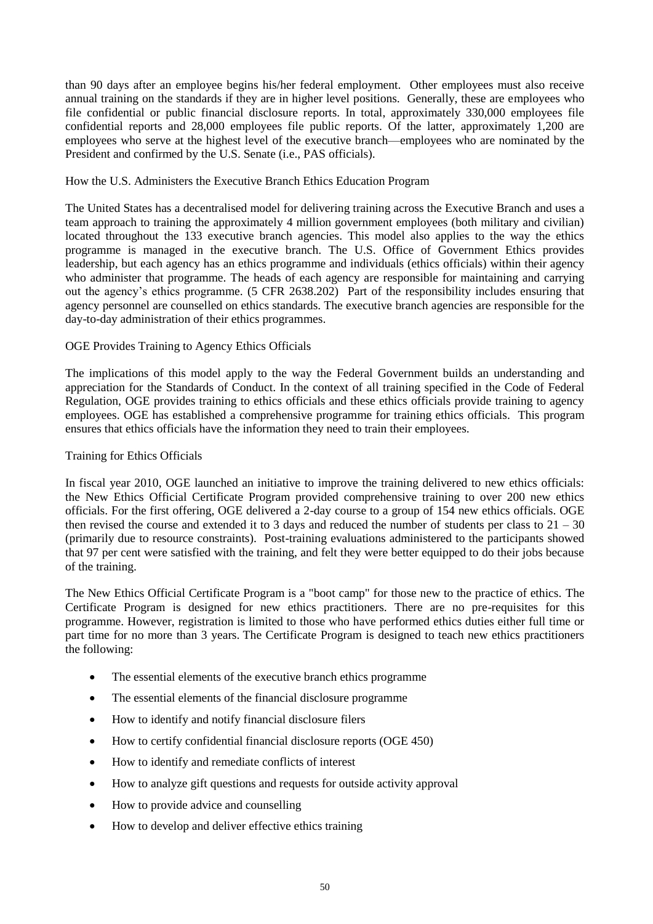than 90 days after an employee begins his/her federal employment. Other employees must also receive annual training on the standards if they are in higher level positions. Generally, these are employees who file confidential or public financial disclosure reports. In total, approximately 330,000 employees file confidential reports and 28,000 employees file public reports. Of the latter, approximately 1,200 are employees who serve at the highest level of the executive branch—employees who are nominated by the President and confirmed by the U.S. Senate (i.e., PAS officials).

#### How the U.S. Administers the Executive Branch Ethics Education Program

The United States has a decentralised model for delivering training across the Executive Branch and uses a team approach to training the approximately 4 million government employees (both military and civilian) located throughout the 133 executive branch agencies. This model also applies to the way the ethics programme is managed in the executive branch. The U.S. Office of Government Ethics provides leadership, but each agency has an ethics programme and individuals (ethics officials) within their agency who administer that programme. The heads of each agency are responsible for maintaining and carrying out the agency's ethics programme. (5 CFR 2638.202) Part of the responsibility includes ensuring that agency personnel are counselled on ethics standards. The executive branch agencies are responsible for the day-to-day administration of their ethics programmes.

## OGE Provides Training to Agency Ethics Officials

The implications of this model apply to the way the Federal Government builds an understanding and appreciation for the Standards of Conduct. In the context of all training specified in the Code of Federal Regulation, OGE provides training to ethics officials and these ethics officials provide training to agency employees. OGE has established a comprehensive programme for training ethics officials. This program ensures that ethics officials have the information they need to train their employees.

## Training for Ethics Officials

In fiscal year 2010, OGE launched an initiative to improve the training delivered to new ethics officials: the New Ethics Official Certificate Program provided comprehensive training to over 200 new ethics officials. For the first offering, OGE delivered a 2-day course to a group of 154 new ethics officials. OGE then revised the course and extended it to 3 days and reduced the number of students per class to  $21 - 30$ (primarily due to resource constraints). Post-training evaluations administered to the participants showed that 97 per cent were satisfied with the training, and felt they were better equipped to do their jobs because of the training.

The New Ethics Official Certificate Program is a "boot camp" for those new to the practice of ethics. The Certificate Program is designed for new ethics practitioners. There are no pre-requisites for this programme. However, registration is limited to those who have performed ethics duties either full time or part time for no more than 3 years. The Certificate Program is designed to teach new ethics practitioners the following:

- The essential elements of the executive branch ethics programme
- The essential elements of the financial disclosure programme
- How to identify and notify financial disclosure filers
- How to certify confidential financial disclosure reports (OGE 450)
- How to identify and remediate conflicts of interest
- How to analyze gift questions and requests for outside activity approval
- How to provide advice and counselling
- How to develop and deliver effective ethics training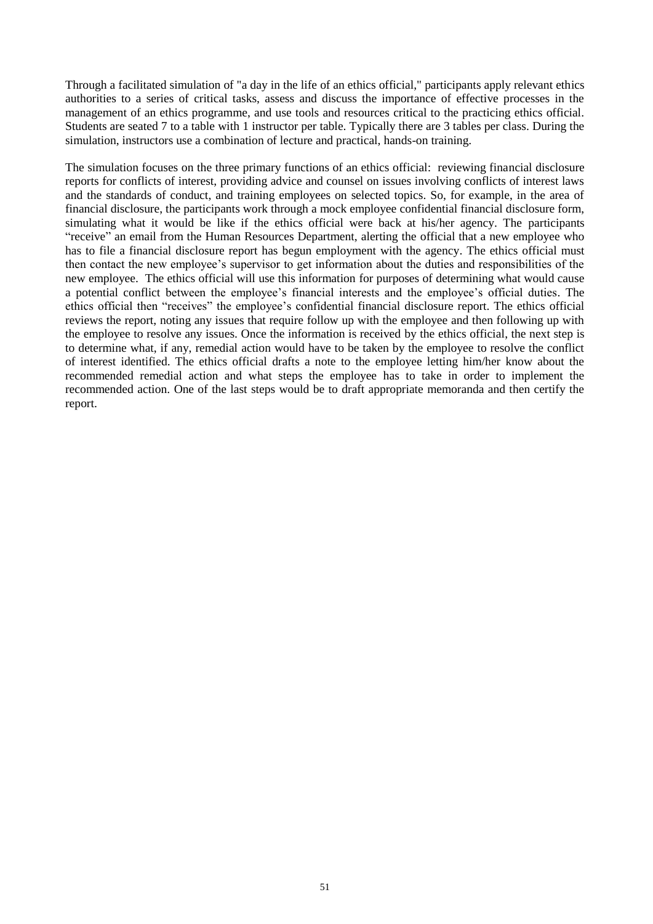Through a facilitated simulation of "a day in the life of an ethics official," participants apply relevant ethics authorities to a series of critical tasks, assess and discuss the importance of effective processes in the management of an ethics programme, and use tools and resources critical to the practicing ethics official. Students are seated 7 to a table with 1 instructor per table. Typically there are 3 tables per class. During the simulation, instructors use a combination of lecture and practical, hands-on training.

The simulation focuses on the three primary functions of an ethics official: reviewing financial disclosure reports for conflicts of interest, providing advice and counsel on issues involving conflicts of interest laws and the standards of conduct, and training employees on selected topics. So, for example, in the area of financial disclosure, the participants work through a mock employee confidential financial disclosure form, simulating what it would be like if the ethics official were back at his/her agency. The participants "receive" an email from the Human Resources Department, alerting the official that a new employee who has to file a financial disclosure report has begun employment with the agency. The ethics official must then contact the new employee's supervisor to get information about the duties and responsibilities of the new employee. The ethics official will use this information for purposes of determining what would cause a potential conflict between the employee's financial interests and the employee's official duties. The ethics official then "receives" the employee's confidential financial disclosure report. The ethics official reviews the report, noting any issues that require follow up with the employee and then following up with the employee to resolve any issues. Once the information is received by the ethics official, the next step is to determine what, if any, remedial action would have to be taken by the employee to resolve the conflict of interest identified. The ethics official drafts a note to the employee letting him/her know about the recommended remedial action and what steps the employee has to take in order to implement the recommended action. One of the last steps would be to draft appropriate memoranda and then certify the report.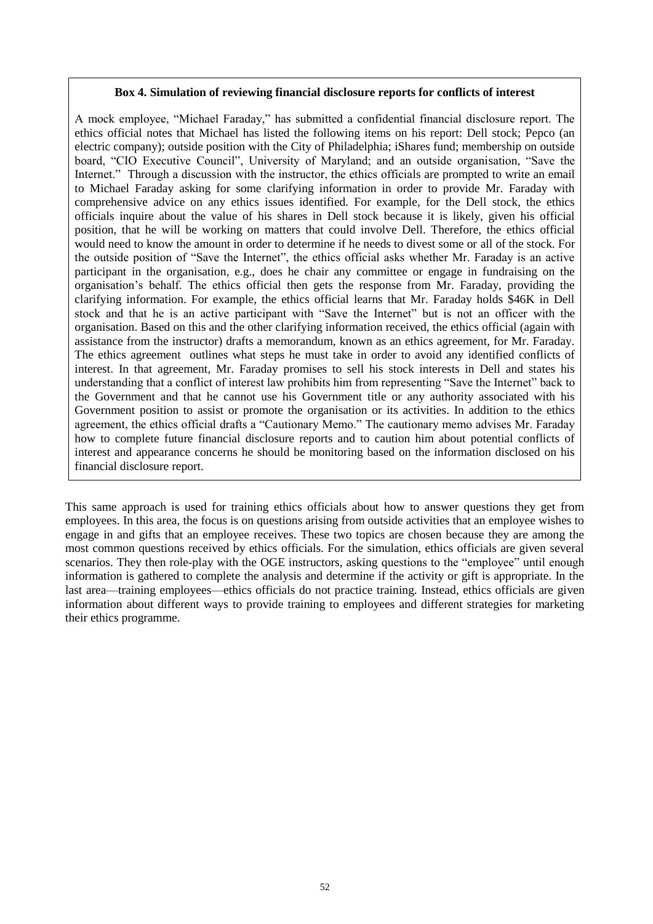#### **Box 4. Simulation of reviewing financial disclosure reports for conflicts of interest**

A mock employee, "Michael Faraday," has submitted a confidential financial disclosure report. The ethics official notes that Michael has listed the following items on his report: Dell stock; Pepco (an electric company); outside position with the City of Philadelphia; iShares fund; membership on outside board, "CIO Executive Council", University of Maryland; and an outside organisation, "Save the Internet." Through a discussion with the instructor, the ethics officials are prompted to write an email to Michael Faraday asking for some clarifying information in order to provide Mr. Faraday with comprehensive advice on any ethics issues identified. For example, for the Dell stock, the ethics officials inquire about the value of his shares in Dell stock because it is likely, given his official position, that he will be working on matters that could involve Dell. Therefore, the ethics official would need to know the amount in order to determine if he needs to divest some or all of the stock. For the outside position of "Save the Internet", the ethics official asks whether Mr. Faraday is an active participant in the organisation, e.g., does he chair any committee or engage in fundraising on the organisation's behalf. The ethics official then gets the response from Mr. Faraday, providing the clarifying information. For example, the ethics official learns that Mr. Faraday holds \$46K in Dell stock and that he is an active participant with "Save the Internet" but is not an officer with the organisation. Based on this and the other clarifying information received, the ethics official (again with assistance from the instructor) drafts a memorandum, known as an ethics agreement, for Mr. Faraday. The ethics agreement outlines what steps he must take in order to avoid any identified conflicts of interest. In that agreement, Mr. Faraday promises to sell his stock interests in Dell and states his understanding that a conflict of interest law prohibits him from representing "Save the Internet" back to the Government and that he cannot use his Government title or any authority associated with his Government position to assist or promote the organisation or its activities. In addition to the ethics agreement, the ethics official drafts a "Cautionary Memo." The cautionary memo advises Mr. Faraday how to complete future financial disclosure reports and to caution him about potential conflicts of interest and appearance concerns he should be monitoring based on the information disclosed on his financial disclosure report.

This same approach is used for training ethics officials about how to answer questions they get from employees. In this area, the focus is on questions arising from outside activities that an employee wishes to engage in and gifts that an employee receives. These two topics are chosen because they are among the most common questions received by ethics officials. For the simulation, ethics officials are given several scenarios. They then role-play with the OGE instructors, asking questions to the "employee" until enough information is gathered to complete the analysis and determine if the activity or gift is appropriate. In the last area—training employees—ethics officials do not practice training. Instead, ethics officials are given information about different ways to provide training to employees and different strategies for marketing their ethics programme.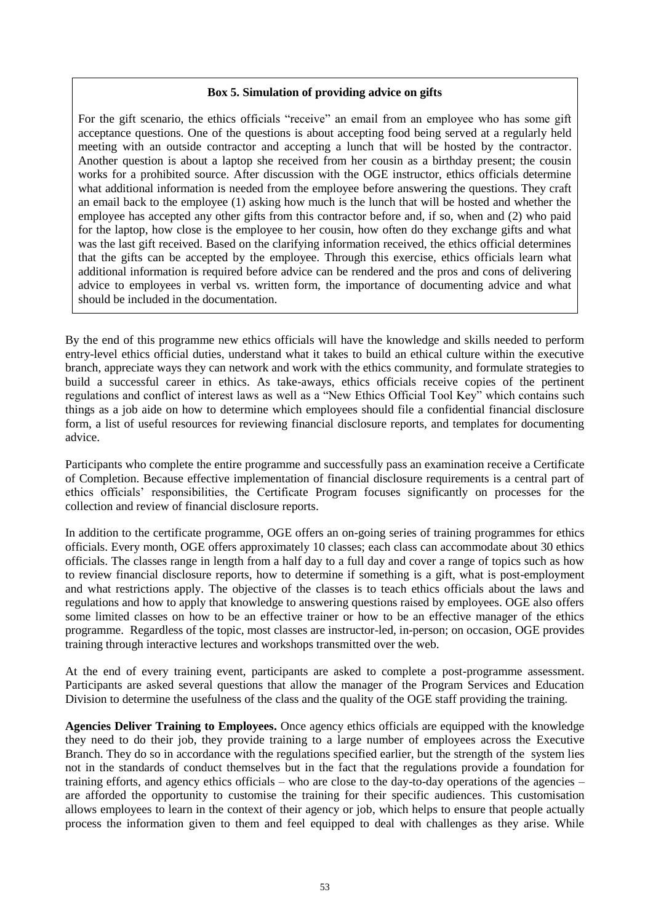#### **Box 5. Simulation of providing advice on gifts**

For the gift scenario, the ethics officials "receive" an email from an employee who has some gift acceptance questions. One of the questions is about accepting food being served at a regularly held meeting with an outside contractor and accepting a lunch that will be hosted by the contractor. Another question is about a laptop she received from her cousin as a birthday present; the cousin works for a prohibited source. After discussion with the OGE instructor, ethics officials determine what additional information is needed from the employee before answering the questions. They craft an email back to the employee (1) asking how much is the lunch that will be hosted and whether the employee has accepted any other gifts from this contractor before and, if so, when and (2) who paid for the laptop, how close is the employee to her cousin, how often do they exchange gifts and what was the last gift received. Based on the clarifying information received, the ethics official determines that the gifts can be accepted by the employee. Through this exercise, ethics officials learn what additional information is required before advice can be rendered and the pros and cons of delivering advice to employees in verbal vs. written form, the importance of documenting advice and what should be included in the documentation.

By the end of this programme new ethics officials will have the knowledge and skills needed to perform entry-level ethics official duties, understand what it takes to build an ethical culture within the executive branch, appreciate ways they can network and work with the ethics community, and formulate strategies to build a successful career in ethics. As take-aways, ethics officials receive copies of the pertinent regulations and conflict of interest laws as well as a "New Ethics Official Tool Key" which contains such things as a job aide on how to determine which employees should file a confidential financial disclosure form, a list of useful resources for reviewing financial disclosure reports, and templates for documenting advice.

Participants who complete the entire programme and successfully pass an examination receive a Certificate of Completion. Because effective implementation of financial disclosure requirements is a central part of ethics officials' responsibilities, the Certificate Program focuses significantly on processes for the collection and review of financial disclosure reports.

In addition to the certificate programme, OGE offers an on-going series of training programmes for ethics officials. Every month, OGE offers approximately 10 classes; each class can accommodate about 30 ethics officials. The classes range in length from a half day to a full day and cover a range of topics such as how to review financial disclosure reports, how to determine if something is a gift, what is post-employment and what restrictions apply. The objective of the classes is to teach ethics officials about the laws and regulations and how to apply that knowledge to answering questions raised by employees. OGE also offers some limited classes on how to be an effective trainer or how to be an effective manager of the ethics programme. Regardless of the topic, most classes are instructor-led, in-person; on occasion, OGE provides training through interactive lectures and workshops transmitted over the web.

At the end of every training event, participants are asked to complete a post-programme assessment. Participants are asked several questions that allow the manager of the Program Services and Education Division to determine the usefulness of the class and the quality of the OGE staff providing the training.

**Agencies Deliver Training to Employees.** Once agency ethics officials are equipped with the knowledge they need to do their job, they provide training to a large number of employees across the Executive Branch. They do so in accordance with the regulations specified earlier, but the strength of the system lies not in the standards of conduct themselves but in the fact that the regulations provide a foundation for training efforts, and agency ethics officials – who are close to the day-to-day operations of the agencies – are afforded the opportunity to customise the training for their specific audiences. This customisation allows employees to learn in the context of their agency or job, which helps to ensure that people actually process the information given to them and feel equipped to deal with challenges as they arise. While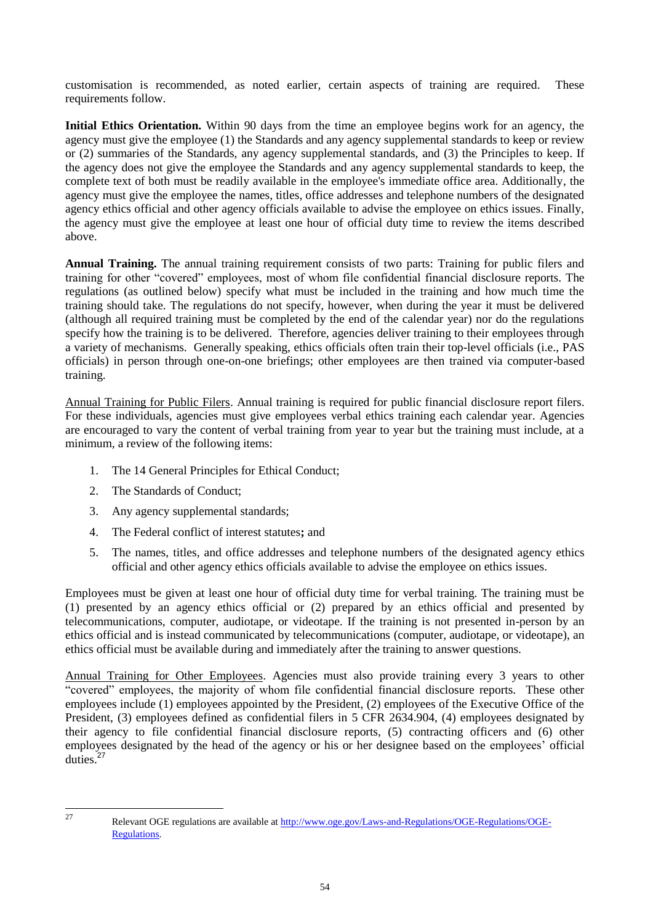customisation is recommended, as noted earlier, certain aspects of training are required. These requirements follow.

**Initial Ethics Orientation.** Within 90 days from the time an employee begins work for an agency, the agency must give the employee (1) the Standards and any agency supplemental standards to keep or review or (2) summaries of the Standards, any agency supplemental standards, and (3) the Principles to keep. If the agency does not give the employee the Standards and any agency supplemental standards to keep, the complete text of both must be readily available in the employee's immediate office area. Additionally, the agency must give the employee the names, titles, office addresses and telephone numbers of the designated agency ethics official and other agency officials available to advise the employee on ethics issues. Finally, the agency must give the employee at least one hour of official duty time to review the items described above.

**Annual Training.** The annual training requirement consists of two parts: Training for public filers and training for other "covered" employees, most of whom file confidential financial disclosure reports. The regulations (as outlined below) specify what must be included in the training and how much time the training should take. The regulations do not specify, however, when during the year it must be delivered (although all required training must be completed by the end of the calendar year) nor do the regulations specify how the training is to be delivered. Therefore, agencies deliver training to their employees through a variety of mechanisms. Generally speaking, ethics officials often train their top-level officials (i.e., PAS officials) in person through one-on-one briefings; other employees are then trained via computer-based training.

Annual Training for Public Filers. Annual training is required for public financial disclosure report filers. For these individuals, agencies must give employees verbal ethics training each calendar year. Agencies are encouraged to vary the content of verbal training from year to year but the training must include, at a minimum, a review of the following items:

- 1. The 14 General Principles for Ethical Conduct;
- 2. The Standards of Conduct;
- 3. Any agency supplemental standards;
- 4. The Federal conflict of interest statutes**;** and
- 5. The names, titles, and office addresses and telephone numbers of the designated agency ethics official and other agency ethics officials available to advise the employee on ethics issues.

Employees must be given at least one hour of official duty time for verbal training. The training must be (1) presented by an agency ethics official or (2) prepared by an ethics official and presented by telecommunications, computer, audiotape, or videotape. If the training is not presented in-person by an ethics official and is instead communicated by telecommunications (computer, audiotape, or videotape), an ethics official must be available during and immediately after the training to answer questions.

Annual Training for Other Employees. Agencies must also provide training every 3 years to other "covered" employees, the majority of whom file confidential financial disclosure reports. These other employees include (1) employees appointed by the President, (2) employees of the Executive Office of the President, (3) employees defined as confidential filers in 5 CFR 2634.904, (4) employees designated by their agency to file confidential financial disclosure reports, (5) contracting officers and (6) other employees designated by the head of the agency or his or her designee based on the employees' official duties. $27$ 

<sup>27</sup> 

<sup>27</sup> Relevant OGE regulations are available at [http://www.oge.gov/Laws-and-Regulations/OGE-Regulations/OGE-](http://www.oge.gov/Laws-and-Regulations/OGE-Regulations/OGE-Regulations)[Regulations.](http://www.oge.gov/Laws-and-Regulations/OGE-Regulations/OGE-Regulations)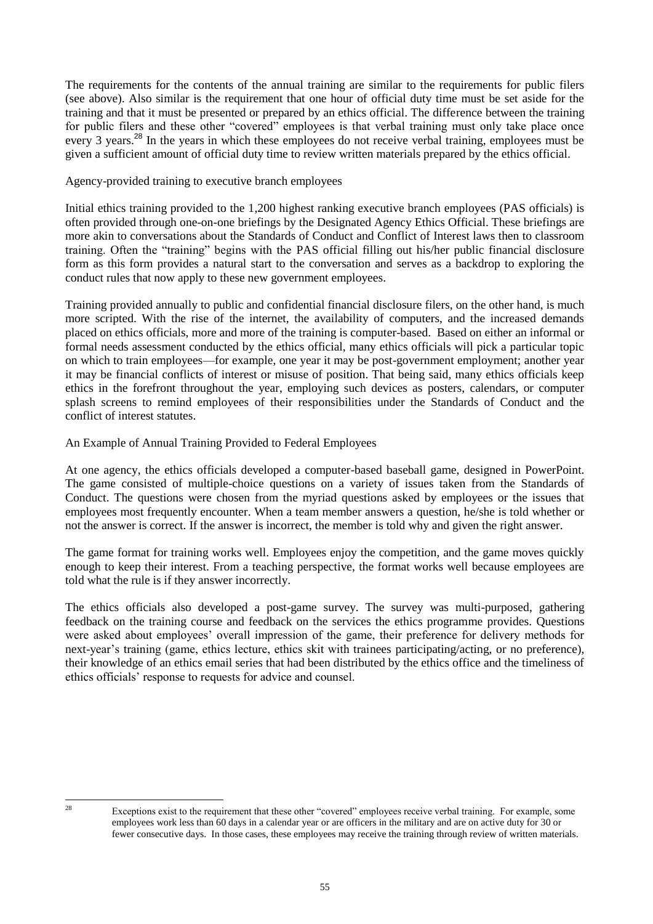The requirements for the contents of the annual training are similar to the requirements for public filers (see above). Also similar is the requirement that one hour of official duty time must be set aside for the training and that it must be presented or prepared by an ethics official. The difference between the training for public filers and these other "covered" employees is that verbal training must only take place once every 3 years.<sup>28</sup> In the years in which these employees do not receive verbal training, employees must be given a sufficient amount of official duty time to review written materials prepared by the ethics official.

Agency-provided training to executive branch employees

Initial ethics training provided to the 1,200 highest ranking executive branch employees (PAS officials) is often provided through one-on-one briefings by the Designated Agency Ethics Official. These briefings are more akin to conversations about the Standards of Conduct and Conflict of Interest laws then to classroom training. Often the "training" begins with the PAS official filling out his/her public financial disclosure form as this form provides a natural start to the conversation and serves as a backdrop to exploring the conduct rules that now apply to these new government employees.

Training provided annually to public and confidential financial disclosure filers, on the other hand, is much more scripted. With the rise of the internet, the availability of computers, and the increased demands placed on ethics officials, more and more of the training is computer-based. Based on either an informal or formal needs assessment conducted by the ethics official, many ethics officials will pick a particular topic on which to train employees—for example, one year it may be post-government employment; another year it may be financial conflicts of interest or misuse of position. That being said, many ethics officials keep ethics in the forefront throughout the year, employing such devices as posters, calendars, or computer splash screens to remind employees of their responsibilities under the Standards of Conduct and the conflict of interest statutes.

An Example of Annual Training Provided to Federal Employees

At one agency, the ethics officials developed a computer-based baseball game, designed in PowerPoint. The game consisted of multiple-choice questions on a variety of issues taken from the Standards of Conduct. The questions were chosen from the myriad questions asked by employees or the issues that employees most frequently encounter. When a team member answers a question, he/she is told whether or not the answer is correct. If the answer is incorrect, the member is told why and given the right answer.

The game format for training works well. Employees enjoy the competition, and the game moves quickly enough to keep their interest. From a teaching perspective, the format works well because employees are told what the rule is if they answer incorrectly.

The ethics officials also developed a post-game survey. The survey was multi-purposed, gathering feedback on the training course and feedback on the services the ethics programme provides. Questions were asked about employees' overall impression of the game, their preference for delivery methods for next-year's training (game, ethics lecture, ethics skit with trainees participating/acting, or no preference), their knowledge of an ethics email series that had been distributed by the ethics office and the timeliness of ethics officials' response to requests for advice and counsel.

 $28$ 

Exceptions exist to the requirement that these other "covered" employees receive verbal training. For example, some employees work less than 60 days in a calendar year or are officers in the military and are on active duty for 30 or fewer consecutive days. In those cases, these employees may receive the training through review of written materials.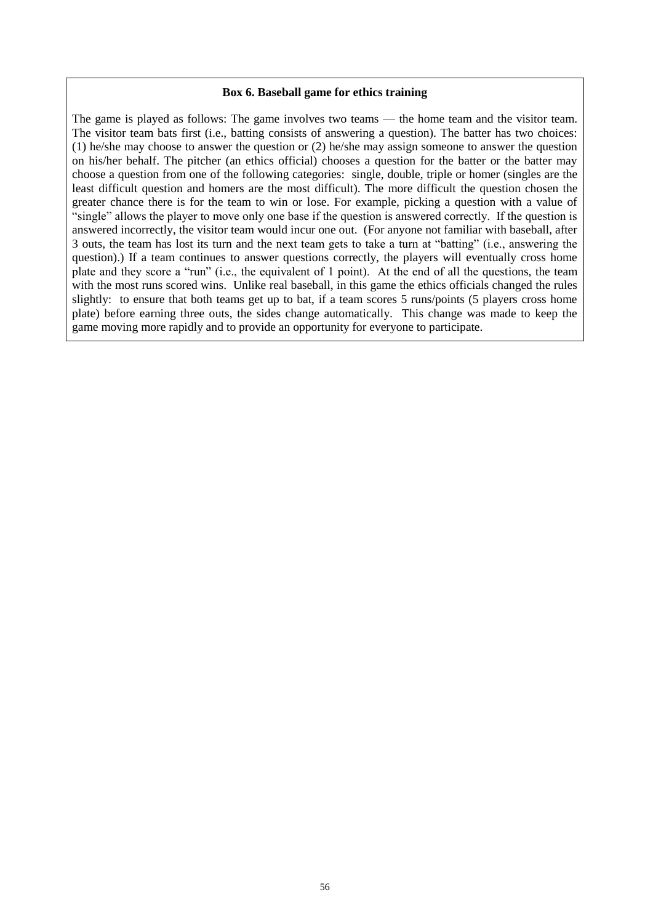#### **Box 6. Baseball game for ethics training**

The game is played as follows: The game involves two teams — the home team and the visitor team. The visitor team bats first (i.e., batting consists of answering a question). The batter has two choices: (1) he/she may choose to answer the question or (2) he/she may assign someone to answer the question on his/her behalf. The pitcher (an ethics official) chooses a question for the batter or the batter may choose a question from one of the following categories: single, double, triple or homer (singles are the least difficult question and homers are the most difficult). The more difficult the question chosen the greater chance there is for the team to win or lose. For example, picking a question with a value of ―single‖ allows the player to move only one base if the question is answered correctly. If the question is answered incorrectly, the visitor team would incur one out. (For anyone not familiar with baseball, after 3 outs, the team has lost its turn and the next team gets to take a turn at "batting" (i.e., answering the question).) If a team continues to answer questions correctly, the players will eventually cross home plate and they score a "run" (i.e., the equivalent of 1 point). At the end of all the questions, the team with the most runs scored wins. Unlike real baseball, in this game the ethics officials changed the rules slightly: to ensure that both teams get up to bat, if a team scores 5 runs/points (5 players cross home plate) before earning three outs, the sides change automatically. This change was made to keep the game moving more rapidly and to provide an opportunity for everyone to participate.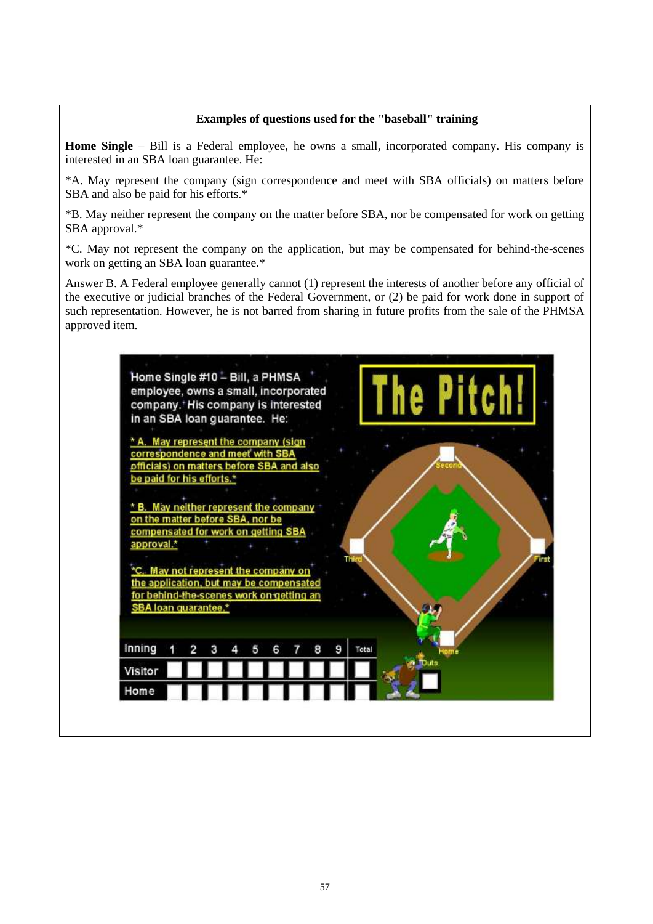## **Examples of questions used for the "baseball" training**

**Home Single** – Bill is a Federal employee, he owns a small, incorporated company. His company is interested in an SBA loan guarantee. He:

\*A. May represent the company (sign correspondence and meet with SBA officials) on matters before SBA and also be paid for his efforts.\*

\*B. May neither represent the company on the matter before SBA, nor be compensated for work on getting SBA approval.\*

\*C. May not represent the company on the application, but may be compensated for behind-the-scenes work on getting an SBA loan guarantee.\*

Answer B. A Federal employee generally cannot (1) represent the interests of another before any official of the executive or judicial branches of the Federal Government, or (2) be paid for work done in support of such representation. However, he is not barred from sharing in future profits from the sale of the PHMSA approved item.

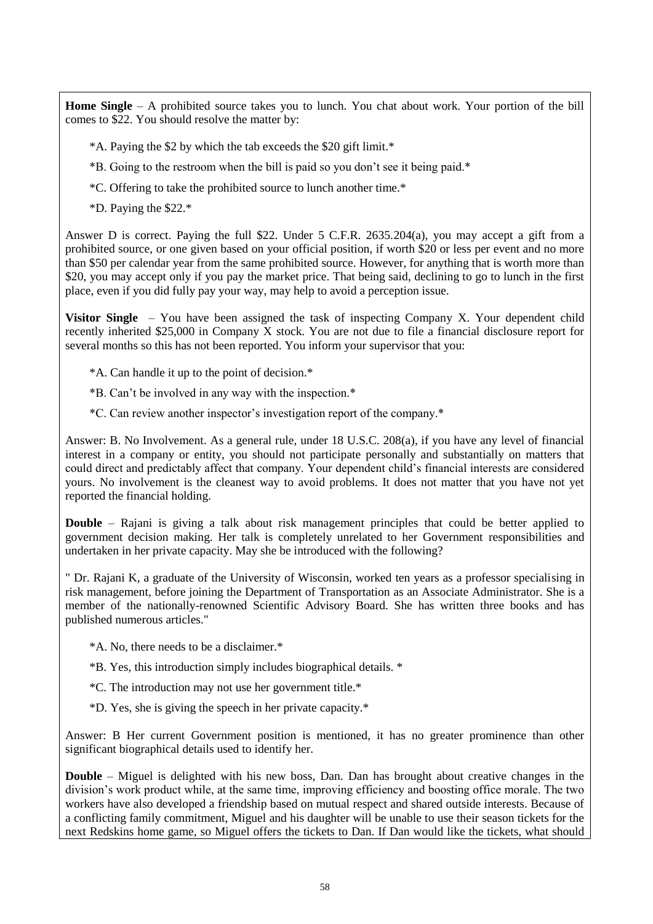**Home Single** – A prohibited source takes you to lunch. You chat about work. Your portion of the bill comes to \$22. You should resolve the matter by:

- \*A. Paying the \$2 by which the tab exceeds the \$20 gift limit.\*
- \*B. Going to the restroom when the bill is paid so you don't see it being paid.\*
- \*C. Offering to take the prohibited source to lunch another time.\*
- \*D. Paying the \$22.\*

Answer D is correct. Paying the full \$22. Under 5 C.F.R. 2635.204(a), you may accept a gift from a prohibited source, or one given based on your official position, if worth \$20 or less per event and no more than \$50 per calendar year from the same prohibited source. However, for anything that is worth more than \$20, you may accept only if you pay the market price. That being said, declining to go to lunch in the first place, even if you did fully pay your way, may help to avoid a perception issue.

**Visitor Single** – You have been assigned the task of inspecting Company X. Your dependent child recently inherited \$25,000 in Company X stock. You are not due to file a financial disclosure report for several months so this has not been reported. You inform your supervisor that you:

- \*A. Can handle it up to the point of decision.\*
- \*B. Can't be involved in any way with the inspection.\*
- \*C. Can review another inspector's investigation report of the company.\*

Answer: B. No Involvement. As a general rule, under 18 U.S.C. 208(a), if you have any level of financial interest in a company or entity, you should not participate personally and substantially on matters that could direct and predictably affect that company. Your dependent child's financial interests are considered yours. No involvement is the cleanest way to avoid problems. It does not matter that you have not yet reported the financial holding.

**Double** – Rajani is giving a talk about risk management principles that could be better applied to government decision making. Her talk is completely unrelated to her Government responsibilities and undertaken in her private capacity. May she be introduced with the following?

" Dr. Rajani K, a graduate of the University of Wisconsin, worked ten years as a professor specialising in risk management, before joining the Department of Transportation as an Associate Administrator. She is a member of the nationally-renowned Scientific Advisory Board. She has written three books and has published numerous articles."

\*A. No, there needs to be a disclaimer.\*

- \*B. Yes, this introduction simply includes biographical details. \*
- \*C. The introduction may not use her government title.\*
- \*D. Yes, she is giving the speech in her private capacity.\*

Answer: B Her current Government position is mentioned, it has no greater prominence than other significant biographical details used to identify her.

**Double** – Miguel is delighted with his new boss, Dan. Dan has brought about creative changes in the division's work product while, at the same time, improving efficiency and boosting office morale. The two workers have also developed a friendship based on mutual respect and shared outside interests. Because of a conflicting family commitment, Miguel and his daughter will be unable to use their season tickets for the next Redskins home game, so Miguel offers the tickets to Dan. If Dan would like the tickets, what should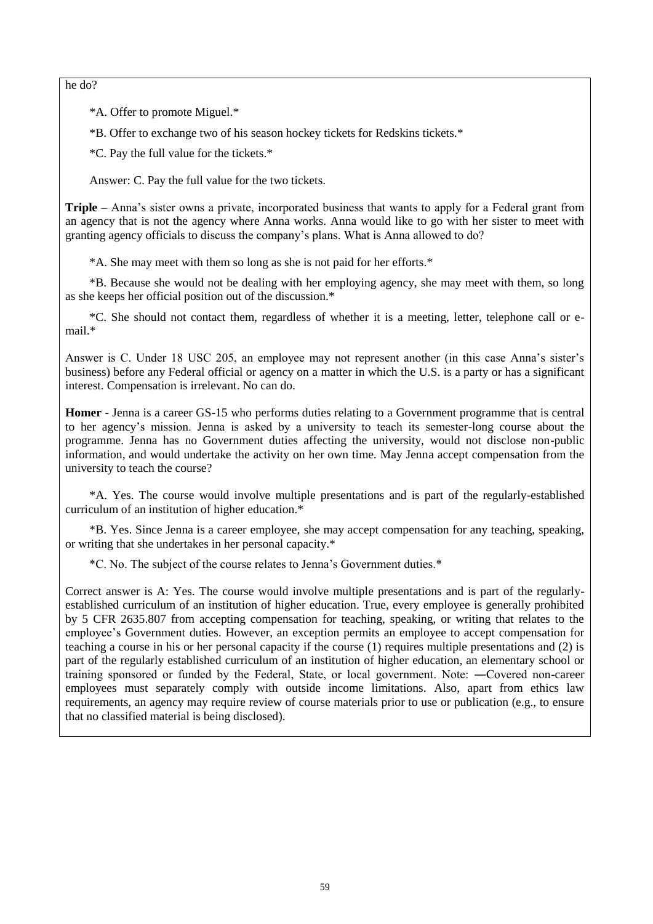he do?

\*A. Offer to promote Miguel.\*

\*B. Offer to exchange two of his season hockey tickets for Redskins tickets.\*

\*C. Pay the full value for the tickets.\*

Answer: C. Pay the full value for the two tickets.

**Triple** – Anna's sister owns a private, incorporated business that wants to apply for a Federal grant from an agency that is not the agency where Anna works. Anna would like to go with her sister to meet with granting agency officials to discuss the company's plans. What is Anna allowed to do?

\*A. She may meet with them so long as she is not paid for her efforts.\*

\*B. Because she would not be dealing with her employing agency, she may meet with them, so long as she keeps her official position out of the discussion.\*

\*C. She should not contact them, regardless of whether it is a meeting, letter, telephone call or email.\*

Answer is C. Under 18 USC 205, an employee may not represent another (in this case Anna's sister's business) before any Federal official or agency on a matter in which the U.S. is a party or has a significant interest. Compensation is irrelevant. No can do.

**Homer** - Jenna is a career GS-15 who performs duties relating to a Government programme that is central to her agency's mission. Jenna is asked by a university to teach its semester-long course about the programme. Jenna has no Government duties affecting the university, would not disclose non-public information, and would undertake the activity on her own time. May Jenna accept compensation from the university to teach the course?

\*A. Yes. The course would involve multiple presentations and is part of the regularly-established curriculum of an institution of higher education.\*

\*B. Yes. Since Jenna is a career employee, she may accept compensation for any teaching, speaking, or writing that she undertakes in her personal capacity.\*

\*C. No. The subject of the course relates to Jenna's Government duties.\*

Correct answer is A: Yes. The course would involve multiple presentations and is part of the regularlyestablished curriculum of an institution of higher education. True, every employee is generally prohibited by 5 CFR 2635.807 from accepting compensation for teaching, speaking, or writing that relates to the employee's Government duties. However, an exception permits an employee to accept compensation for teaching a course in his or her personal capacity if the course (1) requires multiple presentations and (2) is part of the regularly established curriculum of an institution of higher education, an elementary school or training sponsored or funded by the Federal, State, or local government. Note: ―Covered non-career employees must separately comply with outside income limitations. Also, apart from ethics law requirements, an agency may require review of course materials prior to use or publication (e.g., to ensure that no classified material is being disclosed).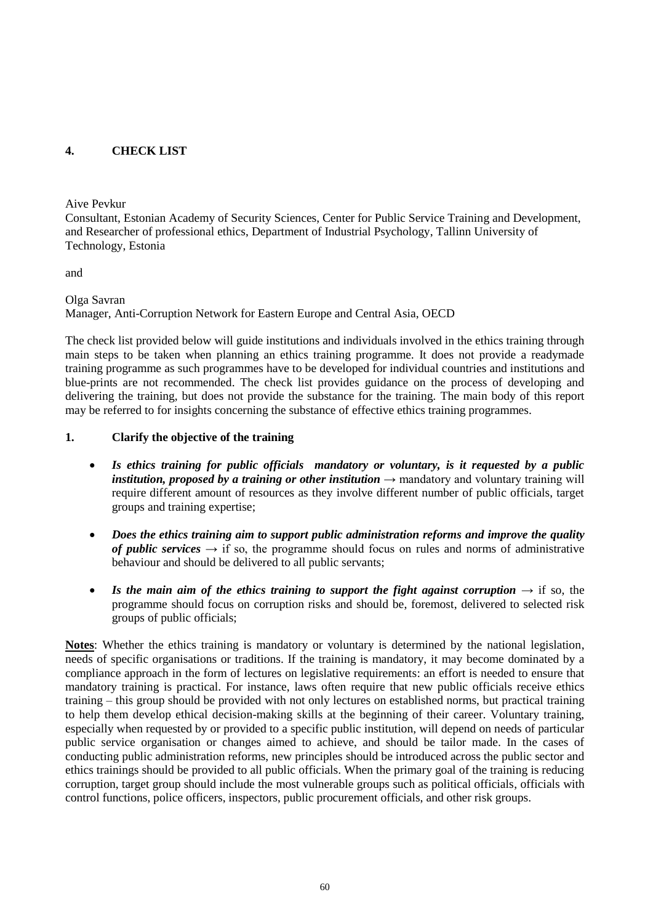# <span id="page-59-0"></span>**4. CHECK LIST**

Aive Pevkur

Consultant, Estonian Academy of Security Sciences, Center for Public Service Training and Development, and Researcher of professional ethics, Department of Industrial Psychology, Tallinn University of Technology, Estonia

and

Olga Savran Manager, Anti-Corruption Network for Eastern Europe and Central Asia, OECD

The check list provided below will guide institutions and individuals involved in the ethics training through main steps to be taken when planning an ethics training programme. It does not provide a readymade training programme as such programmes have to be developed for individual countries and institutions and blue-prints are not recommended. The check list provides guidance on the process of developing and delivering the training, but does not provide the substance for the training. The main body of this report may be referred to for insights concerning the substance of effective ethics training programmes.

## **1. Clarify the objective of the training**

- *Is ethics training for public officials mandatory or voluntary, is it requested by a public institution, proposed by a training or other institution*  $\rightarrow$  mandatory and voluntary training will require different amount of resources as they involve different number of public officials, target groups and training expertise;
- *Does the ethics training aim to support public administration reforms and improve the quality of public services*  $\rightarrow$  if so, the programme should focus on rules and norms of administrative behaviour and should be delivered to all public servants;
- **•** Is the main aim of the ethics training to support the fight against corruption  $\rightarrow$  if so, the programme should focus on corruption risks and should be, foremost, delivered to selected risk groups of public officials;

**Notes**: Whether the ethics training is mandatory or voluntary is determined by the national legislation, needs of specific organisations or traditions. If the training is mandatory, it may become dominated by a compliance approach in the form of lectures on legislative requirements: an effort is needed to ensure that mandatory training is practical. For instance, laws often require that new public officials receive ethics training – this group should be provided with not only lectures on established norms, but practical training to help them develop ethical decision-making skills at the beginning of their career. Voluntary training, especially when requested by or provided to a specific public institution, will depend on needs of particular public service organisation or changes aimed to achieve, and should be tailor made. In the cases of conducting public administration reforms, new principles should be introduced across the public sector and ethics trainings should be provided to all public officials. When the primary goal of the training is reducing corruption, target group should include the most vulnerable groups such as political officials, officials with control functions, police officers, inspectors, public procurement officials, and other risk groups.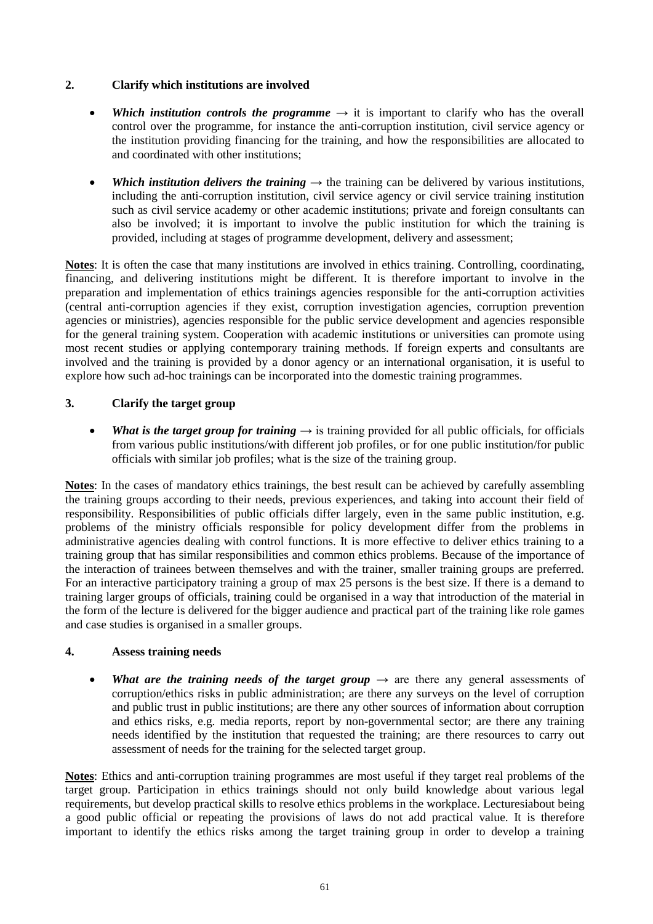## **2. Clarify which institutions are involved**

- Which institution controls the programme  $\rightarrow$  it is important to clarify who has the overall control over the programme, for instance the anti-corruption institution, civil service agency or the institution providing financing for the training, and how the responsibilities are allocated to and coordinated with other institutions;
- Which institution *delivers* the training  $\rightarrow$  the training can be delivered by various institutions, including the anti-corruption institution, civil service agency or civil service training institution such as civil service academy or other academic institutions; private and foreign consultants can also be involved; it is important to involve the public institution for which the training is provided, including at stages of programme development, delivery and assessment;

**Notes**: It is often the case that many institutions are involved in ethics training. Controlling, coordinating, financing, and delivering institutions might be different. It is therefore important to involve in the preparation and implementation of ethics trainings agencies responsible for the anti-corruption activities (central anti-corruption agencies if they exist, corruption investigation agencies, corruption prevention agencies or ministries), agencies responsible for the public service development and agencies responsible for the general training system. Cooperation with academic institutions or universities can promote using most recent studies or applying contemporary training methods. If foreign experts and consultants are involved and the training is provided by a donor agency or an international organisation, it is useful to explore how such ad-hoc trainings can be incorporated into the domestic training programmes.

## **3. Clarify the target group**

• What is the target group for training  $\rightarrow$  is training provided for all public officials, for officials from various public institutions/with different job profiles, or for one public institution/for public officials with similar job profiles; what is the size of the training group.

**Notes**: In the cases of mandatory ethics trainings, the best result can be achieved by carefully assembling the training groups according to their needs, previous experiences, and taking into account their field of responsibility. Responsibilities of public officials differ largely, even in the same public institution, e.g. problems of the ministry officials responsible for policy development differ from the problems in administrative agencies dealing with control functions. It is more effective to deliver ethics training to a training group that has similar responsibilities and common ethics problems. Because of the importance of the interaction of trainees between themselves and with the trainer, smaller training groups are preferred. For an interactive participatory training a group of max 25 persons is the best size. If there is a demand to training larger groups of officials, training could be organised in a way that introduction of the material in the form of the lecture is delivered for the bigger audience and practical part of the training like role games and case studies is organised in a smaller groups.

#### **4. Assess training needs**

• *What are the training needs of the target group*  $\rightarrow$  are there any general assessments of corruption/ethics risks in public administration; are there any surveys on the level of corruption and public trust in public institutions; are there any other sources of information about corruption and ethics risks, e.g. media reports, report by non-governmental sector; are there any training needs identified by the institution that requested the training; are there resources to carry out assessment of needs for the training for the selected target group.

**Notes**: Ethics and anti-corruption training programmes are most useful if they target real problems of the target group. Participation in ethics trainings should not only build knowledge about various legal requirements, but develop practical skills to resolve ethics problems in the workplace. Lecturesiabout being a good public official or repeating the provisions of laws do not add practical value. It is therefore important to identify the ethics risks among the target training group in order to develop a training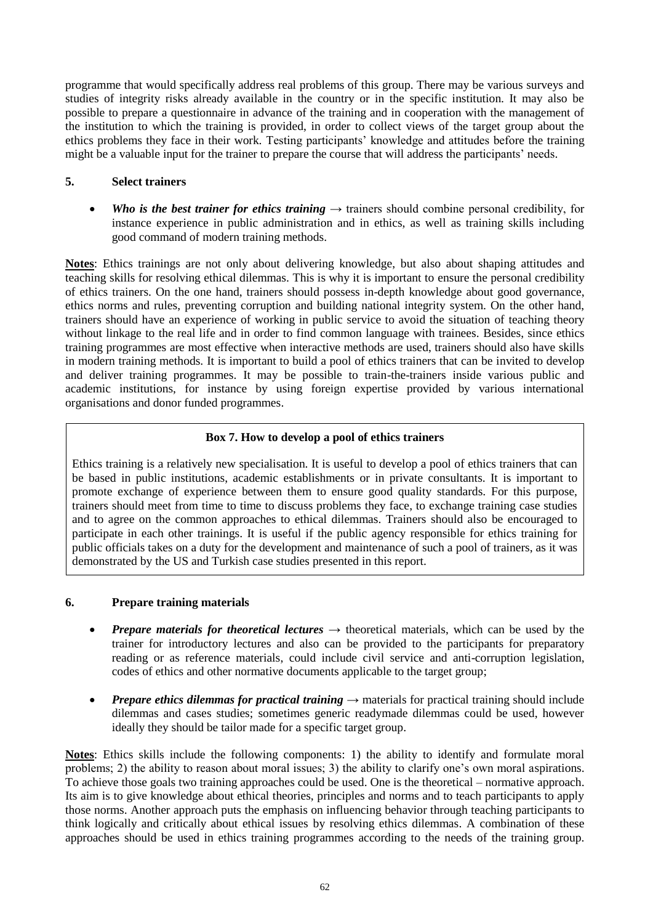programme that would specifically address real problems of this group. There may be various surveys and studies of integrity risks already available in the country or in the specific institution. It may also be possible to prepare a questionnaire in advance of the training and in cooperation with the management of the institution to which the training is provided, in order to collect views of the target group about the ethics problems they face in their work. Testing participants' knowledge and attitudes before the training might be a valuable input for the trainer to prepare the course that will address the participants' needs.

## **5. Select trainers**

• Who is the best trainer for ethics training  $\rightarrow$  trainers should combine personal credibility, for instance experience in public administration and in ethics, as well as training skills including good command of modern training methods.

**Notes**: Ethics trainings are not only about delivering knowledge, but also about shaping attitudes and teaching skills for resolving ethical dilemmas. This is why it is important to ensure the personal credibility of ethics trainers. On the one hand, trainers should possess in-depth knowledge about good governance, ethics norms and rules, preventing corruption and building national integrity system. On the other hand, trainers should have an experience of working in public service to avoid the situation of teaching theory without linkage to the real life and in order to find common language with trainees. Besides, since ethics training programmes are most effective when interactive methods are used, trainers should also have skills in modern training methods. It is important to build a pool of ethics trainers that can be invited to develop and deliver training programmes. It may be possible to train-the-trainers inside various public and academic institutions, for instance by using foreign expertise provided by various international organisations and donor funded programmes.

## **Box 7. How to develop a pool of ethics trainers**

Ethics training is a relatively new specialisation. It is useful to develop a pool of ethics trainers that can be based in public institutions, academic establishments or in private consultants. It is important to promote exchange of experience between them to ensure good quality standards. For this purpose, trainers should meet from time to time to discuss problems they face, to exchange training case studies and to agree on the common approaches to ethical dilemmas. Trainers should also be encouraged to participate in each other trainings. It is useful if the public agency responsible for ethics training for public officials takes on a duty for the development and maintenance of such a pool of trainers, as it was demonstrated by the US and Turkish case studies presented in this report.

#### **6. Prepare training materials**

- *Prepare materials for theoretical lectures* → theoretical materials, which can be used by the trainer for introductory lectures and also can be provided to the participants for preparatory reading or as reference materials, could include civil service and anti-corruption legislation, codes of ethics and other normative documents applicable to the target group;
- *Prepare ethics dilemmas for practical training* → materials for practical training should include dilemmas and cases studies; sometimes generic readymade dilemmas could be used, however ideally they should be tailor made for a specific target group.

**Notes**: Ethics skills include the following components: 1) the ability to identify and formulate moral problems; 2) the ability to reason about moral issues; 3) the ability to clarify one's own moral aspirations. To achieve those goals two training approaches could be used. One is the theoretical – normative approach. Its aim is to give knowledge about ethical theories, principles and norms and to teach participants to apply those norms. Another approach puts the emphasis on influencing behavior through teaching participants to think logically and critically about ethical issues by resolving ethics dilemmas. A combination of these approaches should be used in ethics training programmes according to the needs of the training group.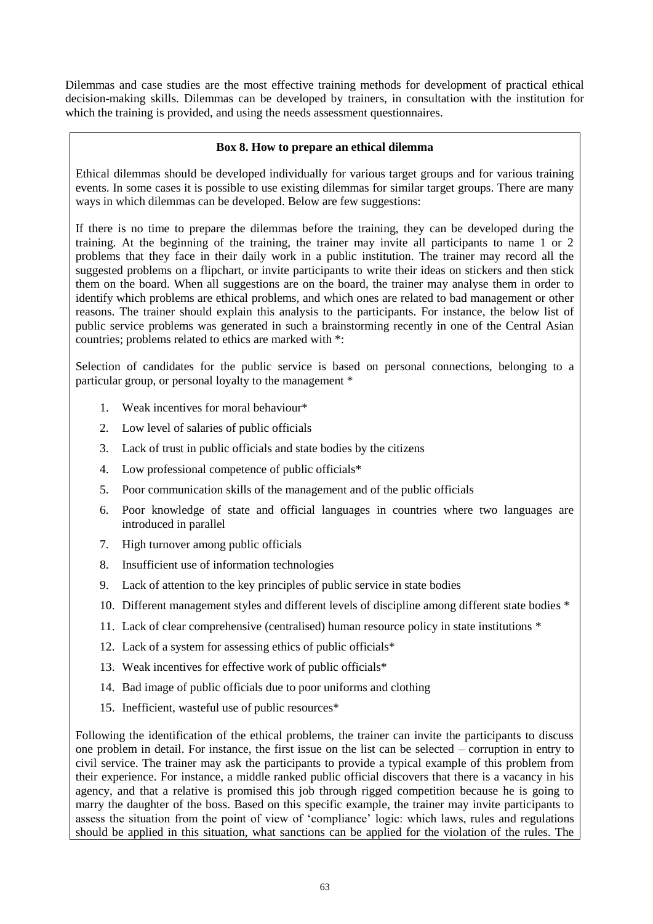Dilemmas and case studies are the most effective training methods for development of practical ethical decision-making skills. Dilemmas can be developed by trainers, in consultation with the institution for which the training is provided, and using the needs assessment questionnaires.

## **Box 8. How to prepare an ethical dilemma**

Ethical dilemmas should be developed individually for various target groups and for various training events. In some cases it is possible to use existing dilemmas for similar target groups. There are many ways in which dilemmas can be developed. Below are few suggestions:

If there is no time to prepare the dilemmas before the training, they can be developed during the training. At the beginning of the training, the trainer may invite all participants to name 1 or 2 problems that they face in their daily work in a public institution. The trainer may record all the suggested problems on a flipchart, or invite participants to write their ideas on stickers and then stick them on the board. When all suggestions are on the board, the trainer may analyse them in order to identify which problems are ethical problems, and which ones are related to bad management or other reasons. The trainer should explain this analysis to the participants. For instance, the below list of public service problems was generated in such a brainstorming recently in one of the Central Asian countries; problems related to ethics are marked with \*:

Selection of candidates for the public service is based on personal connections, belonging to a particular group, or personal loyalty to the management \*

- 1. Weak incentives for moral behaviour\*
- 2. Low level of salaries of public officials
- 3. Lack of trust in public officials and state bodies by the citizens
- 4. Low professional competence of public officials\*
- 5. Poor communication skills of the management and of the public officials
- 6. Poor knowledge of state and official languages in countries where two languages are introduced in parallel
- 7. High turnover among public officials
- 8. Insufficient use of information technologies
- 9. Lack of attention to the key principles of public service in state bodies
- 10. Different management styles and different levels of discipline among different state bodies \*
- 11. Lack of clear comprehensive (centralised) human resource policy in state institutions \*
- 12. Lack of a system for assessing ethics of public officials\*
- 13. Weak incentives for effective work of public officials\*
- 14. Bad image of public officials due to poor uniforms and clothing
- 15. Inefficient, wasteful use of public resources\*

Following the identification of the ethical problems, the trainer can invite the participants to discuss one problem in detail. For instance, the first issue on the list can be selected – corruption in entry to civil service. The trainer may ask the participants to provide a typical example of this problem from their experience. For instance, a middle ranked public official discovers that there is a vacancy in his agency, and that a relative is promised this job through rigged competition because he is going to marry the daughter of the boss. Based on this specific example, the trainer may invite participants to assess the situation from the point of view of ‗compliance' logic: which laws, rules and regulations should be applied in this situation, what sanctions can be applied for the violation of the rules. The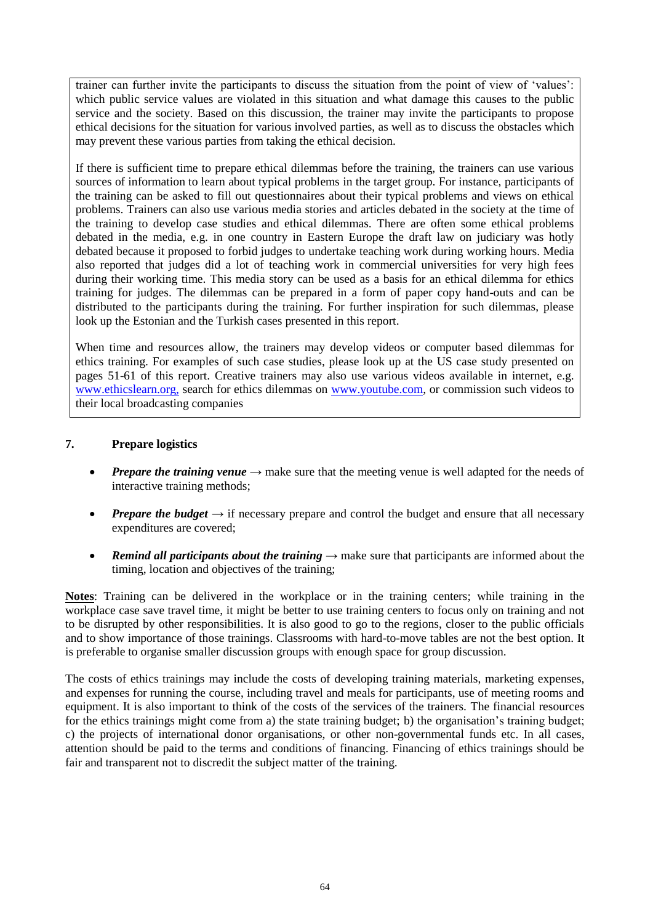trainer can further invite the participants to discuss the situation from the point of view of 'values': which public service values are violated in this situation and what damage this causes to the public service and the society. Based on this discussion, the trainer may invite the participants to propose ethical decisions for the situation for various involved parties, as well as to discuss the obstacles which may prevent these various parties from taking the ethical decision.

If there is sufficient time to prepare ethical dilemmas before the training, the trainers can use various sources of information to learn about typical problems in the target group. For instance, participants of the training can be asked to fill out questionnaires about their typical problems and views on ethical problems. Trainers can also use various media stories and articles debated in the society at the time of the training to develop case studies and ethical dilemmas. There are often some ethical problems debated in the media, e.g. in one country in Eastern Europe the draft law on judiciary was hotly debated because it proposed to forbid judges to undertake teaching work during working hours. Media also reported that judges did a lot of teaching work in commercial universities for very high fees during their working time. This media story can be used as a basis for an ethical dilemma for ethics training for judges. The dilemmas can be prepared in a form of paper copy hand-outs and can be distributed to the participants during the training. For further inspiration for such dilemmas, please look up the Estonian and the Turkish cases presented in this report.

When time and resources allow, the trainers may develop videos or computer based dilemmas for ethics training. For examples of such case studies, please look up at the US case study presented on pages 51-61 of this report. Creative trainers may also use various videos available in internet, e.g. [www.ethicslearn.org,](http://www.ethicslearn.org/) search for ethics dilemmas on [www.youtube.com,](http://www.youtube.com/) or commission such videos to their local broadcasting companies

## **7. Prepare logistics**

- **Prepare the training venue**  $\rightarrow$  make sure that the meeting venue is well adapted for the needs of interactive training methods;
- **Prepare the budget**  $\rightarrow$  if necessary prepare and control the budget and ensure that all necessary expenditures are covered;
- *Remind all participants about the training*  $\rightarrow$  make sure that participants are informed about the timing, location and objectives of the training;

**Notes**: Training can be delivered in the workplace or in the training centers; while training in the workplace case save travel time, it might be better to use training centers to focus only on training and not to be disrupted by other responsibilities. It is also good to go to the regions, closer to the public officials and to show importance of those trainings. Classrooms with hard-to-move tables are not the best option. It is preferable to organise smaller discussion groups with enough space for group discussion.

The costs of ethics trainings may include the costs of developing training materials, marketing expenses, and expenses for running the course, including travel and meals for participants, use of meeting rooms and equipment. It is also important to think of the costs of the services of the trainers. The financial resources for the ethics trainings might come from a) the state training budget; b) the organisation's training budget; c) the projects of international donor organisations, or other non-governmental funds etc. In all cases, attention should be paid to the terms and conditions of financing. Financing of ethics trainings should be fair and transparent not to discredit the subject matter of the training.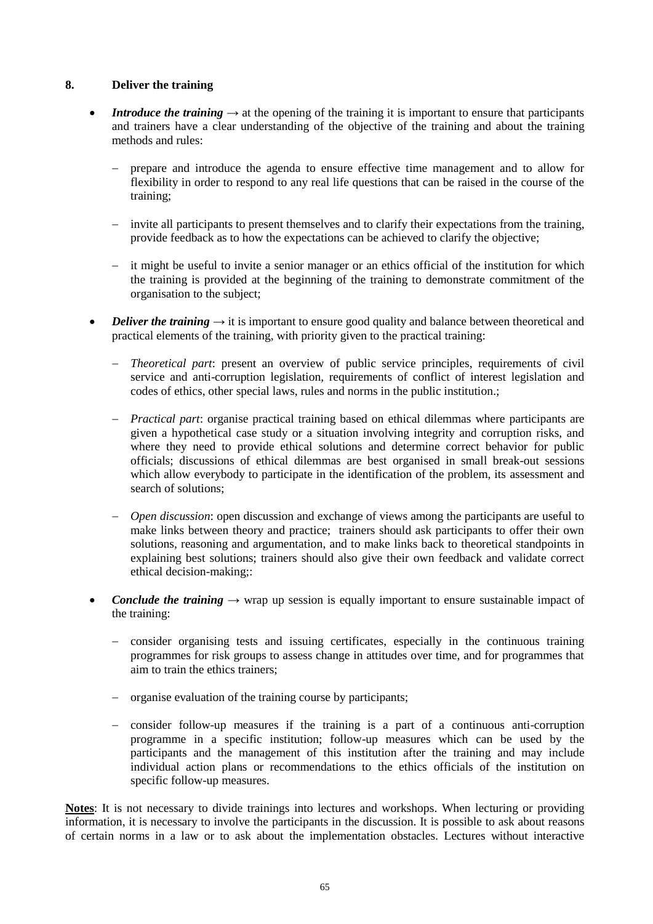## **8. Deliver the training**

- **Introduce the training**  $\rightarrow$  at the opening of the training it is important to ensure that participants and trainers have a clear understanding of the objective of the training and about the training methods and rules:
	- prepare and introduce the agenda to ensure effective time management and to allow for flexibility in order to respond to any real life questions that can be raised in the course of the training;
	- invite all participants to present themselves and to clarify their expectations from the training, provide feedback as to how the expectations can be achieved to clarify the objective;
	- it might be useful to invite a senior manager or an ethics official of the institution for which the training is provided at the beginning of the training to demonstrate commitment of the organisation to the subject;
- *Deliver the training*  $\rightarrow$  it is important to ensure good quality and balance between theoretical and practical elements of the training, with priority given to the practical training:
	- *Theoretical part*: present an overview of public service principles, requirements of civil service and anti-corruption legislation, requirements of conflict of interest legislation and codes of ethics, other special laws, rules and norms in the public institution.;
	- *Practical part*: organise practical training based on ethical dilemmas where participants are given a hypothetical case study or a situation involving integrity and corruption risks, and where they need to provide ethical solutions and determine correct behavior for public officials; discussions of ethical dilemmas are best organised in small break-out sessions which allow everybody to participate in the identification of the problem, its assessment and search of solutions;
	- *Open discussion*: open discussion and exchange of views among the participants are useful to make links between theory and practice; trainers should ask participants to offer their own solutions, reasoning and argumentation, and to make links back to theoretical standpoints in explaining best solutions; trainers should also give their own feedback and validate correct ethical decision-making;:
- *Conclude the training* → wrap up session is equally important to ensure sustainable impact of the training:
	- consider organising tests and issuing certificates, especially in the continuous training programmes for risk groups to assess change in attitudes over time, and for programmes that aim to train the ethics trainers;
	- organise evaluation of the training course by participants;
	- consider follow-up measures if the training is a part of a continuous anti-corruption programme in a specific institution; follow-up measures which can be used by the participants and the management of this institution after the training and may include individual action plans or recommendations to the ethics officials of the institution on specific follow-up measures.

**Notes**: It is not necessary to divide trainings into lectures and workshops. When lecturing or providing information, it is necessary to involve the participants in the discussion. It is possible to ask about reasons of certain norms in a law or to ask about the implementation obstacles. Lectures without interactive